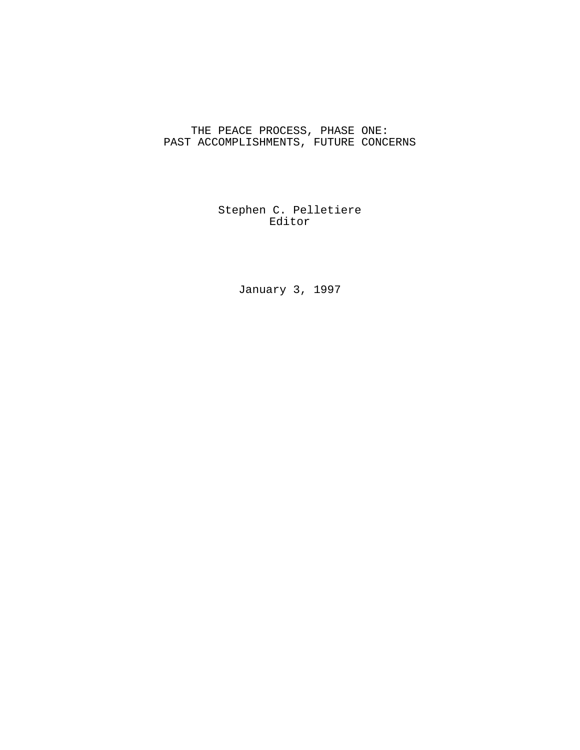# THE PEACE PROCESS, PHASE ONE: PAST ACCOMPLISHMENTS, FUTURE CONCERNS

Stephen C. Pelletiere Editor

January 3, 1997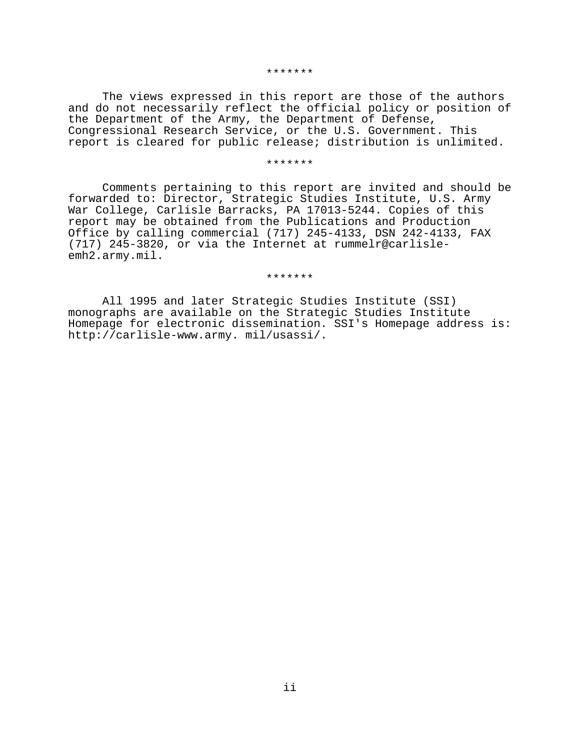#### \*\*\*\*\*\*\*

The views expressed in this report are those of the authors and do not necessarily reflect the official policy or position of the Department of the Army, the Department of Defense, Congressional Research Service, or the U.S. Government. This report is cleared for public release; distribution is unlimited.

### \*\*\*\*\*\*\*

Comments pertaining to this report are invited and should be forwarded to: Director, Strategic Studies Institute, U.S. Army War College, Carlisle Barracks, PA 17013-5244. Copies of this report may be obtained from the Publications and Production Office by calling commercial (717) 245-4133, DSN 242-4133, FAX (717) 245-3820, or via the Internet at rummelr@carlisleemh2.army.mil.

#### \*\*\*\*\*\*\*

All 1995 and later Strategic Studies Institute (SSI) monographs are available on the Strategic Studies Institute Homepage for electronic dissemination. SSI's Homepage address is: http://carlisle-www.army. mil/usassi/.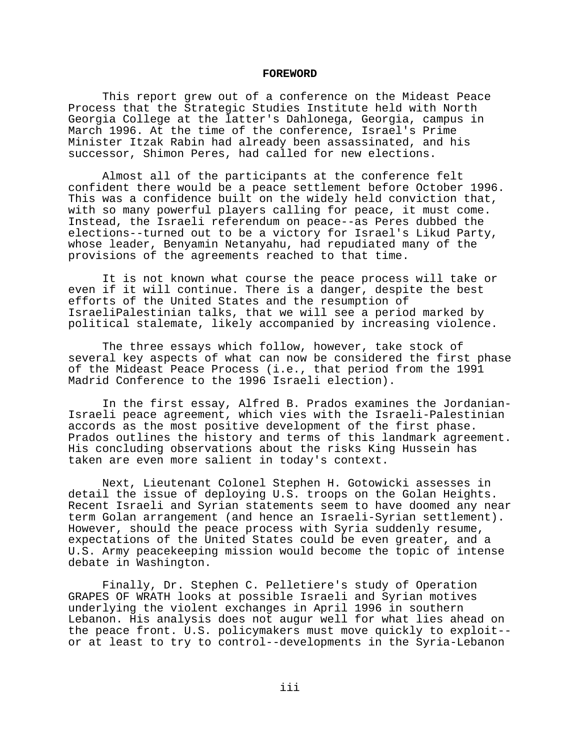#### **FOREWORD**

This report grew out of a conference on the Mideast Peace Process that the Strategic Studies Institute held with North Georgia College at the latter's Dahlonega, Georgia, campus in March 1996. At the time of the conference, Israel's Prime Minister Itzak Rabin had already been assassinated, and his successor, Shimon Peres, had called for new elections.

Almost all of the participants at the conference felt confident there would be a peace settlement before October 1996. This was a confidence built on the widely held conviction that, with so many powerful players calling for peace, it must come. Instead, the Israeli referendum on peace--as Peres dubbed the elections--turned out to be a victory for Israel's Likud Party, whose leader, Benyamin Netanyahu, had repudiated many of the provisions of the agreements reached to that time.

It is not known what course the peace process will take or even if it will continue. There is a danger, despite the best efforts of the United States and the resumption of IsraeliPalestinian talks, that we will see a period marked by political stalemate, likely accompanied by increasing violence.

The three essays which follow, however, take stock of several key aspects of what can now be considered the first phase of the Mideast Peace Process (i.e., that period from the 1991 Madrid Conference to the 1996 Israeli election).

In the first essay, Alfred B. Prados examines the Jordanian-Israeli peace agreement, which vies with the Israeli-Palestinian accords as the most positive development of the first phase. Prados outlines the history and terms of this landmark agreement. His concluding observations about the risks King Hussein has taken are even more salient in today's context.

Next, Lieutenant Colonel Stephen H. Gotowicki assesses in detail the issue of deploying U.S. troops on the Golan Heights. Recent Israeli and Syrian statements seem to have doomed any near term Golan arrangement (and hence an Israeli-Syrian settlement). However, should the peace process with Syria suddenly resume, expectations of the United States could be even greater, and a U.S. Army peacekeeping mission would become the topic of intense debate in Washington.

Finally, Dr. Stephen C. Pelletiere's study of Operation GRAPES OF WRATH looks at possible Israeli and Syrian motives underlying the violent exchanges in April 1996 in southern Lebanon. His analysis does not augur well for what lies ahead on the peace front. U.S. policymakers must move quickly to exploit- or at least to try to control--developments in the Syria-Lebanon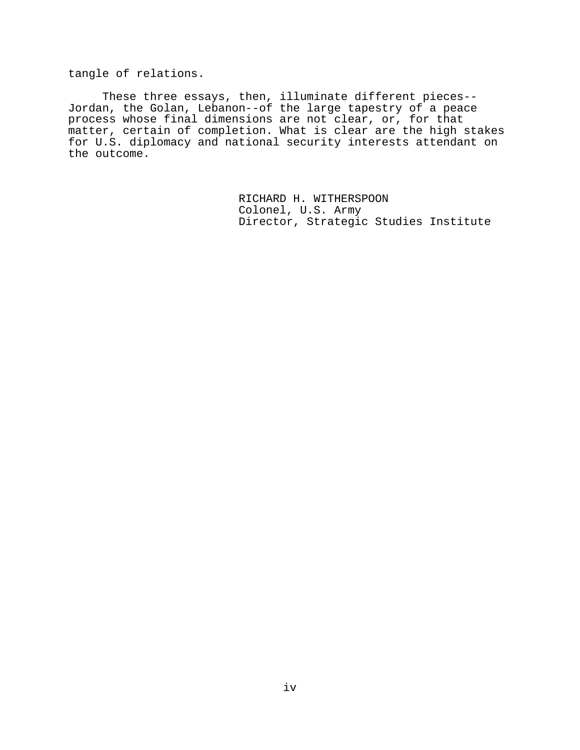tangle of relations.

These three essays, then, illuminate different pieces-- Jordan, the Golan, Lebanon--of the large tapestry of a peace process whose final dimensions are not clear, or, for that matter, certain of completion. What is clear are the high stakes for U.S. diplomacy and national security interests attendant on the outcome.

> RICHARD H. WITHERSPOON Colonel, U.S. Army Director, Strategic Studies Institute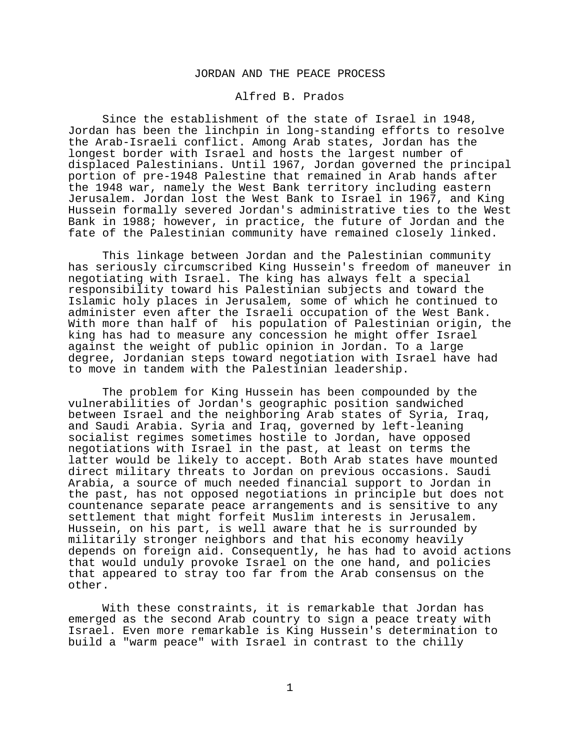# JORDAN AND THE PEACE PROCESS

# Alfred B. Prados

Since the establishment of the state of Israel in 1948, Jordan has been the linchpin in long-standing efforts to resolve the Arab-Israeli conflict. Among Arab states, Jordan has the longest border with Israel and hosts the largest number of displaced Palestinians. Until 1967, Jordan governed the principal portion of pre-1948 Palestine that remained in Arab hands after the 1948 war, namely the West Bank territory including eastern Jerusalem. Jordan lost the West Bank to Israel in 1967, and King Hussein formally severed Jordan's administrative ties to the West Bank in 1988; however, in practice, the future of Jordan and the fate of the Palestinian community have remained closely linked.

This linkage between Jordan and the Palestinian community has seriously circumscribed King Hussein's freedom of maneuver in negotiating with Israel. The king has always felt a special responsibility toward his Palestinian subjects and toward the Islamic holy places in Jerusalem, some of which he continued to administer even after the Israeli occupation of the West Bank. With more than half of his population of Palestinian origin, the king has had to measure any concession he might offer Israel against the weight of public opinion in Jordan. To a large degree, Jordanian steps toward negotiation with Israel have had to move in tandem with the Palestinian leadership.

The problem for King Hussein has been compounded by the vulnerabilities of Jordan's geographic position sandwiched between Israel and the neighboring Arab states of Syria, Iraq, and Saudi Arabia. Syria and Iraq, governed by left-leaning socialist regimes sometimes hostile to Jordan, have opposed negotiations with Israel in the past, at least on terms the latter would be likely to accept. Both Arab states have mounted direct military threats to Jordan on previous occasions. Saudi Arabia, a source of much needed financial support to Jordan in the past, has not opposed negotiations in principle but does not countenance separate peace arrangements and is sensitive to any settlement that might forfeit Muslim interests in Jerusalem. Hussein, on his part, is well aware that he is surrounded by militarily stronger neighbors and that his economy heavily depends on foreign aid. Consequently, he has had to avoid actions that would unduly provoke Israel on the one hand, and policies that appeared to stray too far from the Arab consensus on the other.

With these constraints, it is remarkable that Jordan has emerged as the second Arab country to sign a peace treaty with Israel. Even more remarkable is King Hussein's determination to build a "warm peace" with Israel in contrast to the chilly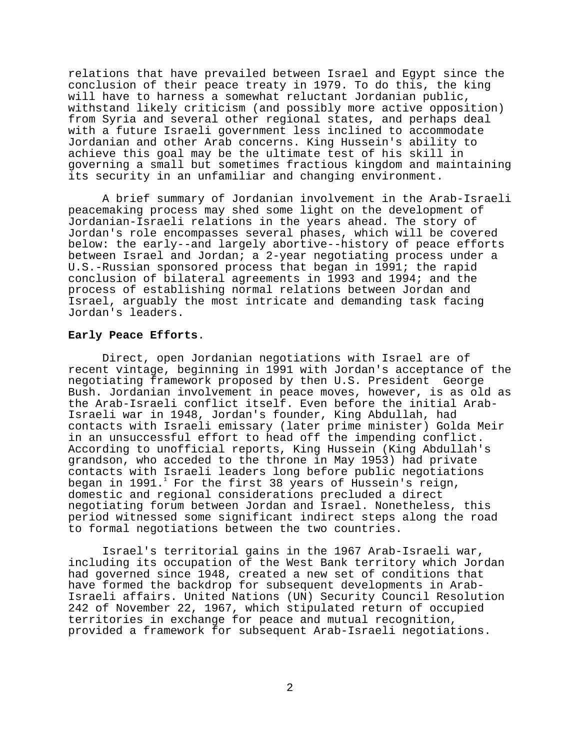relations that have prevailed between Israel and Egypt since the conclusion of their peace treaty in 1979. To do this, the king will have to harness a somewhat reluctant Jordanian public, withstand likely criticism (and possibly more active opposition) from Syria and several other regional states, and perhaps deal with a future Israeli government less inclined to accommodate Jordanian and other Arab concerns. King Hussein's ability to achieve this goal may be the ultimate test of his skill in governing a small but sometimes fractious kingdom and maintaining its security in an unfamiliar and changing environment.

A brief summary of Jordanian involvement in the Arab-Israeli peacemaking process may shed some light on the development of Jordanian-Israeli relations in the years ahead. The story of Jordan's role encompasses several phases, which will be covered below: the early--and largely abortive--history of peace efforts between Israel and Jordan; a 2-year negotiating process under a U.S.-Russian sponsored process that began in 1991; the rapid conclusion of bilateral agreements in 1993 and 1994; and the process of establishing normal relations between Jordan and Israel, arguably the most intricate and demanding task facing Jordan's leaders.

# **Early Peace Efforts**.

Direct, open Jordanian negotiations with Israel are of recent vintage, beginning in 1991 with Jordan's acceptance of the negotiating framework proposed by then U.S. President George Bush. Jordanian involvement in peace moves, however, is as old as the Arab-Israeli conflict itself. Even before the initial Arab-Israeli war in 1948, Jordan's founder, King Abdullah, had contacts with Israeli emissary (later prime minister) Golda Meir in an unsuccessful effort to head off the impending conflict. According to unofficial reports, King Hussein (King Abdullah's grandson, who acceded to the throne in May 1953) had private contacts with Israeli leaders long before public negotiations began in 1991. $^1$  For the first 38 years of Hussein's reign, domestic and regional considerations precluded a direct negotiating forum between Jordan and Israel. Nonetheless, this period witnessed some significant indirect steps along the road to formal negotiations between the two countries.

Israel's territorial gains in the 1967 Arab-Israeli war, including its occupation of the West Bank territory which Jordan had governed since 1948, created a new set of conditions that have formed the backdrop for subsequent developments in Arab-Israeli affairs. United Nations (UN) Security Council Resolution 242 of November 22, 1967, which stipulated return of occupied territories in exchange for peace and mutual recognition, provided a framework for subsequent Arab-Israeli negotiations.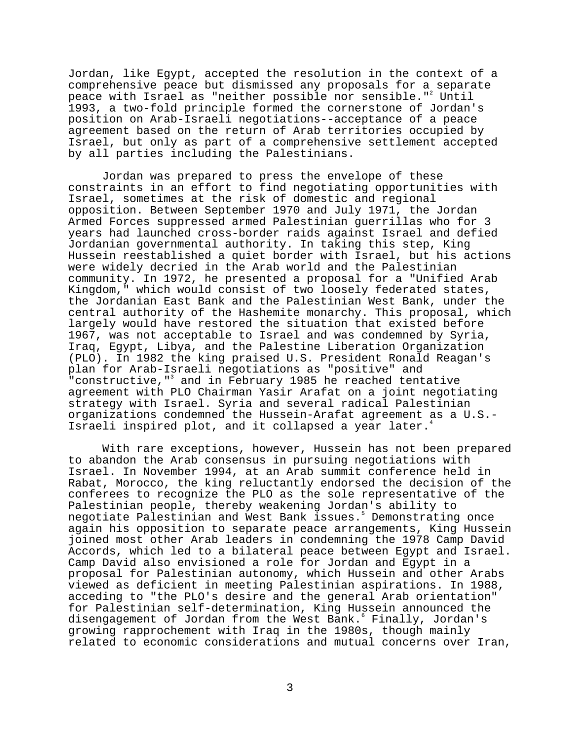Jordan, like Egypt, accepted the resolution in the context of a comprehensive peace but dismissed any proposals for a separate peace with Israel as "neither possible nor sensible."<sup>2</sup> Until 1993, a two-fold principle formed the cornerstone of Jordan's position on Arab-Israeli negotiations--acceptance of a peace agreement based on the return of Arab territories occupied by Israel, but only as part of a comprehensive settlement accepted by all parties including the Palestinians.

Jordan was prepared to press the envelope of these constraints in an effort to find negotiating opportunities with Israel, sometimes at the risk of domestic and regional opposition. Between September 1970 and July 1971, the Jordan Armed Forces suppressed armed Palestinian guerrillas who for 3 years had launched cross-border raids against Israel and defied Jordanian governmental authority. In taking this step, King Hussein reestablished a quiet border with Israel, but his actions were widely decried in the Arab world and the Palestinian community. In 1972, he presented a proposal for a "Unified Arab Kingdom," which would consist of two loosely federated states, the Jordanian East Bank and the Palestinian West Bank, under the central authority of the Hashemite monarchy. This proposal, which largely would have restored the situation that existed before 1967, was not acceptable to Israel and was condemned by Syria, Iraq, Egypt, Libya, and the Palestine Liberation Organization (PLO). In 1982 the king praised U.S. President Ronald Reagan's plan for Arab-Israeli negotiations as "positive" and "constructive,"<sup>3</sup> and in February 1985 he reached tentative agreement with PLO Chairman Yasir Arafat on a joint negotiating strategy with Israel. Syria and several radical Palestinian organizations condemned the Hussein-Arafat agreement as a U.S.- Israeli inspired plot, and it collapsed a year later.

With rare exceptions, however, Hussein has not been prepared to abandon the Arab consensus in pursuing negotiations with Israel. In November 1994, at an Arab summit conference held in Rabat, Morocco, the king reluctantly endorsed the decision of the conferees to recognize the PLO as the sole representative of the Palestinian people, thereby weakening Jordan's ability to negotiate Palestinian and West Bank issues.5 Demonstrating once again his opposition to separate peace arrangements, King Hussein joined most other Arab leaders in condemning the 1978 Camp David Accords, which led to a bilateral peace between Egypt and Israel. Camp David also envisioned a role for Jordan and Egypt in a proposal for Palestinian autonomy, which Hussein and other Arabs viewed as deficient in meeting Palestinian aspirations. In 1988, acceding to "the PLO's desire and the general Arab orientation" for Palestinian self-determination, King Hussein announced the disengagement of Jordan from the West Bank. $\degree$  Finally, Jordan's growing rapprochement with Iraq in the 1980s, though mainly related to economic considerations and mutual concerns over Iran,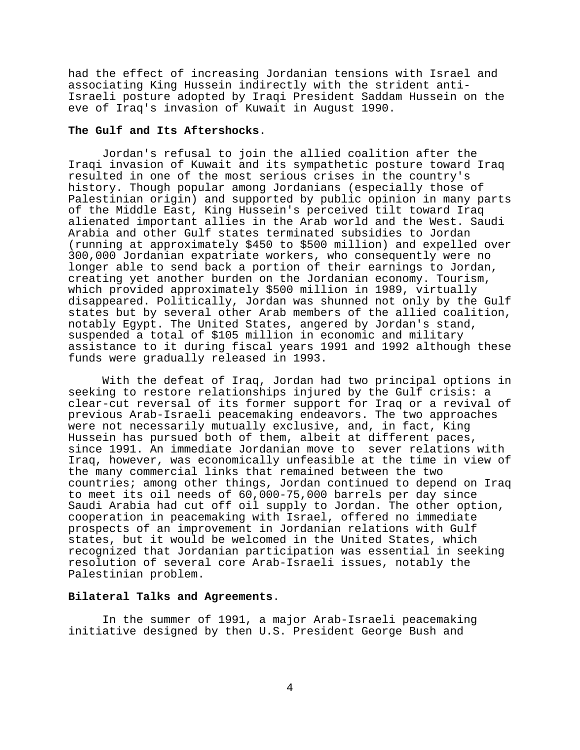had the effect of increasing Jordanian tensions with Israel and associating King Hussein indirectly with the strident anti-Israeli posture adopted by Iraqi President Saddam Hussein on the eve of Iraq's invasion of Kuwait in August 1990.

# **The Gulf and Its Aftershocks**.

Jordan's refusal to join the allied coalition after the Iraqi invasion of Kuwait and its sympathetic posture toward Iraq resulted in one of the most serious crises in the country's history. Though popular among Jordanians (especially those of Palestinian origin) and supported by public opinion in many parts of the Middle East, King Hussein's perceived tilt toward Iraq alienated important allies in the Arab world and the West. Saudi Arabia and other Gulf states terminated subsidies to Jordan (running at approximately \$450 to \$500 million) and expelled over 300,000 Jordanian expatriate workers, who consequently were no longer able to send back a portion of their earnings to Jordan, creating yet another burden on the Jordanian economy. Tourism, which provided approximately \$500 million in 1989, virtually disappeared. Politically, Jordan was shunned not only by the Gulf states but by several other Arab members of the allied coalition, notably Egypt. The United States, angered by Jordan's stand, suspended a total of \$105 million in economic and military assistance to it during fiscal years 1991 and 1992 although these funds were gradually released in 1993.

With the defeat of Iraq, Jordan had two principal options in seeking to restore relationships injured by the Gulf crisis: a clear-cut reversal of its former support for Iraq or a revival of previous Arab-Israeli peacemaking endeavors. The two approaches were not necessarily mutually exclusive, and, in fact, King Hussein has pursued both of them, albeit at different paces, since 1991. An immediate Jordanian move to sever relations with Iraq, however, was economically unfeasible at the time in view of the many commercial links that remained between the two countries; among other things, Jordan continued to depend on Iraq to meet its oil needs of 60,000-75,000 barrels per day since Saudi Arabia had cut off oil supply to Jordan. The other option, cooperation in peacemaking with Israel, offered no immediate prospects of an improvement in Jordanian relations with Gulf states, but it would be welcomed in the United States, which recognized that Jordanian participation was essential in seeking resolution of several core Arab-Israeli issues, notably the Palestinian problem.

### **Bilateral Talks and Agreements**.

In the summer of 1991, a major Arab-Israeli peacemaking initiative designed by then U.S. President George Bush and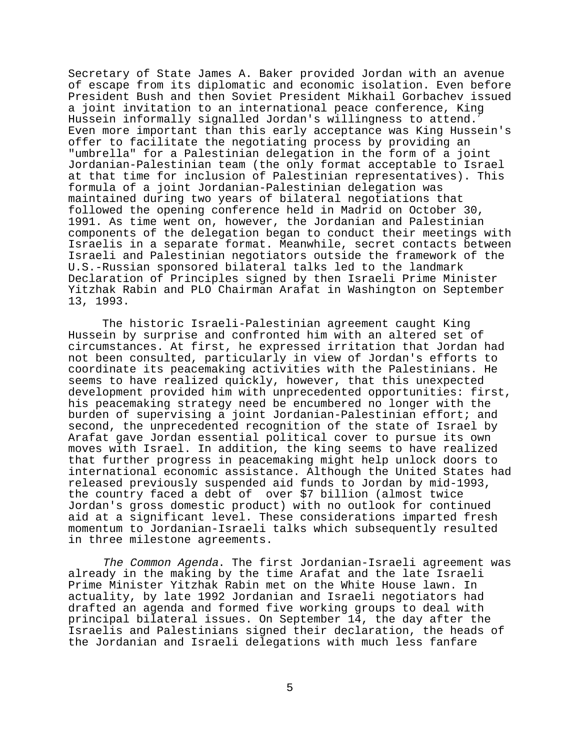Secretary of State James A. Baker provided Jordan with an avenue of escape from its diplomatic and economic isolation. Even before President Bush and then Soviet President Mikhail Gorbachev issued a joint invitation to an international peace conference, King Hussein informally signalled Jordan's willingness to attend. Even more important than this early acceptance was King Hussein's offer to facilitate the negotiating process by providing an "umbrella" for a Palestinian delegation in the form of a joint Jordanian-Palestinian team (the only format acceptable to Israel at that time for inclusion of Palestinian representatives). This formula of a joint Jordanian-Palestinian delegation was maintained during two years of bilateral negotiations that followed the opening conference held in Madrid on October 30, 1991. As time went on, however, the Jordanian and Palestinian components of the delegation began to conduct their meetings with Israelis in a separate format. Meanwhile, secret contacts between Israeli and Palestinian negotiators outside the framework of the U.S.-Russian sponsored bilateral talks led to the landmark Declaration of Principles signed by then Israeli Prime Minister Yitzhak Rabin and PLO Chairman Arafat in Washington on September 13, 1993.

The historic Israeli-Palestinian agreement caught King Hussein by surprise and confronted him with an altered set of circumstances. At first, he expressed irritation that Jordan had not been consulted, particularly in view of Jordan's efforts to coordinate its peacemaking activities with the Palestinians. He seems to have realized quickly, however, that this unexpected development provided him with unprecedented opportunities: first, his peacemaking strategy need be encumbered no longer with the burden of supervising a joint Jordanian-Palestinian effort; and second, the unprecedented recognition of the state of Israel by Arafat gave Jordan essential political cover to pursue its own moves with Israel. In addition, the king seems to have realized that further progress in peacemaking might help unlock doors to international economic assistance. Although the United States had released previously suspended aid funds to Jordan by mid-1993, the country faced a debt of over \$7 billion (almost twice Jordan's gross domestic product) with no outlook for continued aid at a significant level. These considerations imparted fresh momentum to Jordanian-Israeli talks which subsequently resulted in three milestone agreements.

The Common Agenda. The first Jordanian-Israeli agreement was already in the making by the time Arafat and the late Israeli Prime Minister Yitzhak Rabin met on the White House lawn. In actuality, by late 1992 Jordanian and Israeli negotiators had drafted an agenda and formed five working groups to deal with principal bilateral issues. On September 14, the day after the Israelis and Palestinians signed their declaration, the heads of the Jordanian and Israeli delegations with much less fanfare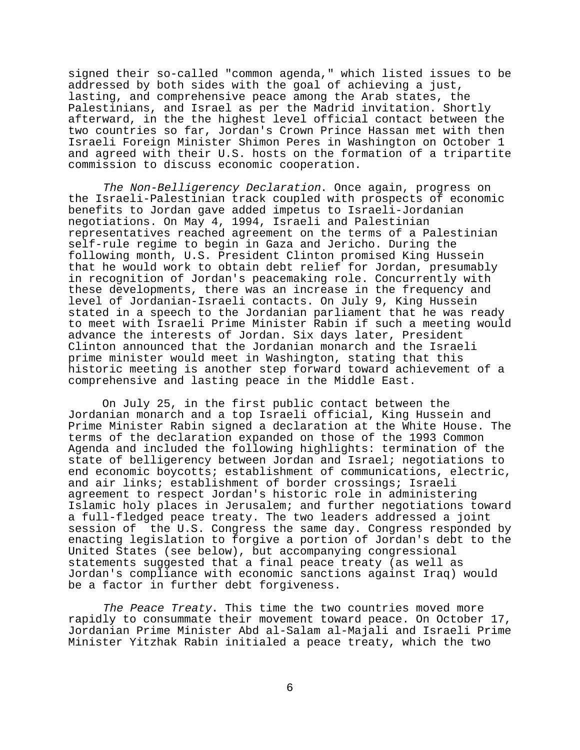signed their so-called "common agenda," which listed issues to be addressed by both sides with the goal of achieving a just, lasting, and comprehensive peace among the Arab states, the Palestinians, and Israel as per the Madrid invitation. Shortly afterward, in the the highest level official contact between the two countries so far, Jordan's Crown Prince Hassan met with then Israeli Foreign Minister Shimon Peres in Washington on October 1 and agreed with their U.S. hosts on the formation of a tripartite commission to discuss economic cooperation.

The Non-Belligerency Declaration. Once again, progress on the Israeli-Palestinian track coupled with prospects of economic benefits to Jordan gave added impetus to Israeli-Jordanian negotiations. On May 4, 1994, Israeli and Palestinian representatives reached agreement on the terms of a Palestinian self-rule regime to begin in Gaza and Jericho. During the following month, U.S. President Clinton promised King Hussein that he would work to obtain debt relief for Jordan, presumably in recognition of Jordan's peacemaking role. Concurrently with these developments, there was an increase in the frequency and level of Jordanian-Israeli contacts. On July 9, King Hussein stated in a speech to the Jordanian parliament that he was ready to meet with Israeli Prime Minister Rabin if such a meeting would advance the interests of Jordan. Six days later, President Clinton announced that the Jordanian monarch and the Israeli prime minister would meet in Washington, stating that this historic meeting is another step forward toward achievement of a comprehensive and lasting peace in the Middle East.

On July 25, in the first public contact between the Jordanian monarch and a top Israeli official, King Hussein and Prime Minister Rabin signed a declaration at the White House. The terms of the declaration expanded on those of the 1993 Common Agenda and included the following highlights: termination of the state of belligerency between Jordan and Israel; negotiations to end economic boycotts; establishment of communications, electric, and air links; establishment of border crossings; Israeli agreement to respect Jordan's historic role in administering Islamic holy places in Jerusalem; and further negotiations toward a full-fledged peace treaty. The two leaders addressed a joint session of the U.S. Congress the same day. Congress responded by enacting legislation to forgive a portion of Jordan's debt to the United States (see below), but accompanying congressional statements suggested that a final peace treaty (as well as Jordan's compliance with economic sanctions against Iraq) would be a factor in further debt forgiveness.

The Peace Treaty. This time the two countries moved more rapidly to consummate their movement toward peace. On October 17, Jordanian Prime Minister Abd al-Salam al-Majali and Israeli Prime Minister Yitzhak Rabin initialed a peace treaty, which the two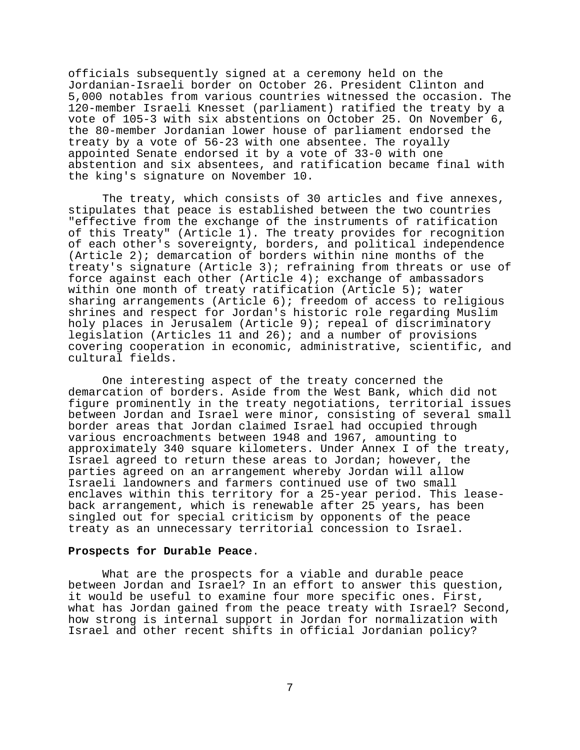officials subsequently signed at a ceremony held on the Jordanian-Israeli border on October 26. President Clinton and 5,000 notables from various countries witnessed the occasion. The 120-member Israeli Knesset (parliament) ratified the treaty by a vote of 105-3 with six abstentions on October 25. On November 6, the 80-member Jordanian lower house of parliament endorsed the treaty by a vote of 56-23 with one absentee. The royally appointed Senate endorsed it by a vote of 33-0 with one abstention and six absentees, and ratification became final with the king's signature on November 10.

The treaty, which consists of 30 articles and five annexes, stipulates that peace is established between the two countries "effective from the exchange of the instruments of ratification of this Treaty" (Article 1). The treaty provides for recognition of each other's sovereignty, borders, and political independence (Article 2); demarcation of borders within nine months of the treaty's signature (Article 3); refraining from threats or use of force against each other (Article 4); exchange of ambassadors within one month of treaty ratification (Article 5); water sharing arrangements (Article 6); freedom of access to religious shrines and respect for Jordan's historic role regarding Muslim holy places in Jerusalem (Article 9); repeal of discriminatory legislation (Articles 11 and 26); and a number of provisions covering cooperation in economic, administrative, scientific, and cultural fields.

One interesting aspect of the treaty concerned the demarcation of borders. Aside from the West Bank, which did not figure prominently in the treaty negotiations, territorial issues between Jordan and Israel were minor, consisting of several small border areas that Jordan claimed Israel had occupied through various encroachments between 1948 and 1967, amounting to approximately 340 square kilometers. Under Annex I of the treaty, Israel agreed to return these areas to Jordan; however, the parties agreed on an arrangement whereby Jordan will allow Israeli landowners and farmers continued use of two small enclaves within this territory for a 25-year period. This leaseback arrangement, which is renewable after 25 years, has been singled out for special criticism by opponents of the peace treaty as an unnecessary territorial concession to Israel.

### **Prospects for Durable Peace**.

What are the prospects for a viable and durable peace between Jordan and Israel? In an effort to answer this question, it would be useful to examine four more specific ones. First, what has Jordan gained from the peace treaty with Israel? Second, how strong is internal support in Jordan for normalization with Israel and other recent shifts in official Jordanian policy?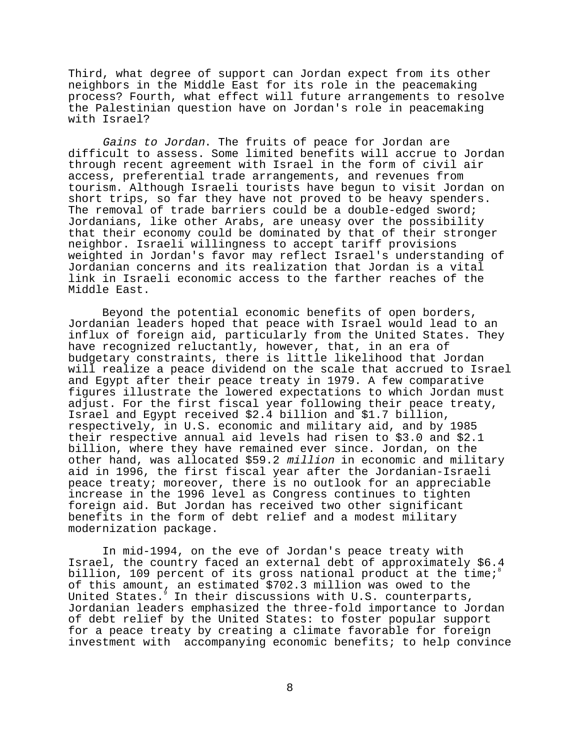Third, what degree of support can Jordan expect from its other neighbors in the Middle East for its role in the peacemaking process? Fourth, what effect will future arrangements to resolve the Palestinian question have on Jordan's role in peacemaking with Israel?

Gains to Jordan. The fruits of peace for Jordan are difficult to assess. Some limited benefits will accrue to Jordan through recent agreement with Israel in the form of civil air access, preferential trade arrangements, and revenues from tourism. Although Israeli tourists have begun to visit Jordan on short trips, so far they have not proved to be heavy spenders. The removal of trade barriers could be a double-edged sword; Jordanians, like other Arabs, are uneasy over the possibility that their economy could be dominated by that of their stronger neighbor. Israeli willingness to accept tariff provisions weighted in Jordan's favor may reflect Israel's understanding of Jordanian concerns and its realization that Jordan is a vital link in Israeli economic access to the farther reaches of the Middle East.

Beyond the potential economic benefits of open borders, Jordanian leaders hoped that peace with Israel would lead to an influx of foreign aid, particularly from the United States. They have recognized reluctantly, however, that, in an era of budgetary constraints, there is little likelihood that Jordan will realize a peace dividend on the scale that accrued to Israel and Egypt after their peace treaty in 1979. A few comparative figures illustrate the lowered expectations to which Jordan must adjust. For the first fiscal year following their peace treaty, Israel and Egypt received \$2.4 billion and \$1.7 billion, respectively, in U.S. economic and military aid, and by 1985 their respective annual aid levels had risen to \$3.0 and \$2.1 billion, where they have remained ever since. Jordan, on the other hand, was allocated \$59.2 million in economic and military aid in 1996, the first fiscal year after the Jordanian-Israeli peace treaty; moreover, there is no outlook for an appreciable increase in the 1996 level as Congress continues to tighten foreign aid. But Jordan has received two other significant benefits in the form of debt relief and a modest military modernization package.

In mid-1994, on the eve of Jordan's peace treaty with Israel, the country faced an external debt of approximately \$6.4 billion, 109 percent of its gross national product at the time; $^8$ of this amount, an estimated \$702.3 million was owed to the United States. In their discussions with U.S. counterparts, Jordanian leaders emphasized the three-fold importance to Jordan of debt relief by the United States: to foster popular support for a peace treaty by creating a climate favorable for foreign investment with accompanying economic benefits; to help convince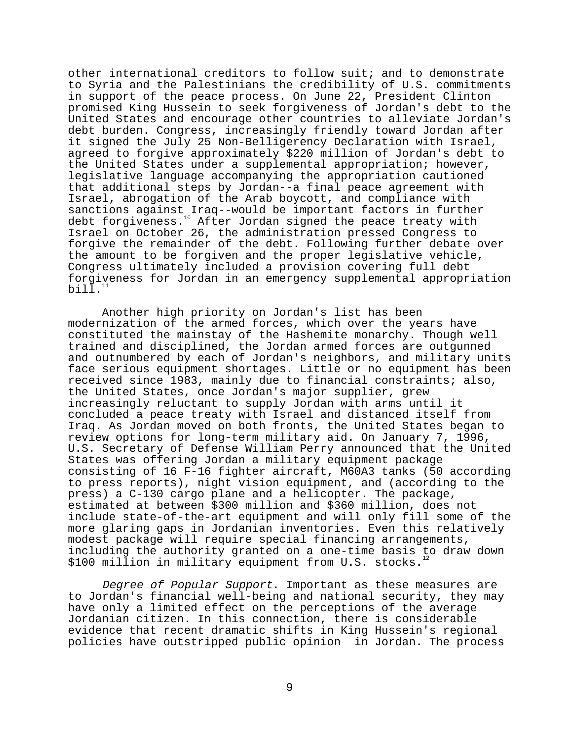other international creditors to follow suit; and to demonstrate to Syria and the Palestinians the credibility of U.S. commitments in support of the peace process. On June 22, President Clinton promised King Hussein to seek forgiveness of Jordan's debt to the United States and encourage other countries to alleviate Jordan's debt burden. Congress, increasingly friendly toward Jordan after it signed the July 25 Non-Belligerency Declaration with Israel, agreed to forgive approximately \$220 million of Jordan's debt to the United States under a supplemental appropriation; however, legislative language accompanying the appropriation cautioned that additional steps by Jordan--a final peace agreement with Israel, abrogation of the Arab boycott, and compliance with sanctions against Iraq--would be important factors in further debt forgiveness.10 After Jordan signed the peace treaty with Israel on October 26, the administration pressed Congress to forgive the remainder of the debt. Following further debate over the amount to be forgiven and the proper legislative vehicle, Congress ultimately included a provision covering full debt forgiveness for Jordan in an emergency supplemental appropriation bill. $1$ 

Another high priority on Jordan's list has been modernization of the armed forces, which over the years have constituted the mainstay of the Hashemite monarchy. Though well trained and disciplined, the Jordan armed forces are outgunned and outnumbered by each of Jordan's neighbors, and military units face serious equipment shortages. Little or no equipment has been received since 1983, mainly due to financial constraints; also, the United States, once Jordan's major supplier, grew increasingly reluctant to supply Jordan with arms until it concluded a peace treaty with Israel and distanced itself from Iraq. As Jordan moved on both fronts, the United States began to review options for long-term military aid. On January 7, 1996, U.S. Secretary of Defense William Perry announced that the United States was offering Jordan a military equipment package consisting of 16 F-16 fighter aircraft, M60A3 tanks (50 according to press reports), night vision equipment, and (according to the press) a C-130 cargo plane and a helicopter. The package, estimated at between \$300 million and \$360 million, does not include state-of-the-art equipment and will only fill some of the more glaring gaps in Jordanian inventories. Even this relatively modest package will require special financing arrangements, including the authority granted on a one-time basis to draw down \$100 million in military equipment from U.S. stocks.

Degree of Popular Support. Important as these measures are to Jordan's financial well-being and national security, they may have only a limited effect on the perceptions of the average Jordanian citizen. In this connection, there is considerable evidence that recent dramatic shifts in King Hussein's regional policies have outstripped public opinion in Jordan. The process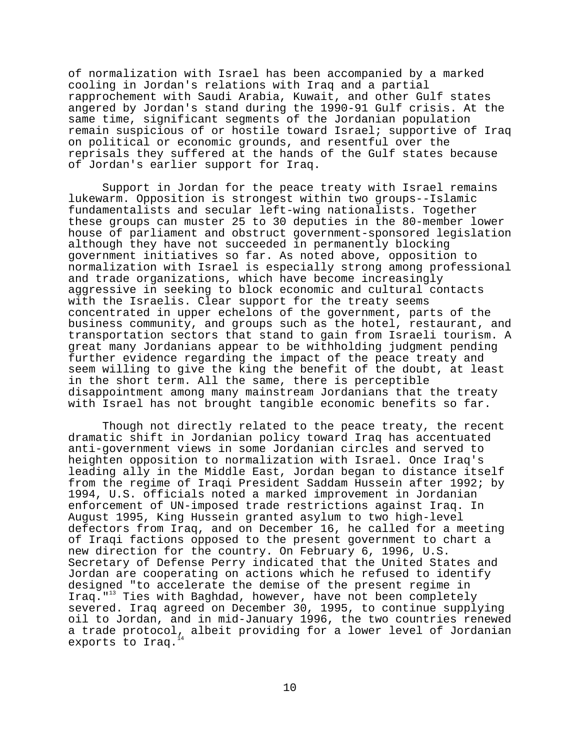of normalization with Israel has been accompanied by a marked cooling in Jordan's relations with Iraq and a partial rapprochement with Saudi Arabia, Kuwait, and other Gulf states angered by Jordan's stand during the 1990-91 Gulf crisis. At the same time, significant segments of the Jordanian population remain suspicious of or hostile toward Israel; supportive of Iraq on political or economic grounds, and resentful over the reprisals they suffered at the hands of the Gulf states because of Jordan's earlier support for Iraq.

Support in Jordan for the peace treaty with Israel remains lukewarm. Opposition is strongest within two groups--Islamic fundamentalists and secular left-wing nationalists. Together these groups can muster 25 to 30 deputies in the 80-member lower house of parliament and obstruct government-sponsored legislation although they have not succeeded in permanently blocking government initiatives so far. As noted above, opposition to normalization with Israel is especially strong among professional and trade organizations, which have become increasingly aggressive in seeking to block economic and cultural contacts with the Israelis. Clear support for the treaty seems concentrated in upper echelons of the government, parts of the business community, and groups such as the hotel, restaurant, and transportation sectors that stand to gain from Israeli tourism. A great many Jordanians appear to be withholding judgment pending further evidence regarding the impact of the peace treaty and seem willing to give the king the benefit of the doubt, at least in the short term. All the same, there is perceptible disappointment among many mainstream Jordanians that the treaty with Israel has not brought tangible economic benefits so far.

Though not directly related to the peace treaty, the recent dramatic shift in Jordanian policy toward Iraq has accentuated anti-government views in some Jordanian circles and served to heighten opposition to normalization with Israel. Once Iraq's leading ally in the Middle East, Jordan began to distance itself from the regime of Iraqi President Saddam Hussein after 1992; by 1994, U.S. officials noted a marked improvement in Jordanian enforcement of UN-imposed trade restrictions against Iraq. In August 1995, King Hussein granted asylum to two high-level defectors from Iraq, and on December 16, he called for a meeting of Iraqi factions opposed to the present government to chart a new direction for the country. On February 6, 1996, U.S. Secretary of Defense Perry indicated that the United States and Jordan are cooperating on actions which he refused to identify designed "to accelerate the demise of the present regime in Iraq."<sup>13</sup> Ties with Baghdad, however, have not been completely severed. Iraq agreed on December 30, 1995, to continue supplying oil to Jordan, and in mid-January 1996, the two countries renewed a trade protocol, albeit providing for a lower level of Jordanian exports to Iraq.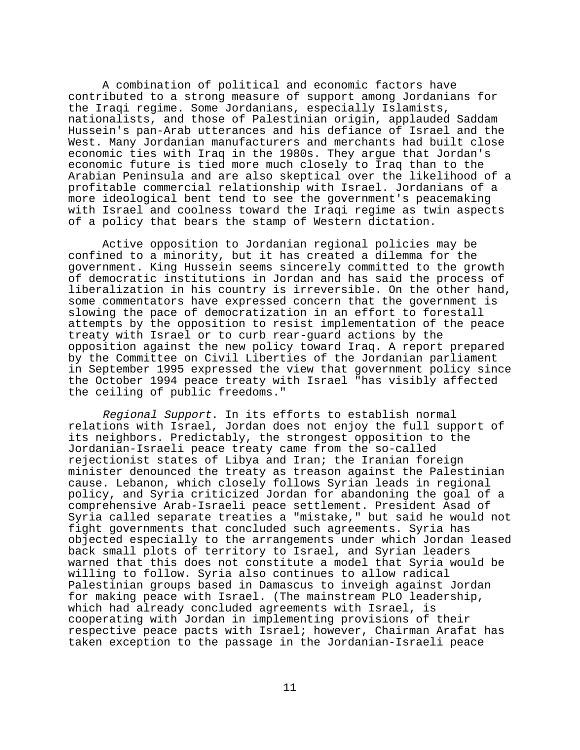A combination of political and economic factors have contributed to a strong measure of support among Jordanians for the Iraqi regime. Some Jordanians, especially Islamists, nationalists, and those of Palestinian origin, applauded Saddam Hussein's pan-Arab utterances and his defiance of Israel and the West. Many Jordanian manufacturers and merchants had built close economic ties with Iraq in the 1980s. They argue that Jordan's economic future is tied more much closely to Iraq than to the Arabian Peninsula and are also skeptical over the likelihood of a profitable commercial relationship with Israel. Jordanians of a more ideological bent tend to see the government's peacemaking with Israel and coolness toward the Iraqi regime as twin aspects of a policy that bears the stamp of Western dictation.

Active opposition to Jordanian regional policies may be confined to a minority, but it has created a dilemma for the government. King Hussein seems sincerely committed to the growth of democratic institutions in Jordan and has said the process of liberalization in his country is irreversible. On the other hand, some commentators have expressed concern that the government is slowing the pace of democratization in an effort to forestall attempts by the opposition to resist implementation of the peace treaty with Israel or to curb rear-guard actions by the opposition against the new policy toward Iraq. A report prepared by the Committee on Civil Liberties of the Jordanian parliament in September 1995 expressed the view that government policy since the October 1994 peace treaty with Israel "has visibly affected the ceiling of public freedoms."

Regional Support. In its efforts to establish normal relations with Israel, Jordan does not enjoy the full support of its neighbors. Predictably, the strongest opposition to the Jordanian-Israeli peace treaty came from the so-called rejectionist states of Libya and Iran; the Iranian foreign minister denounced the treaty as treason against the Palestinian cause. Lebanon, which closely follows Syrian leads in regional policy, and Syria criticized Jordan for abandoning the goal of a comprehensive Arab-Israeli peace settlement. President Asad of Syria called separate treaties a "mistake," but said he would not fight governments that concluded such agreements. Syria has objected especially to the arrangements under which Jordan leased back small plots of territory to Israel, and Syrian leaders warned that this does not constitute a model that Syria would be willing to follow. Syria also continues to allow radical Palestinian groups based in Damascus to inveigh against Jordan for making peace with Israel. (The mainstream PLO leadership, which had already concluded agreements with Israel, is cooperating with Jordan in implementing provisions of their respective peace pacts with Israel; however, Chairman Arafat has taken exception to the passage in the Jordanian-Israeli peace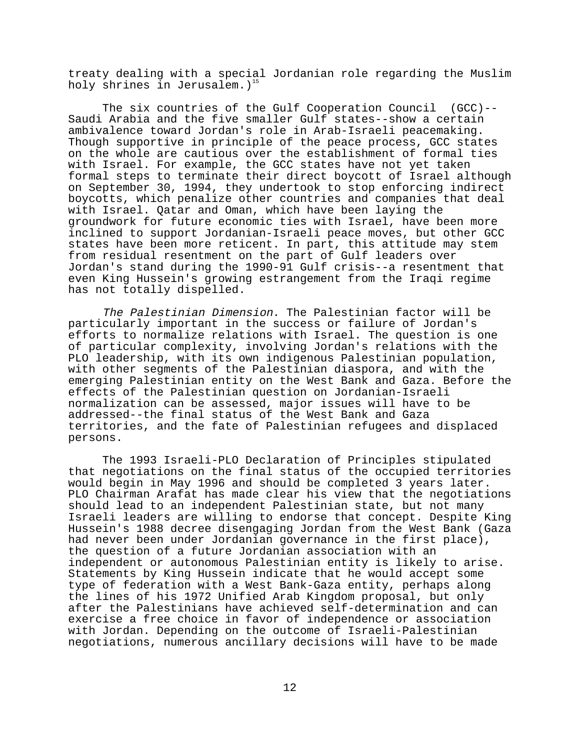treaty dealing with a special Jordanian role regarding the Muslim holy shrines in Jerusalem.)<sup>15</sup>

The six countries of the Gulf Cooperation Council (GCC)-- Saudi Arabia and the five smaller Gulf states--show a certain ambivalence toward Jordan's role in Arab-Israeli peacemaking. Though supportive in principle of the peace process, GCC states on the whole are cautious over the establishment of formal ties with Israel. For example, the GCC states have not yet taken formal steps to terminate their direct boycott of Israel although on September 30, 1994, they undertook to stop enforcing indirect boycotts, which penalize other countries and companies that deal with Israel. Qatar and Oman, which have been laying the groundwork for future economic ties with Israel, have been more inclined to support Jordanian-Israeli peace moves, but other GCC states have been more reticent. In part, this attitude may stem from residual resentment on the part of Gulf leaders over Jordan's stand during the 1990-91 Gulf crisis--a resentment that even King Hussein's growing estrangement from the Iraqi regime has not totally dispelled.

The Palestinian Dimension. The Palestinian factor will be particularly important in the success or failure of Jordan's efforts to normalize relations with Israel. The question is one of particular complexity, involving Jordan's relations with the PLO leadership, with its own indigenous Palestinian population, with other segments of the Palestinian diaspora, and with the emerging Palestinian entity on the West Bank and Gaza. Before the effects of the Palestinian question on Jordanian-Israeli normalization can be assessed, major issues will have to be addressed--the final status of the West Bank and Gaza territories, and the fate of Palestinian refugees and displaced persons.

The 1993 Israeli-PLO Declaration of Principles stipulated that negotiations on the final status of the occupied territories would begin in May 1996 and should be completed 3 years later. PLO Chairman Arafat has made clear his view that the negotiations should lead to an independent Palestinian state, but not many Israeli leaders are willing to endorse that concept. Despite King Hussein's 1988 decree disengaging Jordan from the West Bank (Gaza had never been under Jordanian governance in the first place), the question of a future Jordanian association with an independent or autonomous Palestinian entity is likely to arise. Statements by King Hussein indicate that he would accept some type of federation with a West Bank-Gaza entity, perhaps along the lines of his 1972 Unified Arab Kingdom proposal, but only after the Palestinians have achieved self-determination and can exercise a free choice in favor of independence or association with Jordan. Depending on the outcome of Israeli-Palestinian negotiations, numerous ancillary decisions will have to be made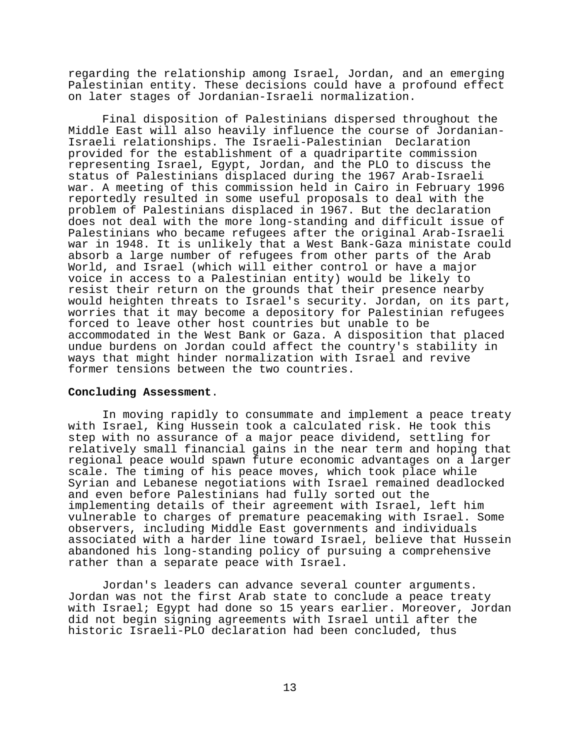regarding the relationship among Israel, Jordan, and an emerging Palestinian entity. These decisions could have a profound effect on later stages of Jordanian-Israeli normalization.

Final disposition of Palestinians dispersed throughout the Middle East will also heavily influence the course of Jordanian-Israeli relationships. The Israeli-Palestinian Declaration provided for the establishment of a quadripartite commission representing Israel, Egypt, Jordan, and the PLO to discuss the status of Palestinians displaced during the 1967 Arab-Israeli war. A meeting of this commission held in Cairo in February 1996 reportedly resulted in some useful proposals to deal with the problem of Palestinians displaced in 1967. But the declaration does not deal with the more long-standing and difficult issue of Palestinians who became refugees after the original Arab-Israeli war in 1948. It is unlikely that a West Bank-Gaza ministate could absorb a large number of refugees from other parts of the Arab World, and Israel (which will either control or have a major voice in access to a Palestinian entity) would be likely to resist their return on the grounds that their presence nearby would heighten threats to Israel's security. Jordan, on its part, worries that it may become a depository for Palestinian refugees forced to leave other host countries but unable to be accommodated in the West Bank or Gaza. A disposition that placed undue burdens on Jordan could affect the country's stability in ways that might hinder normalization with Israel and revive former tensions between the two countries.

#### **Concluding Assessment**.

In moving rapidly to consummate and implement a peace treaty with Israel, King Hussein took a calculated risk. He took this step with no assurance of a major peace dividend, settling for relatively small financial gains in the near term and hoping that regional peace would spawn future economic advantages on a larger scale. The timing of his peace moves, which took place while Syrian and Lebanese negotiations with Israel remained deadlocked and even before Palestinians had fully sorted out the implementing details of their agreement with Israel, left him vulnerable to charges of premature peacemaking with Israel. Some observers, including Middle East governments and individuals associated with a harder line toward Israel, believe that Hussein abandoned his long-standing policy of pursuing a comprehensive rather than a separate peace with Israel.

Jordan's leaders can advance several counter arguments. Jordan was not the first Arab state to conclude a peace treaty with Israel; Egypt had done so 15 years earlier. Moreover, Jordan did not begin signing agreements with Israel until after the historic Israeli-PLO declaration had been concluded, thus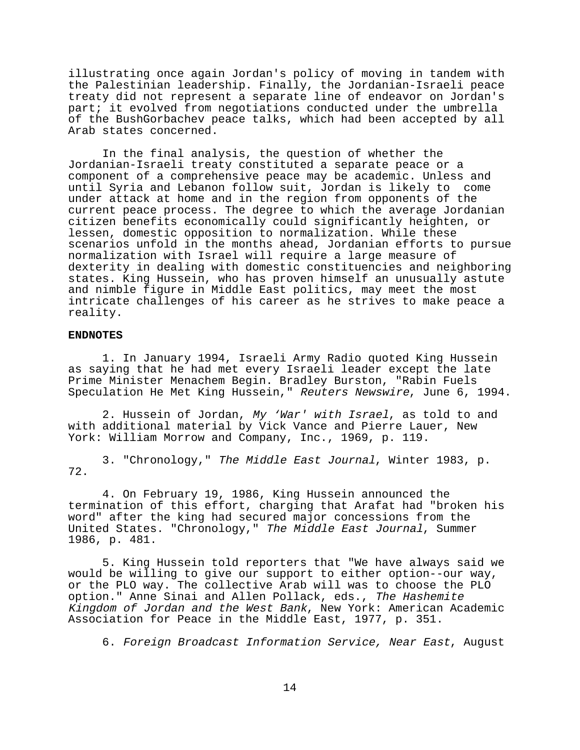illustrating once again Jordan's policy of moving in tandem with the Palestinian leadership. Finally, the Jordanian-Israeli peace treaty did not represent a separate line of endeavor on Jordan's part; it evolved from negotiations conducted under the umbrella of the BushGorbachev peace talks, which had been accepted by all Arab states concerned.

In the final analysis, the question of whether the Jordanian-Israeli treaty constituted a separate peace or a component of a comprehensive peace may be academic. Unless and until Syria and Lebanon follow suit, Jordan is likely to come under attack at home and in the region from opponents of the current peace process. The degree to which the average Jordanian citizen benefits economically could significantly heighten, or lessen, domestic opposition to normalization. While these scenarios unfold in the months ahead, Jordanian efforts to pursue normalization with Israel will require a large measure of dexterity in dealing with domestic constituencies and neighboring states. King Hussein, who has proven himself an unusually astute and nimble figure in Middle East politics, may meet the most intricate challenges of his career as he strives to make peace a reality.

# **ENDNOTES**

1. In January 1994, Israeli Army Radio quoted King Hussein as saying that he had met every Israeli leader except the late Prime Minister Menachem Begin. Bradley Burston, "Rabin Fuels Speculation He Met King Hussein," Reuters Newswire, June 6, 1994.

2. Hussein of Jordan, My 'War' with Israel, as told to and with additional material by Vick Vance and Pierre Lauer, New York: William Morrow and Company, Inc., 1969, p. 119.

3. "Chronology," The Middle East Journal, Winter 1983, p. 72.

4. On February 19, 1986, King Hussein announced the termination of this effort, charging that Arafat had "broken his word" after the king had secured major concessions from the United States. "Chronology," The Middle East Journal, Summer 1986, p. 481.

5. King Hussein told reporters that "We have always said we would be willing to give our support to either option--our way, or the PLO way. The collective Arab will was to choose the PLO option." Anne Sinai and Allen Pollack, eds., The Hashemite Kingdom of Jordan and the West Bank, New York: American Academic Association for Peace in the Middle East, 1977, p. 351.

6. Foreign Broadcast Information Service, Near East, August

14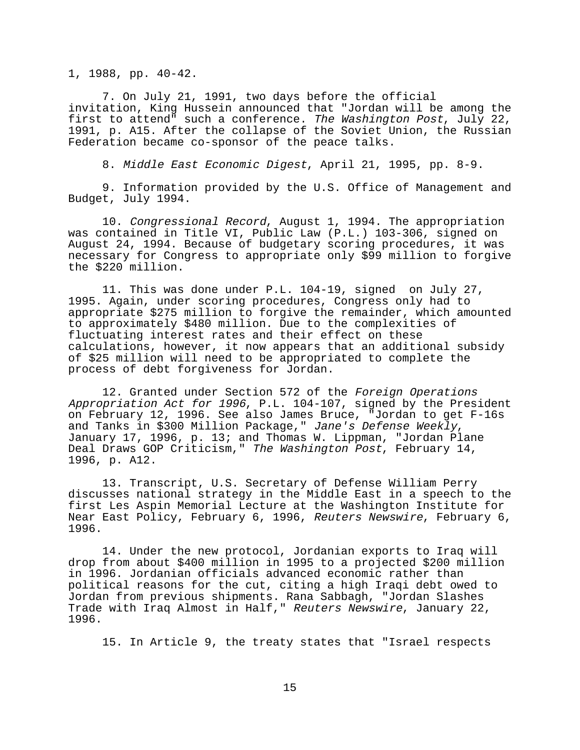1, 1988, pp. 40-42.

7. On July 21, 1991, two days before the official invitation, King Hussein announced that "Jordan will be among the first to attend" such a conference. The Washington Post, July 22, 1991, p. A15. After the collapse of the Soviet Union, the Russian Federation became co-sponsor of the peace talks.

8. Middle East Economic Digest, April 21, 1995, pp. 8-9.

9. Information provided by the U.S. Office of Management and Budget, July 1994.

10. Congressional Record, August 1, 1994. The appropriation was contained in Title VI, Public Law (P.L.) 103-306, signed on August 24, 1994. Because of budgetary scoring procedures, it was necessary for Congress to appropriate only \$99 million to forgive the \$220 million.

11. This was done under P.L. 104-19, signed on July 27, 1995. Again, under scoring procedures, Congress only had to appropriate \$275 million to forgive the remainder, which amounted to approximately \$480 million. Due to the complexities of fluctuating interest rates and their effect on these calculations, however, it now appears that an additional subsidy of \$25 million will need to be appropriated to complete the process of debt forgiveness for Jordan.

12. Granted under Section 572 of the Foreign Operations Appropriation Act for 1996, P.L. 104-107, signed by the President on February 12, 1996. See also James Bruce, "Jordan to get F-16s and Tanks in \$300 Million Package," Jane's Defense Weekly, January 17, 1996, p. 13; and Thomas W. Lippman, "Jordan Plane Deal Draws GOP Criticism," The Washington Post, February 14, 1996, p. A12.

13. Transcript, U.S. Secretary of Defense William Perry discusses national strategy in the Middle East in a speech to the first Les Aspin Memorial Lecture at the Washington Institute for Near East Policy, February 6, 1996, Reuters Newswire, February 6, 1996.

14. Under the new protocol, Jordanian exports to Iraq will drop from about \$400 million in 1995 to a projected \$200 million in 1996. Jordanian officials advanced economic rather than political reasons for the cut, citing a high Iraqi debt owed to Jordan from previous shipments. Rana Sabbagh, "Jordan Slashes Trade with Iraq Almost in Half," Reuters Newswire, January 22, 1996.

15. In Article 9, the treaty states that "Israel respects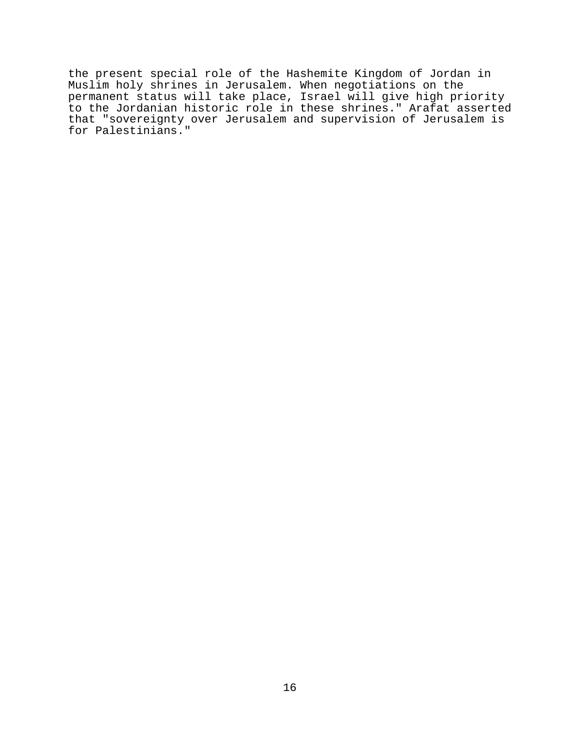the present special role of the Hashemite Kingdom of Jordan in Muslim holy shrines in Jerusalem. When negotiations on the permanent status will take place, Israel will give high priority to the Jordanian historic role in these shrines." Arafat asserted that "sovereignty over Jerusalem and supervision of Jerusalem is for Palestinians."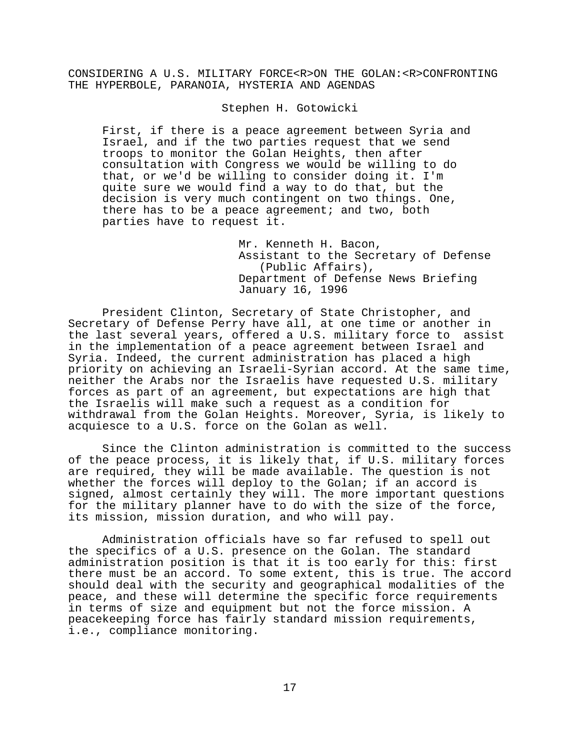CONSIDERING A U.S. MILITARY FORCE<R>ON THE GOLAN:<R>CONFRONTING THE HYPERBOLE, PARANOIA, HYSTERIA AND AGENDAS

Stephen H. Gotowicki

First, if there is a peace agreement between Syria and Israel, and if the two parties request that we send troops to monitor the Golan Heights, then after consultation with Congress we would be willing to do that, or we'd be willing to consider doing it. I'm quite sure we would find a way to do that, but the decision is very much contingent on two things. One, there has to be a peace agreement; and two, both parties have to request it.

> Mr. Kenneth H. Bacon, Assistant to the Secretary of Defense (Public Affairs), Department of Defense News Briefing January 16, 1996

President Clinton, Secretary of State Christopher, and Secretary of Defense Perry have all, at one time or another in the last several years, offered a U.S. military force to assist in the implementation of a peace agreement between Israel and Syria. Indeed, the current administration has placed a high priority on achieving an Israeli-Syrian accord. At the same time, neither the Arabs nor the Israelis have requested U.S. military forces as part of an agreement, but expectations are high that the Israelis will make such a request as a condition for withdrawal from the Golan Heights. Moreover, Syria, is likely to acquiesce to a U.S. force on the Golan as well.

Since the Clinton administration is committed to the success of the peace process, it is likely that, if U.S. military forces are required, they will be made available. The question is not whether the forces will deploy to the Golan; if an accord is signed, almost certainly they will. The more important questions for the military planner have to do with the size of the force, its mission, mission duration, and who will pay.

Administration officials have so far refused to spell out the specifics of a U.S. presence on the Golan. The standard administration position is that it is too early for this: first there must be an accord. To some extent, this is true. The accord should deal with the security and geographical modalities of the peace, and these will determine the specific force requirements in terms of size and equipment but not the force mission. A peacekeeping force has fairly standard mission requirements, i.e., compliance monitoring.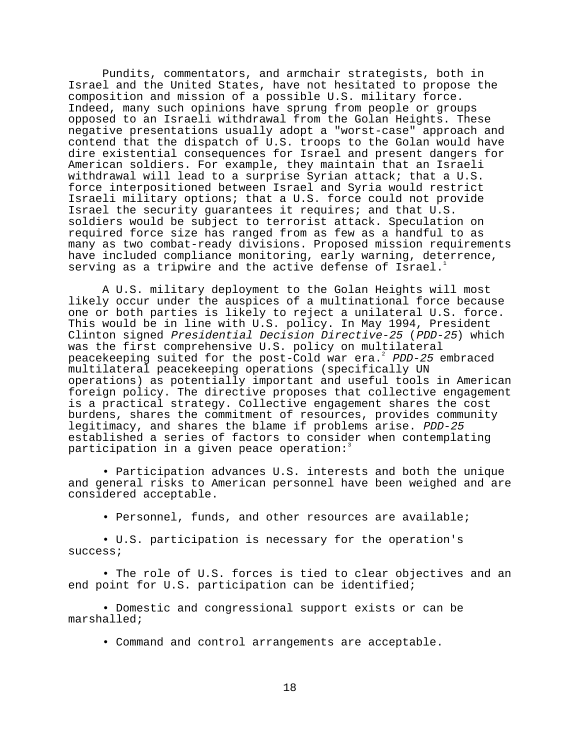Pundits, commentators, and armchair strategists, both in Israel and the United States, have not hesitated to propose the composition and mission of a possible U.S. military force. Indeed, many such opinions have sprung from people or groups opposed to an Israeli withdrawal from the Golan Heights. These negative presentations usually adopt a "worst-case" approach and contend that the dispatch of U.S. troops to the Golan would have dire existential consequences for Israel and present dangers for American soldiers. For example, they maintain that an Israeli withdrawal will lead to a surprise Syrian attack; that a U.S. force interpositioned between Israel and Syria would restrict Israeli military options; that a U.S. force could not provide Israel the security guarantees it requires; and that U.S. soldiers would be subject to terrorist attack. Speculation on required force size has ranged from as few as a handful to as many as two combat-ready divisions. Proposed mission requirements have included compliance monitoring, early warning, deterrence, serving as a tripwire and the active defense of Israel.

A U.S. military deployment to the Golan Heights will most likely occur under the auspices of a multinational force because one or both parties is likely to reject a unilateral U.S. force. This would be in line with U.S. policy. In May 1994, President Clinton signed Presidential Decision Directive-25 (PDD-25) which was the first comprehensive U.S. policy on multilateral peacekeeping suited for the post-Cold war era.<sup>2</sup> PDD-25 embraced multilateral peacekeeping operations (specifically UN operations) as potentially important and useful tools in American foreign policy. The directive proposes that collective engagement is a practical strategy. Collective engagement shares the cost burdens, shares the commitment of resources, provides community legitimacy, and shares the blame if problems arise. PDD-25 established a series of factors to consider when contemplating participation in a given peace operation:

• Participation advances U.S. interests and both the unique and general risks to American personnel have been weighed and are considered acceptable.

• Personnel, funds, and other resources are available;

• U.S. participation is necessary for the operation's success;

• The role of U.S. forces is tied to clear objectives and an end point for U.S. participation can be identified;

• Domestic and congressional support exists or can be marshalled;

• Command and control arrangements are acceptable.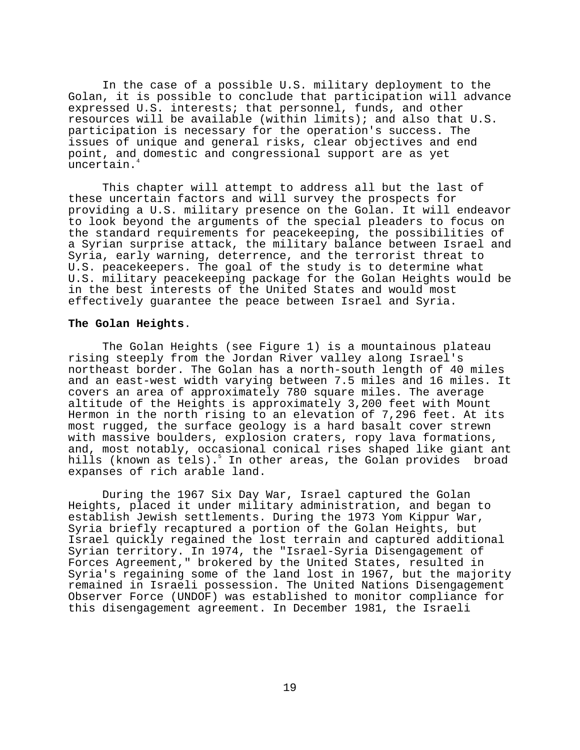In the case of a possible U.S. military deployment to the Golan, it is possible to conclude that participation will advance expressed U.S. interests; that personnel, funds, and other resources will be available (within limits); and also that U.S. participation is necessary for the operation's success. The issues of unique and general risks, clear objectives and end point, and domestic and congressional support are as yet uncertain.<sup>4</sup>

This chapter will attempt to address all but the last of these uncertain factors and will survey the prospects for providing a U.S. military presence on the Golan. It will endeavor to look beyond the arguments of the special pleaders to focus on the standard requirements for peacekeeping, the possibilities of a Syrian surprise attack, the military balance between Israel and Syria, early warning, deterrence, and the terrorist threat to U.S. peacekeepers. The goal of the study is to determine what U.S. military peacekeeping package for the Golan Heights would be in the best interests of the United States and would most effectively guarantee the peace between Israel and Syria.

#### **The Golan Heights**.

The Golan Heights (see Figure 1) is a mountainous plateau rising steeply from the Jordan River valley along Israel's northeast border. The Golan has a north-south length of 40 miles and an east-west width varying between 7.5 miles and 16 miles. It covers an area of approximately 780 square miles. The average altitude of the Heights is approximately 3,200 feet with Mount Hermon in the north rising to an elevation of 7,296 feet. At its most rugged, the surface geology is a hard basalt cover strewn with massive boulders, explosion craters, ropy lava formations, and, most notably, occasional conical rises shaped like giant ant hills (known as tels).<sup>5</sup> In other areas, the Golan provides broad expanses of rich arable land.

During the 1967 Six Day War, Israel captured the Golan Heights, placed it under military administration, and began to establish Jewish settlements. During the 1973 Yom Kippur War, Syria briefly recaptured a portion of the Golan Heights, but Israel quickly regained the lost terrain and captured additional Syrian territory. In 1974, the "Israel-Syria Disengagement of Forces Agreement," brokered by the United States, resulted in Syria's regaining some of the land lost in 1967, but the majority remained in Israeli possession. The United Nations Disengagement Observer Force (UNDOF) was established to monitor compliance for this disengagement agreement. In December 1981, the Israeli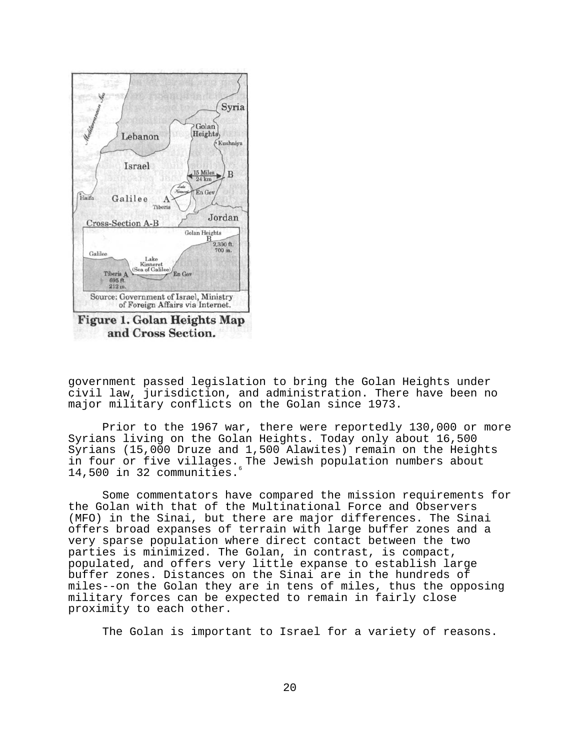

government passed legislation to bring the Golan Heights under civil law, jurisdiction, and administration. There have been no major military conflicts on the Golan since 1973.

Prior to the 1967 war, there were reportedly 130,000 or more Syrians living on the Golan Heights. Today only about 16,500 Syrians (15,000 Druze and 1,500 Alawites) remain on the Heights in four or five villages. The Jewish population numbers about 14,500 in 32 communities.6

Some commentators have compared the mission requirements for the Golan with that of the Multinational Force and Observers (MFO) in the Sinai, but there are major differences. The Sinai offers broad expanses of terrain with large buffer zones and a very sparse population where direct contact between the two parties is minimized. The Golan, in contrast, is compact, populated, and offers very little expanse to establish large buffer zones. Distances on the Sinai are in the hundreds of miles--on the Golan they are in tens of miles, thus the opposing military forces can be expected to remain in fairly close proximity to each other.

The Golan is important to Israel for a variety of reasons.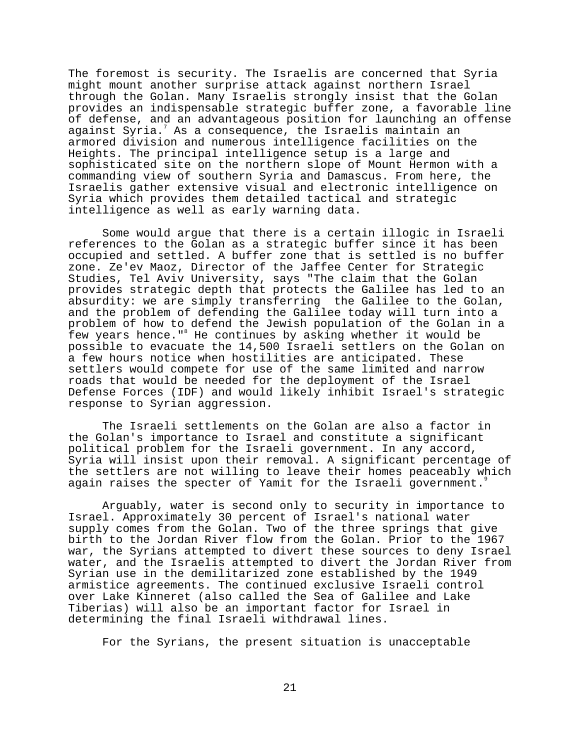The foremost is security. The Israelis are concerned that Syria might mount another surprise attack against northern Israel through the Golan. Many Israelis strongly insist that the Golan provides an indispensable strategic buffer zone, a favorable line of defense, and an advantageous position for launching an offense against Syria. $^7$  As a consequence, the Israelis maintain an armored division and numerous intelligence facilities on the Heights. The principal intelligence setup is a large and sophisticated site on the northern slope of Mount Hermon with a commanding view of southern Syria and Damascus. From here, the Israelis gather extensive visual and electronic intelligence on Syria which provides them detailed tactical and strategic intelligence as well as early warning data.

Some would argue that there is a certain illogic in Israeli references to the Golan as a strategic buffer since it has been occupied and settled. A buffer zone that is settled is no buffer zone. Ze'ev Maoz, Director of the Jaffee Center for Strategic Studies, Tel Aviv University, says "The claim that the Golan provides strategic depth that protects the Galilee has led to an absurdity: we are simply transferring the Galilee to the Golan, and the problem of defending the Galilee today will turn into a problem of how to defend the Jewish population of the Golan in a few years hence."<sup>8</sup> He continues by asking whether it would be possible to evacuate the 14,500 Israeli settlers on the Golan on a few hours notice when hostilities are anticipated. These settlers would compete for use of the same limited and narrow roads that would be needed for the deployment of the Israel Defense Forces (IDF) and would likely inhibit Israel's strategic response to Syrian aggression.

The Israeli settlements on the Golan are also a factor in the Golan's importance to Israel and constitute a significant political problem for the Israeli government. In any accord, Syria will insist upon their removal. A significant percentage of the settlers are not willing to leave their homes peaceably which again raises the specter of Yamit for the Israeli government.

Arguably, water is second only to security in importance to Israel. Approximately 30 percent of Israel's national water supply comes from the Golan. Two of the three springs that give birth to the Jordan River flow from the Golan. Prior to the 1967 war, the Syrians attempted to divert these sources to deny Israel water, and the Israelis attempted to divert the Jordan River from Syrian use in the demilitarized zone established by the 1949 armistice agreements. The continued exclusive Israeli control over Lake Kinneret (also called the Sea of Galilee and Lake Tiberias) will also be an important factor for Israel in determining the final Israeli withdrawal lines.

For the Syrians, the present situation is unacceptable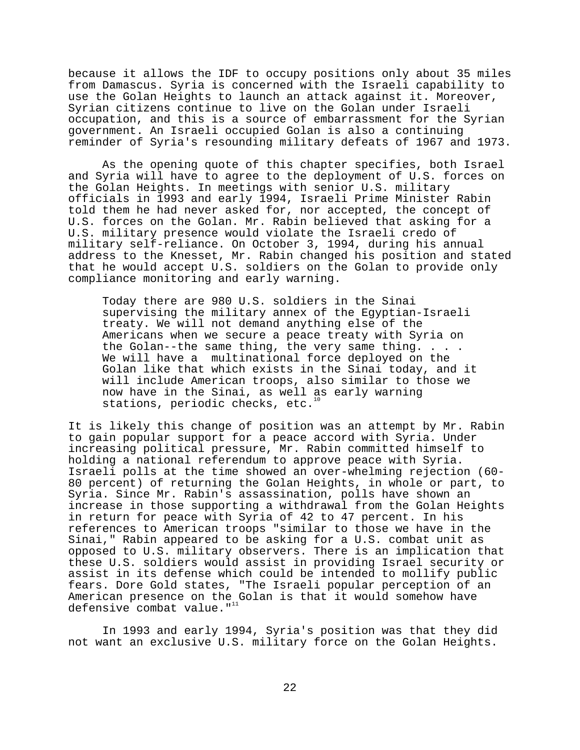because it allows the IDF to occupy positions only about 35 miles from Damascus. Syria is concerned with the Israeli capability to use the Golan Heights to launch an attack against it. Moreover, Syrian citizens continue to live on the Golan under Israeli occupation, and this is a source of embarrassment for the Syrian government. An Israeli occupied Golan is also a continuing reminder of Syria's resounding military defeats of 1967 and 1973.

As the opening quote of this chapter specifies, both Israel and Syria will have to agree to the deployment of U.S. forces on the Golan Heights. In meetings with senior U.S. military officials in 1993 and early 1994, Israeli Prime Minister Rabin told them he had never asked for, nor accepted, the concept of U.S. forces on the Golan. Mr. Rabin believed that asking for a U.S. military presence would violate the Israeli credo of military self-reliance. On October 3, 1994, during his annual address to the Knesset, Mr. Rabin changed his position and stated that he would accept U.S. soldiers on the Golan to provide only compliance monitoring and early warning.

Today there are 980 U.S. soldiers in the Sinai supervising the military annex of the Egyptian-Israeli treaty. We will not demand anything else of the Americans when we secure a peace treaty with Syria on the Golan--the same thing, the very same thing. . . . We will have a multinational force deployed on the Golan like that which exists in the Sinai today, and it will include American troops, also similar to those we now have in the Sinai, as well as early warning stations, periodic checks, etc. $10$ 

It is likely this change of position was an attempt by Mr. Rabin to gain popular support for a peace accord with Syria. Under increasing political pressure, Mr. Rabin committed himself to holding a national referendum to approve peace with Syria. Israeli polls at the time showed an over-whelming rejection (60- 80 percent) of returning the Golan Heights, in whole or part, to Syria. Since Mr. Rabin's assassination, polls have shown an increase in those supporting a withdrawal from the Golan Heights in return for peace with Syria of 42 to 47 percent. In his references to American troops "similar to those we have in the Sinai," Rabin appeared to be asking for a U.S. combat unit as opposed to U.S. military observers. There is an implication that these U.S. soldiers would assist in providing Israel security or assist in its defense which could be intended to mollify public fears. Dore Gold states, "The Israeli popular perception of an American presence on the Golan is that it would somehow have defensive combat value."<sup>11</sup>

In 1993 and early 1994, Syria's position was that they did not want an exclusive U.S. military force on the Golan Heights.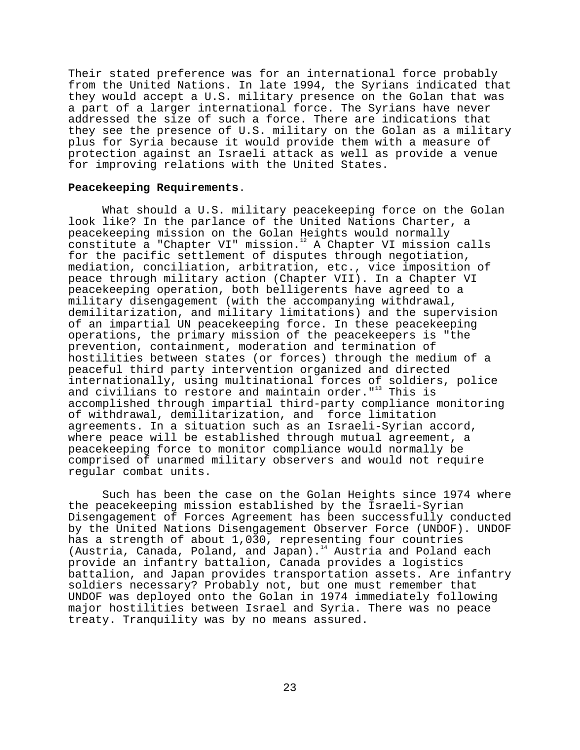Their stated preference was for an international force probably from the United Nations. In late 1994, the Syrians indicated that they would accept a U.S. military presence on the Golan that was a part of a larger international force. The Syrians have never addressed the size of such a force. There are indications that they see the presence of U.S. military on the Golan as a military plus for Syria because it would provide them with a measure of protection against an Israeli attack as well as provide a venue for improving relations with the United States.

# **Peacekeeping Requirements**.

What should a U.S. military peacekeeping force on the Golan look like? In the parlance of the United Nations Charter, a peacekeeping mission on the Golan Heights would normally constitute a "Chapter VI" mission.<sup>12</sup> A Chapter VI mission calls for the pacific settlement of disputes through negotiation, mediation, conciliation, arbitration, etc., vice imposition of peace through military action (Chapter VII). In a Chapter VI peacekeeping operation, both belligerents have agreed to a military disengagement (with the accompanying withdrawal, demilitarization, and military limitations) and the supervision of an impartial UN peacekeeping force. In these peacekeeping operations, the primary mission of the peacekeepers is "the prevention, containment, moderation and termination of hostilities between states (or forces) through the medium of a peaceful third party intervention organized and directed internationally, using multinational forces of soldiers, police and civilians to restore and maintain order."<sup>13</sup> This is accomplished through impartial third-party compliance monitoring of withdrawal, demilitarization, and force limitation agreements. In a situation such as an Israeli-Syrian accord, where peace will be established through mutual agreement, a peacekeeping force to monitor compliance would normally be comprised of unarmed military observers and would not require regular combat units.

Such has been the case on the Golan Heights since 1974 where the peacekeeping mission established by the Israeli-Syrian Disengagement of Forces Agreement has been successfully conducted by the United Nations Disengagement Observer Force (UNDOF). UNDOF has a strength of about 1,030, representing four countries (Austria, Canada, Poland, and Japan). $14$  Austria and Poland each provide an infantry battalion, Canada provides a logistics battalion, and Japan provides transportation assets. Are infantry soldiers necessary? Probably not, but one must remember that UNDOF was deployed onto the Golan in 1974 immediately following major hostilities between Israel and Syria. There was no peace treaty. Tranquility was by no means assured.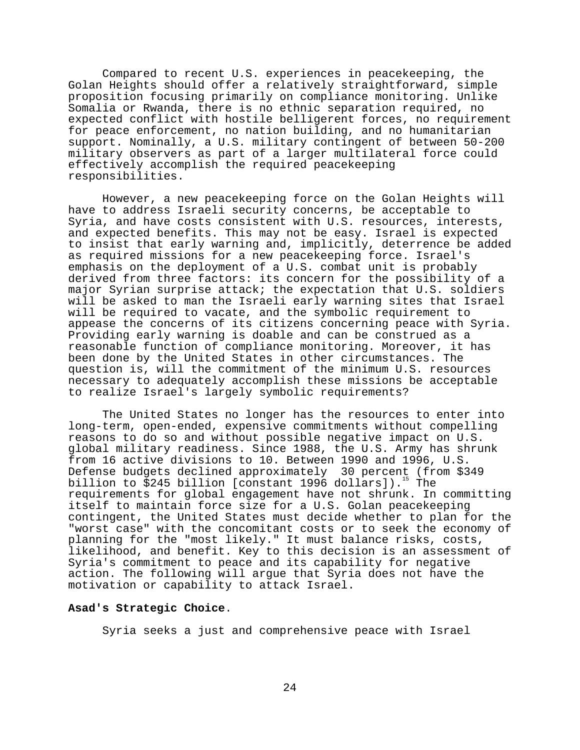Compared to recent U.S. experiences in peacekeeping, the Golan Heights should offer a relatively straightforward, simple proposition focusing primarily on compliance monitoring. Unlike Somalia or Rwanda, there is no ethnic separation required, no expected conflict with hostile belligerent forces, no requirement for peace enforcement, no nation building, and no humanitarian support. Nominally, a U.S. military contingent of between 50-200 military observers as part of a larger multilateral force could effectively accomplish the required peacekeeping responsibilities.

However, a new peacekeeping force on the Golan Heights will have to address Israeli security concerns, be acceptable to Syria, and have costs consistent with U.S. resources, interests, and expected benefits. This may not be easy. Israel is expected to insist that early warning and, implicitly, deterrence be added as required missions for a new peacekeeping force. Israel's emphasis on the deployment of a U.S. combat unit is probably derived from three factors: its concern for the possibility of a major Syrian surprise attack; the expectation that U.S. soldiers will be asked to man the Israeli early warning sites that Israel will be required to vacate, and the symbolic requirement to appease the concerns of its citizens concerning peace with Syria. Providing early warning is doable and can be construed as a reasonable function of compliance monitoring. Moreover, it has been done by the United States in other circumstances. The question is, will the commitment of the minimum U.S. resources necessary to adequately accomplish these missions be acceptable to realize Israel's largely symbolic requirements?

The United States no longer has the resources to enter into long-term, open-ended, expensive commitments without compelling reasons to do so and without possible negative impact on U.S. global military readiness. Since 1988, the U.S. Army has shrunk from 16 active divisions to 10. Between 1990 and 1996, U.S. Defense budgets declined approximately 30 percent (from \$349 billion to \$245 billion [constant 1996 dollars]).<sup>15</sup> The requirements for global engagement have not shrunk. In committing itself to maintain force size for a U.S. Golan peacekeeping contingent, the United States must decide whether to plan for the "worst case" with the concomitant costs or to seek the economy of planning for the "most likely." It must balance risks, costs, likelihood, and benefit. Key to this decision is an assessment of Syria's commitment to peace and its capability for negative action. The following will argue that Syria does not have the motivation or capability to attack Israel.

# **Asad's Strategic Choice**.

Syria seeks a just and comprehensive peace with Israel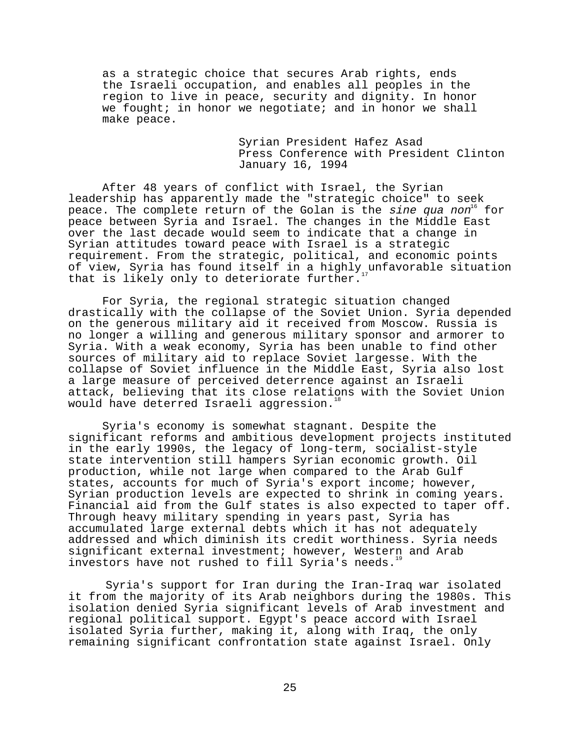as a strategic choice that secures Arab rights, ends the Israeli occupation, and enables all peoples in the region to live in peace, security and dignity. In honor we fought; in honor we negotiate; and in honor we shall make peace.

> Syrian President Hafez Asad Press Conference with President Clinton January 16, 1994

After 48 years of conflict with Israel, the Syrian leadership has apparently made the "strategic choice" to seek peace. The complete return of the Golan is the sine qua non<sup>16</sup> for peace between Syria and Israel. The changes in the Middle East over the last decade would seem to indicate that a change in Syrian attitudes toward peace with Israel is a strategic requirement. From the strategic, political, and economic points of view, Syria has found itself in a highly unfavorable situation that is likely only to deteriorate further.

For Syria, the regional strategic situation changed drastically with the collapse of the Soviet Union. Syria depended on the generous military aid it received from Moscow. Russia is no longer a willing and generous military sponsor and armorer to Syria. With a weak economy, Syria has been unable to find other sources of military aid to replace Soviet largesse. With the collapse of Soviet influence in the Middle East, Syria also lost a large measure of perceived deterrence against an Israeli attack, believing that its close relations with the Soviet Union would have deterred Israeli aggression.<sup>18</sup>

Syria's economy is somewhat stagnant. Despite the significant reforms and ambitious development projects instituted in the early 1990s, the legacy of long-term, socialist-style state intervention still hampers Syrian economic growth. Oil production, while not large when compared to the Arab Gulf states, accounts for much of Syria's export income; however, Syrian production levels are expected to shrink in coming years. Financial aid from the Gulf states is also expected to taper off. Through heavy military spending in years past, Syria has accumulated large external debts which it has not adequately addressed and which diminish its credit worthiness. Syria needs significant external investment; however, Western and Arab investors have not rushed to fill Syria's needs.<sup>19</sup>

Syria's support for Iran during the Iran-Iraq war isolated it from the majority of its Arab neighbors during the 1980s. This isolation denied Syria significant levels of Arab investment and regional political support. Egypt's peace accord with Israel isolated Syria further, making it, along with Iraq, the only remaining significant confrontation state against Israel. Only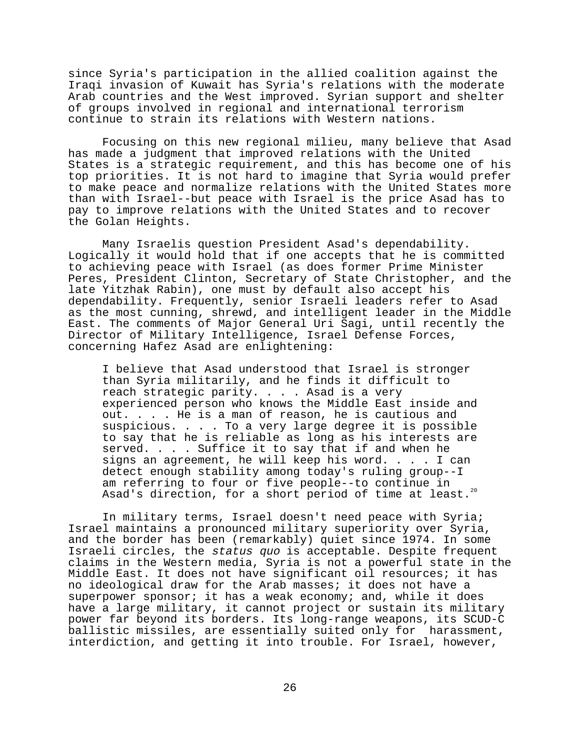since Syria's participation in the allied coalition against the Iraqi invasion of Kuwait has Syria's relations with the moderate Arab countries and the West improved. Syrian support and shelter of groups involved in regional and international terrorism continue to strain its relations with Western nations.

Focusing on this new regional milieu, many believe that Asad has made a judgment that improved relations with the United States is a strategic requirement, and this has become one of his top priorities. It is not hard to imagine that Syria would prefer to make peace and normalize relations with the United States more than with Israel--but peace with Israel is the price Asad has to pay to improve relations with the United States and to recover the Golan Heights.

Many Israelis question President Asad's dependability. Logically it would hold that if one accepts that he is committed to achieving peace with Israel (as does former Prime Minister Peres, President Clinton, Secretary of State Christopher, and the late Yitzhak Rabin), one must by default also accept his dependability. Frequently, senior Israeli leaders refer to Asad as the most cunning, shrewd, and intelligent leader in the Middle East. The comments of Major General Uri Sagi, until recently the Director of Military Intelligence, Israel Defense Forces, concerning Hafez Asad are enlightening:

I believe that Asad understood that Israel is stronger than Syria militarily, and he finds it difficult to reach strategic parity. . . . Asad is a very experienced person who knows the Middle East inside and out. . . . He is a man of reason, he is cautious and suspicious. . . . To a very large degree it is possible to say that he is reliable as long as his interests are served. . . . Suffice it to say that if and when he signs an agreement, he will keep his word. . . . I can detect enough stability among today's ruling group--I am referring to four or five people--to continue in Asad's direction, for a short period of time at least.<sup>20</sup>

In military terms, Israel doesn't need peace with Syria; Israel maintains a pronounced military superiority over Syria, and the border has been (remarkably) quiet since 1974. In some Israeli circles, the status quo is acceptable. Despite frequent claims in the Western media, Syria is not a powerful state in the Middle East. It does not have significant oil resources; it has no ideological draw for the Arab masses; it does not have a superpower sponsor; it has a weak economy; and, while it does have a large military, it cannot project or sustain its military power far beyond its borders. Its long-range weapons, its SCUD-C ballistic missiles, are essentially suited only for harassment, interdiction, and getting it into trouble. For Israel, however,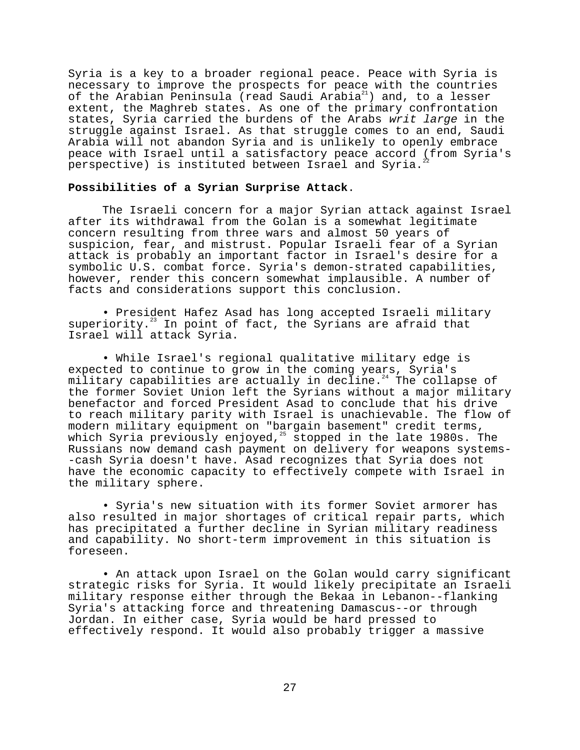Syria is a key to a broader regional peace. Peace with Syria is necessary to improve the prospects for peace with the countries of the Arabian Peninsula (read Saudi Arabia<sup>21</sup>) and, to a lesser extent, the Maghreb states. As one of the primary confrontation states, Syria carried the burdens of the Arabs writ large in the struggle against Israel. As that struggle comes to an end, Saudi Arabia will not abandon Syria and is unlikely to openly embrace peace with Israel until a satisfactory peace accord (from Syria's perspective) is instituted between Israel and Syria.

### **Possibilities of a Syrian Surprise Attack**.

The Israeli concern for a major Syrian attack against Israel after its withdrawal from the Golan is a somewhat legitimate concern resulting from three wars and almost 50 years of suspicion, fear, and mistrust. Popular Israeli fear of a Syrian attack is probably an important factor in Israel's desire for a symbolic U.S. combat force. Syria's demon-strated capabilities, however, render this concern somewhat implausible. A number of facts and considerations support this conclusion.

• President Hafez Asad has long accepted Israeli military superiority.<sup>23</sup> In point of fact, the Syrians are afraid that Israel will attack Syria.

• While Israel's regional qualitative military edge is expected to continue to grow in the coming years, Syria's military capabilities are actually in decline. $24$  The collapse of the former Soviet Union left the Syrians without a major military benefactor and forced President Asad to conclude that his drive to reach military parity with Israel is unachievable. The flow of modern military equipment on "bargain basement" credit terms, which Syria previously enjoyed,<sup>25</sup> stopped in the late 1980s. The Russians now demand cash payment on delivery for weapons systems- -cash Syria doesn't have. Asad recognizes that Syria does not have the economic capacity to effectively compete with Israel in the military sphere.

• Syria's new situation with its former Soviet armorer has also resulted in major shortages of critical repair parts, which has precipitated a further decline in Syrian military readiness and capability. No short-term improvement in this situation is foreseen.

• An attack upon Israel on the Golan would carry significant strategic risks for Syria. It would likely precipitate an Israeli military response either through the Bekaa in Lebanon--flanking Syria's attacking force and threatening Damascus--or through Jordan. In either case, Syria would be hard pressed to effectively respond. It would also probably trigger a massive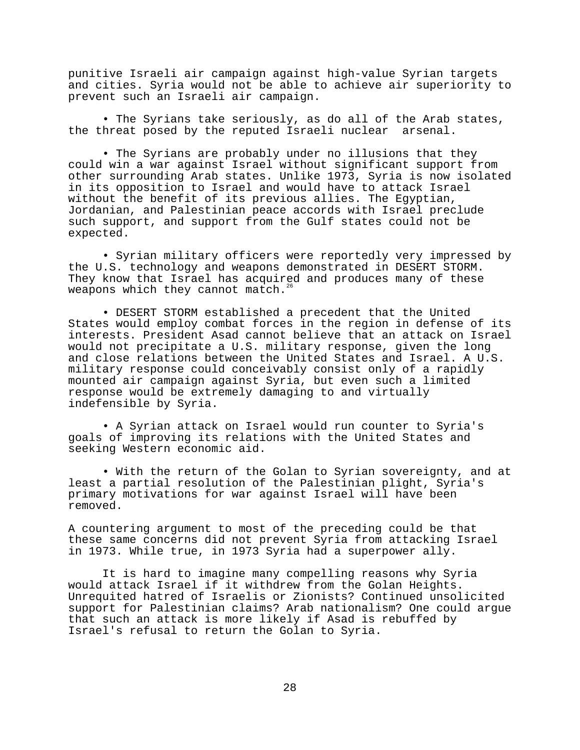punitive Israeli air campaign against high-value Syrian targets and cities. Syria would not be able to achieve air superiority to prevent such an Israeli air campaign.

• The Syrians take seriously, as do all of the Arab states, the threat posed by the reputed Israeli nuclear arsenal.

• The Syrians are probably under no illusions that they could win a war against Israel without significant support from other surrounding Arab states. Unlike 1973, Syria is now isolated in its opposition to Israel and would have to attack Israel without the benefit of its previous allies. The Egyptian, Jordanian, and Palestinian peace accords with Israel preclude such support, and support from the Gulf states could not be expected.

• Syrian military officers were reportedly very impressed by the U.S. technology and weapons demonstrated in DESERT STORM. They know that Israel has acquired and produces many of these weapons which they cannot match.<sup>2</sup>

• DESERT STORM established a precedent that the United States would employ combat forces in the region in defense of its interests. President Asad cannot believe that an attack on Israel would not precipitate a U.S. military response, given the long and close relations between the United States and Israel. A U.S. military response could conceivably consist only of a rapidly mounted air campaign against Syria, but even such a limited response would be extremely damaging to and virtually indefensible by Syria.

• A Syrian attack on Israel would run counter to Syria's goals of improving its relations with the United States and seeking Western economic aid.

• With the return of the Golan to Syrian sovereignty, and at least a partial resolution of the Palestinian plight, Syria's primary motivations for war against Israel will have been removed.

A countering argument to most of the preceding could be that these same concerns did not prevent Syria from attacking Israel in 1973. While true, in 1973 Syria had a superpower ally.

It is hard to imagine many compelling reasons why Syria would attack Israel if it withdrew from the Golan Heights. Unrequited hatred of Israelis or Zionists? Continued unsolicited support for Palestinian claims? Arab nationalism? One could argue that such an attack is more likely if Asad is rebuffed by Israel's refusal to return the Golan to Syria.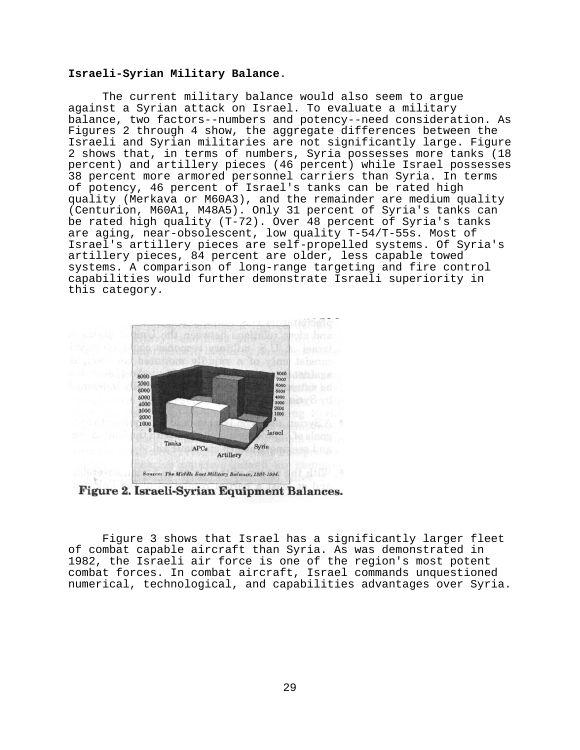# **Israeli-Syrian Military Balance**.

The current military balance would also seem to argue against a Syrian attack on Israel. To evaluate a military balance, two factors--numbers and potency--need consideration. As Figures 2 through 4 show, the aggregate differences between the Israeli and Syrian militaries are not significantly large. Figure 2 shows that, in terms of numbers, Syria possesses more tanks (18 percent) and artillery pieces (46 percent) while Israel possesses 38 percent more armored personnel carriers than Syria. In terms of potency, 46 percent of Israel's tanks can be rated high quality (Merkava or M60A3), and the remainder are medium quality (Centurion, M60A1, M48A5). Only 31 percent of Syria's tanks can be rated high quality (T-72). Over 48 percent of Syria's tanks are aging, near-obsolescent, low quality T-54/T-55s. Most of Israel's artillery pieces are self-propelled systems. Of Syria's artillery pieces, 84 percent are older, less capable towed systems. A comparison of long-range targeting and fire control capabilities would further demonstrate Israeli superiority in this category.



Figure 2. Israeli-Syrian Equipment Balances.

Figure 3 shows that Israel has a significantly larger fleet of combat capable aircraft than Syria. As was demonstrated in 1982, the Israeli air force is one of the region's most potent combat forces. In combat aircraft, Israel commands unquestioned numerical, technological, and capabilities advantages over Syria.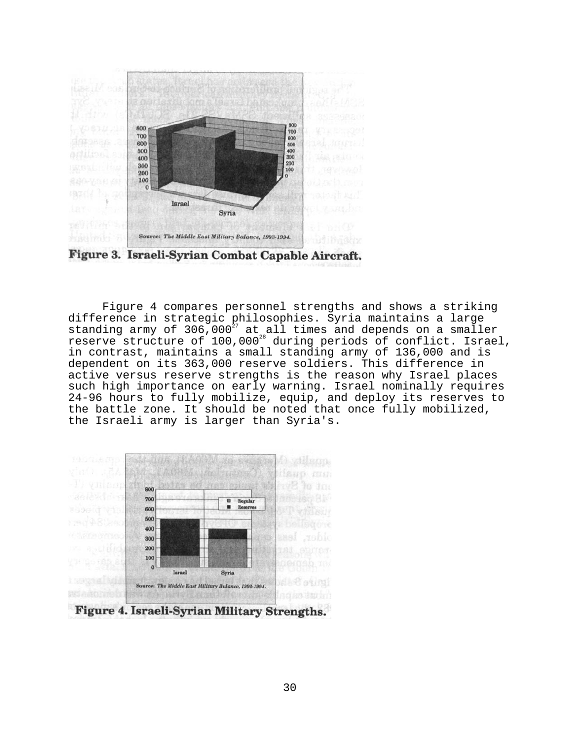

Figure 3. Israeli-Syrian Combat Capable Aircraft.

Figure 4 compares personnel strengths and shows a striking difference in strategic philosophies. Syria maintains a large standing army of 306,000 $^{27}$  at all times and depends on a smaller reserve structure of 100,000<sup>28</sup> during periods of conflict. Israel, in contrast, maintains a small standing army of 136,000 and is dependent on its 363,000 reserve soldiers. This difference in active versus reserve strengths is the reason why Israel places such high importance on early warning. Israel nominally requires 24-96 hours to fully mobilize, equip, and deploy its reserves to the battle zone. It should be noted that once fully mobilized, the Israeli army is larger than Syria's.

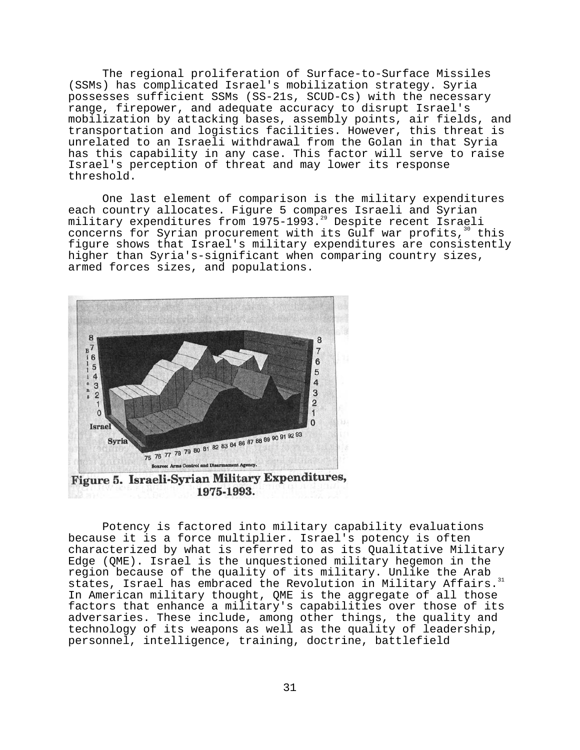The regional proliferation of Surface-to-Surface Missiles (SSMs) has complicated Israel's mobilization strategy. Syria possesses sufficient SSMs (SS-21s, SCUD-Cs) with the necessary range, firepower, and adequate accuracy to disrupt Israel's mobilization by attacking bases, assembly points, air fields, and transportation and logistics facilities. However, this threat is unrelated to an Israeli withdrawal from the Golan in that Syria has this capability in any case. This factor will serve to raise Israel's perception of threat and may lower its response threshold.

One last element of comparison is the military expenditures each country allocates. Figure 5 compares Israeli and Syrian military expenditures from 1975-1993.<sup>29</sup> Despite recent Israeli concerns for Syrian procurement with its Gulf war profits, $30$  this figure shows that Israel's military expenditures are consistently higher than Syria's-significant when comparing country sizes, armed forces sizes, and populations.



1975-1993.

Potency is factored into military capability evaluations because it is a force multiplier. Israel's potency is often characterized by what is referred to as its Qualitative Military Edge (QME). Israel is the unquestioned military hegemon in the region because of the quality of its military. Unlike the Arab states, Israel has embraced the Revolution in Military Affairs.<sup>31</sup> In American military thought, QME is the aggregate of all those factors that enhance a military's capabilities over those of its adversaries. These include, among other things, the quality and technology of its weapons as well as the quality of leadership, personnel, intelligence, training, doctrine, battlefield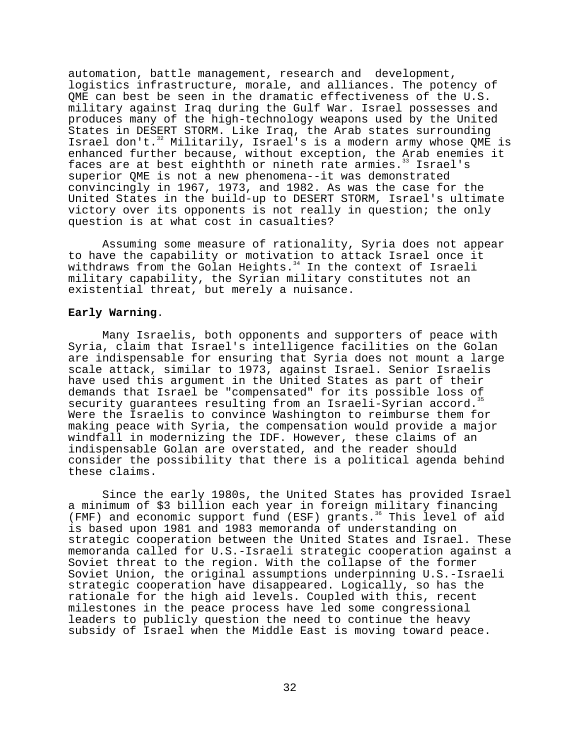automation, battle management, research and development, logistics infrastructure, morale, and alliances. The potency of QME can best be seen in the dramatic effectiveness of the U.S. military against Iraq during the Gulf War. Israel possesses and produces many of the high-technology weapons used by the United States in DESERT STORM. Like Iraq, the Arab states surrounding Israel don't.<sup>32</sup> Militarily, Israel's is a modern army whose QME is enhanced further because, without exception, the Arab enemies it faces are at best eighthth or nineth rate armies.<sup>33</sup> Israel's superior QME is not a new phenomena--it was demonstrated convincingly in 1967, 1973, and 1982. As was the case for the United States in the build-up to DESERT STORM, Israel's ultimate victory over its opponents is not really in question; the only question is at what cost in casualties?

Assuming some measure of rationality, Syria does not appear to have the capability or motivation to attack Israel once it withdraws from the Golan Heights.<sup>34</sup> In the context of Israeli military capability, the Syrian military constitutes not an existential threat, but merely a nuisance.

# **Early Warning**.

Many Israelis, both opponents and supporters of peace with Syria, claim that Israel's intelligence facilities on the Golan are indispensable for ensuring that Syria does not mount a large scale attack, similar to 1973, against Israel. Senior Israelis have used this argument in the United States as part of their demands that Israel be "compensated" for its possible loss of security guarantees resulting from an Israeli-Syrian accord.<sup>35</sup> Were the Israelis to convince Washington to reimburse them for making peace with Syria, the compensation would provide a major windfall in modernizing the IDF. However, these claims of an indispensable Golan are overstated, and the reader should consider the possibility that there is a political agenda behind these claims.

Since the early 1980s, the United States has provided Israel a minimum of \$3 billion each year in foreign military financing (FMF) and economic support fund (ESF) grants.<sup>36</sup> This level of aid is based upon 1981 and 1983 memoranda of understanding on strategic cooperation between the United States and Israel. These memoranda called for U.S.-Israeli strategic cooperation against a Soviet threat to the region. With the collapse of the former Soviet Union, the original assumptions underpinning U.S.-Israeli strategic cooperation have disappeared. Logically, so has the rationale for the high aid levels. Coupled with this, recent milestones in the peace process have led some congressional leaders to publicly question the need to continue the heavy subsidy of Israel when the Middle East is moving toward peace.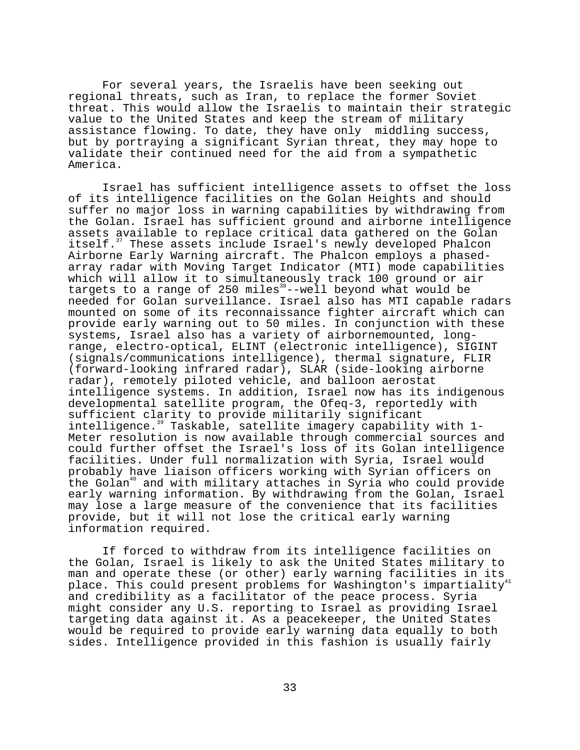For several years, the Israelis have been seeking out regional threats, such as Iran, to replace the former Soviet threat. This would allow the Israelis to maintain their strategic value to the United States and keep the stream of military assistance flowing. To date, they have only middling success, but by portraying a significant Syrian threat, they may hope to validate their continued need for the aid from a sympathetic America.

Israel has sufficient intelligence assets to offset the loss of its intelligence facilities on the Golan Heights and should suffer no major loss in warning capabilities by withdrawing from the Golan. Israel has sufficient ground and airborne intelligence assets available to replace critical data gathered on the Golan itself.<sup>37</sup> These assets include Israel's newly developed Phalcon Airborne Early Warning aircraft. The Phalcon employs a phasedarray radar with Moving Target Indicator (MTI) mode capabilities which will allow it to simultaneously track 100 ground or air targets to a range of  $250$  miles<sup>38</sup>--well beyond what would be needed for Golan surveillance. Israel also has MTI capable radars mounted on some of its reconnaissance fighter aircraft which can provide early warning out to 50 miles. In conjunction with these systems, Israel also has a variety of airbornemounted, longrange, electro-optical, ELINT (electronic intelligence), SIGINT (signals/communications intelligence), thermal signature, FLIR (forward-looking infrared radar), SLAR (side-looking airborne radar), remotely piloted vehicle, and balloon aerostat intelligence systems. In addition, Israel now has its indigenous developmental satellite program, the Ofeq-3, reportedly with sufficient clarity to provide militarily significant intelligence.<sup>39</sup> Taskable, satellite imagery capability with 1-Meter resolution is now available through commercial sources and could further offset the Israel's loss of its Golan intelligence facilities. Under full normalization with Syria, Israel would probably have liaison officers working with Syrian officers on the Golan<sup>40</sup> and with military attaches in Syria who could provide early warning information. By withdrawing from the Golan, Israel may lose a large measure of the convenience that its facilities provide, but it will not lose the critical early warning information required.

If forced to withdraw from its intelligence facilities on the Golan, Israel is likely to ask the United States military to man and operate these (or other) early warning facilities in its<br>man and operate these (or other) early warning facilities in its place. This could present problems for Washington's impartiality<sup>4</sup> and credibility as a facilitator of the peace process. Syria might consider any U.S. reporting to Israel as providing Israel targeting data against it. As a peacekeeper, the United States would be required to provide early warning data equally to both sides. Intelligence provided in this fashion is usually fairly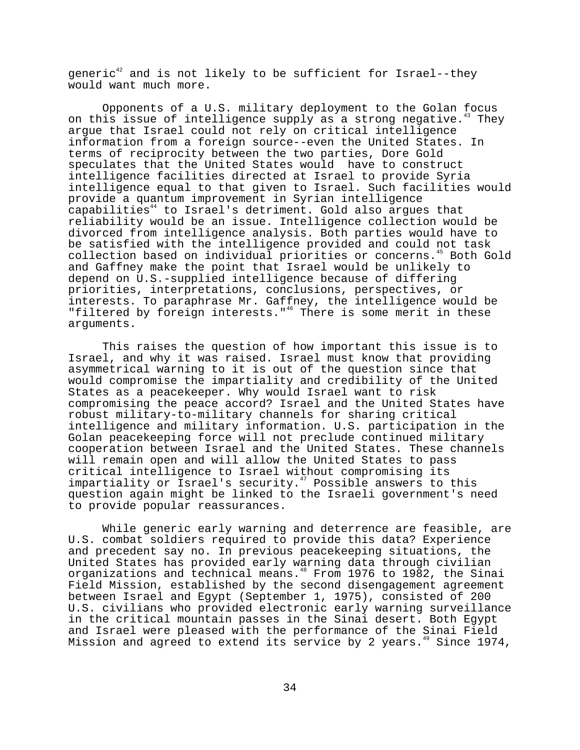$q$ eneric<sup>42</sup> and is not likely to be sufficient for Israel--they would want much more.

Opponents of a U.S. military deployment to the Golan focus on this issue of intelligence supply as a strong negative.<sup>43</sup> They argue that Israel could not rely on critical intelligence information from a foreign source--even the United States. In terms of reciprocity between the two parties, Dore Gold speculates that the United States would have to construct intelligence facilities directed at Israel to provide Syria intelligence equal to that given to Israel. Such facilities would provide a quantum improvement in Syrian intelligence capabilities<sup>44</sup> to Israel's detriment. Gold also argues that reliability would be an issue. Intelligence collection would be divorced from intelligence analysis. Both parties would have to be satisfied with the intelligence provided and could not task collection based on individual priorities or concerns.45 Both Gold and Gaffney make the point that Israel would be unlikely to depend on U.S.-supplied intelligence because of differing priorities, interpretations, conclusions, perspectives, or interests. To paraphrase Mr. Gaffney, the intelligence would be "filtered by foreign interests."<sup>46</sup> There is some merit in these arguments.

This raises the question of how important this issue is to Israel, and why it was raised. Israel must know that providing asymmetrical warning to it is out of the question since that would compromise the impartiality and credibility of the United States as a peacekeeper. Why would Israel want to risk compromising the peace accord? Israel and the United States have robust military-to-military channels for sharing critical intelligence and military information. U.S. participation in the Golan peacekeeping force will not preclude continued military cooperation between Israel and the United States. These channels will remain open and will allow the United States to pass critical intelligence to Israel without compromising its impartiality or Israel's security.<sup>47</sup> Possible answers to this question again might be linked to the Israeli government's need to provide popular reassurances.

While generic early warning and deterrence are feasible, are U.S. combat soldiers required to provide this data? Experience and precedent say no. In previous peacekeeping situations, the United States has provided early warning data through civilian organizations and technical means.48 From 1976 to 1982, the Sinai Field Mission, established by the second disengagement agreement between Israel and Egypt (September 1, 1975), consisted of 200 U.S. civilians who provided electronic early warning surveillance in the critical mountain passes in the Sinai desert. Both Egypt and Israel were pleased with the performance of the Sinai Field Mission and agreed to extend its service by 2 years.<sup>49</sup> Since 1974,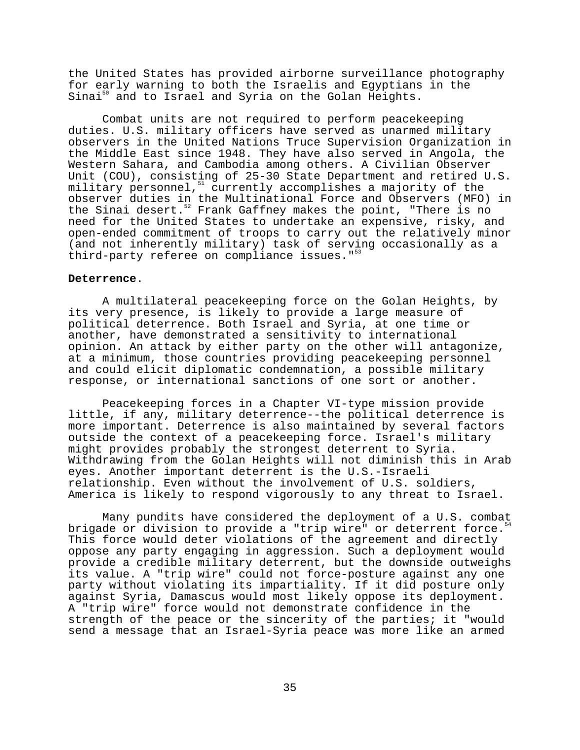the United States has provided airborne surveillance photography for early warning to both the Israelis and Egyptians in the Sinai<sup>50</sup> and to Israel and Syria on the Golan Heights.

Combat units are not required to perform peacekeeping duties. U.S. military officers have served as unarmed military observers in the United Nations Truce Supervision Organization in the Middle East since 1948. They have also served in Angola, the Western Sahara, and Cambodia among others. A Civilian Observer Unit (COU), consisting of 25-30 State Department and retired U.S. military personnel, $51$  currently accomplishes a majority of the observer duties in the Multinational Force and Observers (MFO) in the Sinai desert.<sup>52</sup> Frank Gaffney makes the point, "There is no need for the United States to undertake an expensive, risky, and open-ended commitment of troops to carry out the relatively minor (and not inherently military) task of serving occasionally as a third-party referee on compliance issues."<sup>53</sup>

#### **Deterrence**.

A multilateral peacekeeping force on the Golan Heights, by its very presence, is likely to provide a large measure of political deterrence. Both Israel and Syria, at one time or another, have demonstrated a sensitivity to international opinion. An attack by either party on the other will antagonize, at a minimum, those countries providing peacekeeping personnel and could elicit diplomatic condemnation, a possible military response, or international sanctions of one sort or another.

Peacekeeping forces in a Chapter VI-type mission provide little, if any, military deterrence--the political deterrence is more important. Deterrence is also maintained by several factors outside the context of a peacekeeping force. Israel's military might provides probably the strongest deterrent to Syria. Withdrawing from the Golan Heights will not diminish this in Arab eyes. Another important deterrent is the U.S.-Israeli relationship. Even without the involvement of U.S. soldiers, America is likely to respond vigorously to any threat to Israel.

Many pundits have considered the deployment of a U.S. combat brigade or division to provide a "trip wire" or deterrent force.<sup>5</sup> This force would deter violations of the agreement and directly oppose any party engaging in aggression. Such a deployment would provide a credible military deterrent, but the downside outweighs its value. A "trip wire" could not force-posture against any one party without violating its impartiality. If it did posture only against Syria, Damascus would most likely oppose its deployment. A "trip wire" force would not demonstrate confidence in the strength of the peace or the sincerity of the parties; it "would send a message that an Israel-Syria peace was more like an armed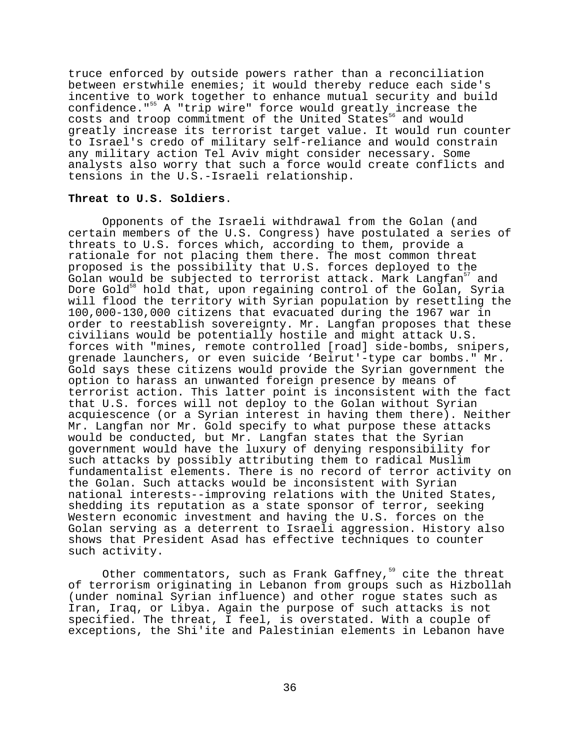truce enforced by outside powers rather than a reconciliation between erstwhile enemies; it would thereby reduce each side's incentive to work together to enhance mutual security and build confidence."<sup>55</sup> A "trip wire" force would greatly increase the costs and troop commitment of the United States<sup>56</sup> and would greatly increase its terrorist target value. It would run counter to Israel's credo of military self-reliance and would constrain any military action Tel Aviv might consider necessary. Some analysts also worry that such a force would create conflicts and tensions in the U.S.-Israeli relationship.

## **Threat to U.S. Soldiers**.

Opponents of the Israeli withdrawal from the Golan (and certain members of the U.S. Congress) have postulated a series of threats to U.S. forces which, according to them, provide a rationale for not placing them there. The most common threat proposed is the possibility that U.S. forces deployed to the Golan would be subjected to terrorist attack. Mark Langfan<sup>57</sup> and Dore Gold<sup>58</sup> hold that, upon regaining control of the Golan, Syria will flood the territory with Syrian population by resettling the 100,000-130,000 citizens that evacuated during the 1967 war in order to reestablish sovereignty. Mr. Langfan proposes that these civilians would be potentially hostile and might attack U.S. forces with "mines, remote controlled [road] side-bombs, snipers, grenade launchers, or even suicide 'Beirut'-type car bombs." Mr. Gold says these citizens would provide the Syrian government the option to harass an unwanted foreign presence by means of terrorist action. This latter point is inconsistent with the fact that U.S. forces will not deploy to the Golan without Syrian acquiescence (or a Syrian interest in having them there). Neither Mr. Langfan nor Mr. Gold specify to what purpose these attacks would be conducted, but Mr. Langfan states that the Syrian government would have the luxury of denying responsibility for such attacks by possibly attributing them to radical Muslim fundamentalist elements. There is no record of terror activity on the Golan. Such attacks would be inconsistent with Syrian national interests--improving relations with the United States, shedding its reputation as a state sponsor of terror, seeking Western economic investment and having the U.S. forces on the Golan serving as a deterrent to Israeli aggression. History also shows that President Asad has effective techniques to counter such activity.

Other commentators, such as Frank Gaffney,<sup>59</sup> cite the threat of terrorism originating in Lebanon from groups such as Hizbollah (under nominal Syrian influence) and other rogue states such as Iran, Iraq, or Libya. Again the purpose of such attacks is not specified. The threat, I feel, is overstated. With a couple of exceptions, the Shi'ite and Palestinian elements in Lebanon have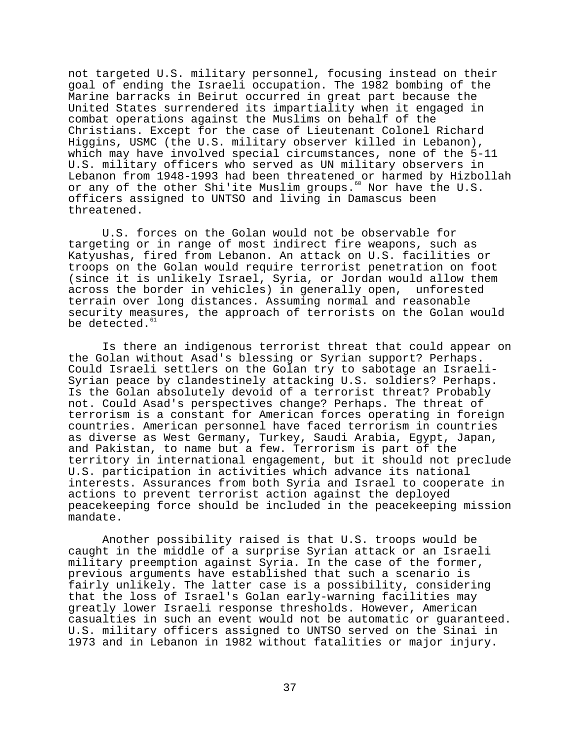not targeted U.S. military personnel, focusing instead on their goal of ending the Israeli occupation. The 1982 bombing of the Marine barracks in Beirut occurred in great part because the United States surrendered its impartiality when it engaged in combat operations against the Muslims on behalf of the Christians. Except for the case of Lieutenant Colonel Richard Higgins, USMC (the U.S. military observer killed in Lebanon), which may have involved special circumstances, none of the 5-11 U.S. military officers who served as UN military observers in Lebanon from 1948-1993 had been threatened or harmed by Hizbollah or any of the other Shi'ite Muslim groups.<sup>60</sup> Nor have the U.S. officers assigned to UNTSO and living in Damascus been threatened.

U.S. forces on the Golan would not be observable for targeting or in range of most indirect fire weapons, such as Katyushas, fired from Lebanon. An attack on U.S. facilities or troops on the Golan would require terrorist penetration on foot (since it is unlikely Israel, Syria, or Jordan would allow them across the border in vehicles) in generally open, unforested terrain over long distances. Assuming normal and reasonable security measures, the approach of terrorists on the Golan would be detected.<sup>61</sup>

Is there an indigenous terrorist threat that could appear on the Golan without Asad's blessing or Syrian support? Perhaps. Could Israeli settlers on the Golan try to sabotage an Israeli-Syrian peace by clandestinely attacking U.S. soldiers? Perhaps. Is the Golan absolutely devoid of a terrorist threat? Probably not. Could Asad's perspectives change? Perhaps. The threat of terrorism is a constant for American forces operating in foreign countries. American personnel have faced terrorism in countries as diverse as West Germany, Turkey, Saudi Arabia, Egypt, Japan, and Pakistan, to name but a few. Terrorism is part of the territory in international engagement, but it should not preclude U.S. participation in activities which advance its national interests. Assurances from both Syria and Israel to cooperate in actions to prevent terrorist action against the deployed peacekeeping force should be included in the peacekeeping mission mandate.

Another possibility raised is that U.S. troops would be caught in the middle of a surprise Syrian attack or an Israeli military preemption against Syria. In the case of the former, previous arguments have established that such a scenario is fairly unlikely. The latter case is a possibility, considering that the loss of Israel's Golan early-warning facilities may greatly lower Israeli response thresholds. However, American casualties in such an event would not be automatic or guaranteed. U.S. military officers assigned to UNTSO served on the Sinai in 1973 and in Lebanon in 1982 without fatalities or major injury.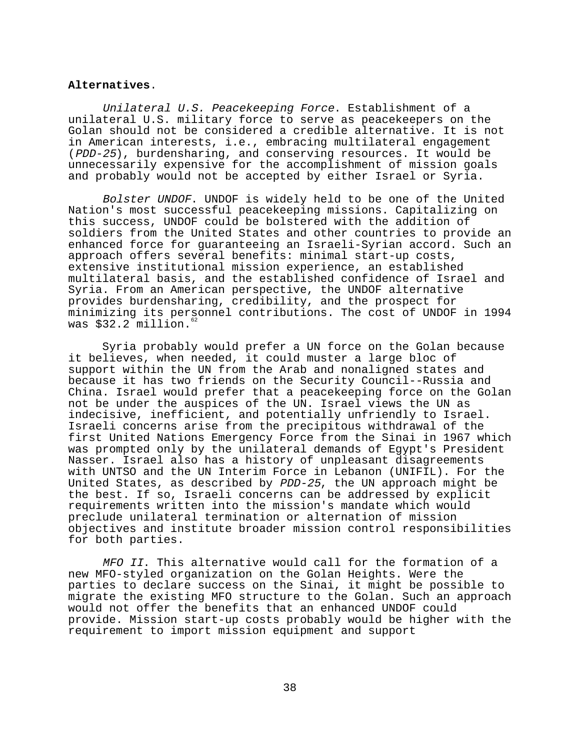# **Alternatives**.

Unilateral U.S. Peacekeeping Force. Establishment of a unilateral U.S. military force to serve as peacekeepers on the Golan should not be considered a credible alternative. It is not in American interests, i.e., embracing multilateral engagement (PDD-25), burdensharing, and conserving resources. It would be unnecessarily expensive for the accomplishment of mission goals and probably would not be accepted by either Israel or Syria.

Bolster UNDOF. UNDOF is widely held to be one of the United Nation's most successful peacekeeping missions. Capitalizing on this success, UNDOF could be bolstered with the addition of soldiers from the United States and other countries to provide an enhanced force for guaranteeing an Israeli-Syrian accord. Such an approach offers several benefits: minimal start-up costs, extensive institutional mission experience, an established multilateral basis, and the established confidence of Israel and Syria. From an American perspective, the UNDOF alternative provides burdensharing, credibility, and the prospect for minimizing its personnel contributions. The cost of UNDOF in 1994 was \$32.2 million.<sup>6</sup>

Syria probably would prefer a UN force on the Golan because it believes, when needed, it could muster a large bloc of support within the UN from the Arab and nonaligned states and because it has two friends on the Security Council--Russia and China. Israel would prefer that a peacekeeping force on the Golan not be under the auspices of the UN. Israel views the UN as indecisive, inefficient, and potentially unfriendly to Israel. Israeli concerns arise from the precipitous withdrawal of the first United Nations Emergency Force from the Sinai in 1967 which was prompted only by the unilateral demands of Egypt's President Nasser. Israel also has a history of unpleasant disagreements with UNTSO and the UN Interim Force in Lebanon (UNIFIL). For the United States, as described by PDD-25, the UN approach might be the best. If so, Israeli concerns can be addressed by explicit requirements written into the mission's mandate which would preclude unilateral termination or alternation of mission objectives and institute broader mission control responsibilities for both parties.

MFO II. This alternative would call for the formation of a new MFO-styled organization on the Golan Heights. Were the parties to declare success on the Sinai, it might be possible to migrate the existing MFO structure to the Golan. Such an approach would not offer the benefits that an enhanced UNDOF could provide. Mission start-up costs probably would be higher with the requirement to import mission equipment and support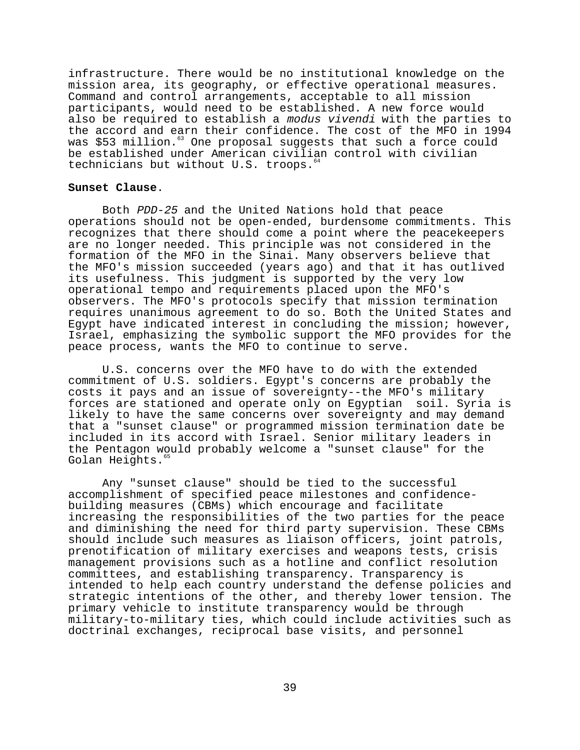infrastructure. There would be no institutional knowledge on the mission area, its geography, or effective operational measures. Command and control arrangements, acceptable to all mission participants, would need to be established. A new force would also be required to establish a modus vivendi with the parties to the accord and earn their confidence. The cost of the MFO in 1994 was \$53 million.<sup>63</sup> One proposal suggests that such a force could be established under American civilian control with civilian technicians but without U.S. troops.<sup>6</sup>

## **Sunset Clause**.

Both PDD-25 and the United Nations hold that peace operations should not be open-ended, burdensome commitments. This recognizes that there should come a point where the peacekeepers are no longer needed. This principle was not considered in the formation of the MFO in the Sinai. Many observers believe that the MFO's mission succeeded (years ago) and that it has outlived its usefulness. This judgment is supported by the very low operational tempo and requirements placed upon the MFO's observers. The MFO's protocols specify that mission termination requires unanimous agreement to do so. Both the United States and Egypt have indicated interest in concluding the mission; however, Israel, emphasizing the symbolic support the MFO provides for the peace process, wants the MFO to continue to serve.

U.S. concerns over the MFO have to do with the extended commitment of U.S. soldiers. Egypt's concerns are probably the costs it pays and an issue of sovereignty--the MFO's military forces are stationed and operate only on Egyptian soil. Syria is likely to have the same concerns over sovereignty and may demand that a "sunset clause" or programmed mission termination date be included in its accord with Israel. Senior military leaders in the Pentagon would probably welcome a "sunset clause" for the Golan Heights.<sup>6</sup>

Any "sunset clause" should be tied to the successful accomplishment of specified peace milestones and confidencebuilding measures (CBMs) which encourage and facilitate increasing the responsibilities of the two parties for the peace and diminishing the need for third party supervision. These CBMs should include such measures as liaison officers, joint patrols, prenotification of military exercises and weapons tests, crisis management provisions such as a hotline and conflict resolution committees, and establishing transparency. Transparency is intended to help each country understand the defense policies and strategic intentions of the other, and thereby lower tension. The primary vehicle to institute transparency would be through military-to-military ties, which could include activities such as doctrinal exchanges, reciprocal base visits, and personnel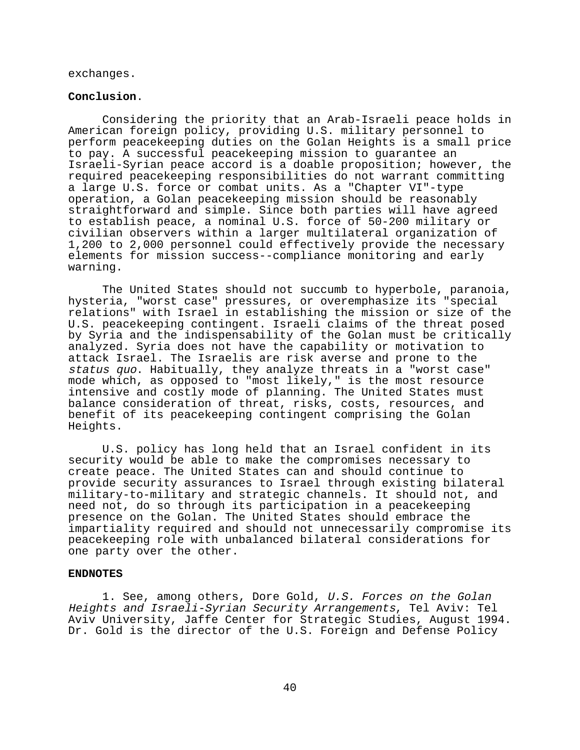exchanges.

#### **Conclusion**.

Considering the priority that an Arab-Israeli peace holds in American foreign policy, providing U.S. military personnel to perform peacekeeping duties on the Golan Heights is a small price to pay. A successful peacekeeping mission to guarantee an Israeli-Syrian peace accord is a doable proposition; however, the required peacekeeping responsibilities do not warrant committing a large U.S. force or combat units. As a "Chapter VI"-type operation, a Golan peacekeeping mission should be reasonably straightforward and simple. Since both parties will have agreed to establish peace, a nominal U.S. force of 50-200 military or civilian observers within a larger multilateral organization of 1,200 to 2,000 personnel could effectively provide the necessary elements for mission success--compliance monitoring and early warning.

The United States should not succumb to hyperbole, paranoia, hysteria, "worst case" pressures, or overemphasize its "special relations" with Israel in establishing the mission or size of the U.S. peacekeeping contingent. Israeli claims of the threat posed by Syria and the indispensability of the Golan must be critically analyzed. Syria does not have the capability or motivation to attack Israel. The Israelis are risk averse and prone to the status quo. Habitually, they analyze threats in a "worst case" mode which, as opposed to "most likely," is the most resource intensive and costly mode of planning. The United States must balance consideration of threat, risks, costs, resources, and benefit of its peacekeeping contingent comprising the Golan Heights.

U.S. policy has long held that an Israel confident in its security would be able to make the compromises necessary to create peace. The United States can and should continue to provide security assurances to Israel through existing bilateral military-to-military and strategic channels. It should not, and need not, do so through its participation in a peacekeeping presence on the Golan. The United States should embrace the impartiality required and should not unnecessarily compromise its peacekeeping role with unbalanced bilateral considerations for one party over the other.

# **ENDNOTES**

1. See, among others, Dore Gold, U.S. Forces on the Golan Heights and Israeli-Syrian Security Arrangements, Tel Aviv: Tel Aviv University, Jaffe Center for Strategic Studies, August 1994. Dr. Gold is the director of the U.S. Foreign and Defense Policy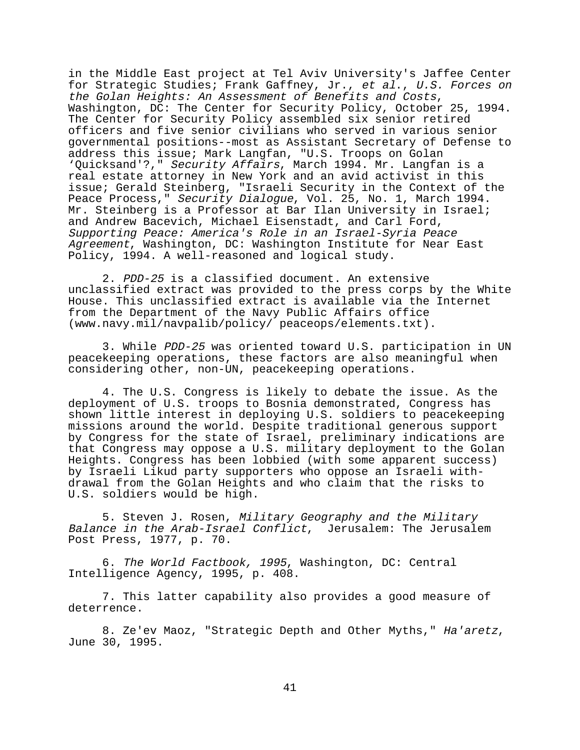in the Middle East project at Tel Aviv University's Jaffee Center for Strategic Studies; Frank Gaffney, Jr., et al., U.S. Forces on the Golan Heights: An Assessment of Benefits and Costs, Washington, DC: The Center for Security Policy, October 25, 1994. The Center for Security Policy assembled six senior retired officers and five senior civilians who served in various senior governmental positions--most as Assistant Secretary of Defense to address this issue; Mark Langfan, "U.S. Troops on Golan 'Quicksand'?," Security Affairs, March 1994. Mr. Langfan is a real estate attorney in New York and an avid activist in this issue; Gerald Steinberg, "Israeli Security in the Context of the Peace Process," Security Dialogue, Vol. 25, No. 1, March 1994. Mr. Steinberg is a Professor at Bar Ilan University in Israel; and Andrew Bacevich, Michael Eisenstadt, and Carl Ford, Supporting Peace: America's Role in an Israel-Syria Peace Agreement, Washington, DC: Washington Institute for Near East Policy, 1994. A well-reasoned and logical study.

2. PDD-25 is a classified document. An extensive unclassified extract was provided to the press corps by the White House. This unclassified extract is available via the Internet from the Department of the Navy Public Affairs office (www.navy.mil/navpalib/policy/ peaceops/elements.txt).

3. While PDD-25 was oriented toward U.S. participation in UN peacekeeping operations, these factors are also meaningful when considering other, non-UN, peacekeeping operations.

4. The U.S. Congress is likely to debate the issue. As the deployment of U.S. troops to Bosnia demonstrated, Congress has shown little interest in deploying U.S. soldiers to peacekeeping missions around the world. Despite traditional generous support by Congress for the state of Israel, preliminary indications are that Congress may oppose a U.S. military deployment to the Golan Heights. Congress has been lobbied (with some apparent success) by Israeli Likud party supporters who oppose an Israeli withdrawal from the Golan Heights and who claim that the risks to U.S. soldiers would be high.

5. Steven J. Rosen, Military Geography and the Military Balance in the Arab-Israel Conflict, Jerusalem: The Jerusalem Post Press, 1977, p. 70.

6. The World Factbook, 1995, Washington, DC: Central Intelligence Agency, 1995, p. 408.

7. This latter capability also provides a good measure of deterrence.

8. Ze'ev Maoz, "Strategic Depth and Other Myths," Ha'aretz, June 30, 1995.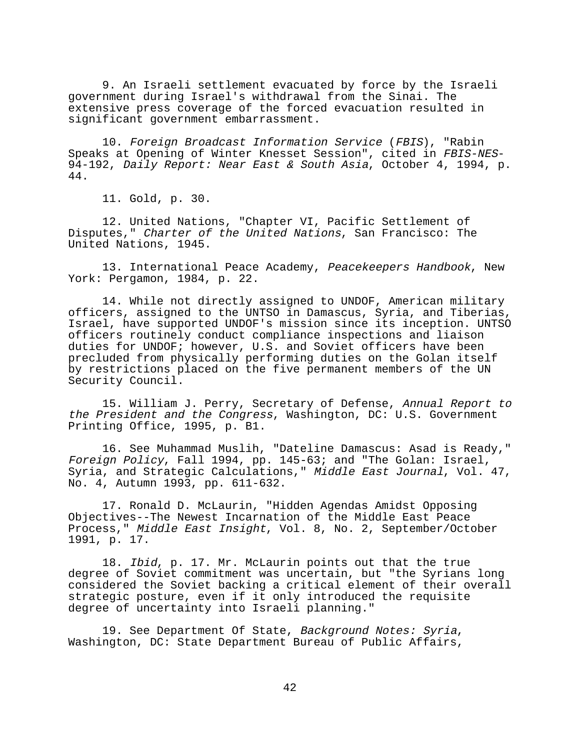9. An Israeli settlement evacuated by force by the Israeli government during Israel's withdrawal from the Sinai. The extensive press coverage of the forced evacuation resulted in significant government embarrassment.

10. Foreign Broadcast Information Service (FBIS), "Rabin Speaks at Opening of Winter Knesset Session", cited in FBIS-NES-94-192, Daily Report: Near East & South Asia, October 4, 1994, p. 44.

11. Gold, p. 30.

12. United Nations, "Chapter VI, Pacific Settlement of Disputes," Charter of the United Nations, San Francisco: The United Nations, 1945.

13. International Peace Academy, Peacekeepers Handbook, New York: Pergamon, 1984, p. 22.

14. While not directly assigned to UNDOF, American military officers, assigned to the UNTSO in Damascus, Syria, and Tiberias, Israel, have supported UNDOF's mission since its inception. UNTSO officers routinely conduct compliance inspections and liaison duties for UNDOF; however, U.S. and Soviet officers have been precluded from physically performing duties on the Golan itself by restrictions placed on the five permanent members of the UN Security Council.

15. William J. Perry, Secretary of Defense, Annual Report to the President and the Congress, Washington, DC: U.S. Government Printing Office, 1995, p. B1.

16. See Muhammad Muslih, "Dateline Damascus: Asad is Ready," Foreign Policy, Fall 1994, pp. 145-63; and "The Golan: Israel, Syria, and Strategic Calculations," Middle East Journal, Vol. 47, No. 4, Autumn 1993, pp. 611-632.

17. Ronald D. McLaurin, "Hidden Agendas Amidst Opposing Objectives--The Newest Incarnation of the Middle East Peace Process," Middle East Insight, Vol. 8, No. 2, September/October 1991, p. 17.

18. Ibid, p. 17. Mr. McLaurin points out that the true degree of Soviet commitment was uncertain, but "the Syrians long considered the Soviet backing a critical element of their overall strategic posture, even if it only introduced the requisite degree of uncertainty into Israeli planning."

19. See Department Of State, Background Notes: Syria, Washington, DC: State Department Bureau of Public Affairs,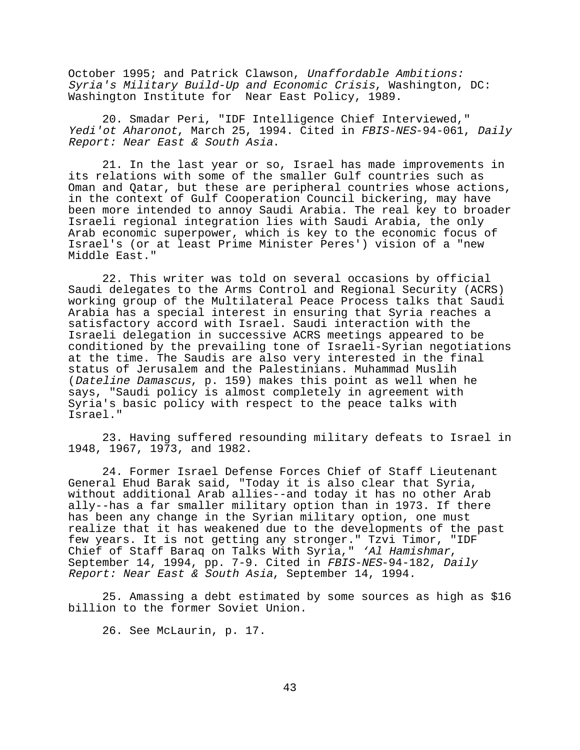October 1995; and Patrick Clawson, Unaffordable Ambitions: Syria's Military Build-Up and Economic Crisis, Washington, DC: Washington Institute for Near East Policy, 1989.

20. Smadar Peri, "IDF Intelligence Chief Interviewed," Yedi'ot Aharonot, March 25, 1994. Cited in FBIS-NES-94-061, Daily Report: Near East & South Asia.

21. In the last year or so, Israel has made improvements in its relations with some of the smaller Gulf countries such as Oman and Qatar, but these are peripheral countries whose actions, in the context of Gulf Cooperation Council bickering, may have been more intended to annoy Saudi Arabia. The real key to broader Israeli regional integration lies with Saudi Arabia, the only Arab economic superpower, which is key to the economic focus of Israel's (or at least Prime Minister Peres') vision of a "new Middle East."

22. This writer was told on several occasions by official Saudi delegates to the Arms Control and Regional Security (ACRS) working group of the Multilateral Peace Process talks that Saudi Arabia has a special interest in ensuring that Syria reaches a satisfactory accord with Israel. Saudi interaction with the Israeli delegation in successive ACRS meetings appeared to be conditioned by the prevailing tone of Israeli-Syrian negotiations at the time. The Saudis are also very interested in the final status of Jerusalem and the Palestinians. Muhammad Muslih (Dateline Damascus, p. 159) makes this point as well when he says, "Saudi policy is almost completely in agreement with Syria's basic policy with respect to the peace talks with Israel."

23. Having suffered resounding military defeats to Israel in 1948, 1967, 1973, and 1982.

24. Former Israel Defense Forces Chief of Staff Lieutenant General Ehud Barak said, "Today it is also clear that Syria, without additional Arab allies--and today it has no other Arab ally--has a far smaller military option than in 1973. If there has been any change in the Syrian military option, one must realize that it has weakened due to the developments of the past few years. It is not getting any stronger." Tzvi Timor, "IDF<br>Chief of Staff Baraq on Talks With Syria," 'Al Hamishmar, September 14, 1994, pp. 7-9. Cited in FBIS-NES-94-182, Daily Report: Near East & South Asia, September 14, 1994.

25. Amassing a debt estimated by some sources as high as \$16 billion to the former Soviet Union.

26. See McLaurin, p. 17.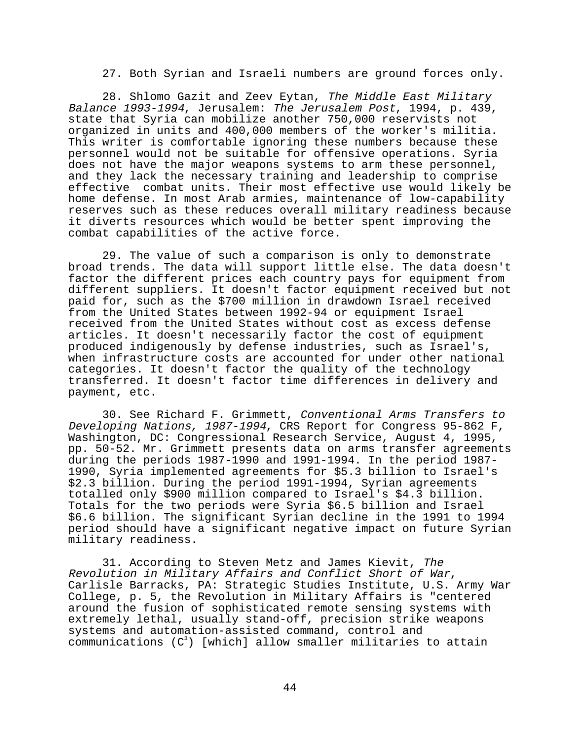27. Both Syrian and Israeli numbers are ground forces only.

28. Shlomo Gazit and Zeev Eytan, The Middle East Military Balance 1993-1994, Jerusalem: The Jerusalem Post, 1994, p. 439, state that Syria can mobilize another 750,000 reservists not organized in units and 400,000 members of the worker's militia. This writer is comfortable ignoring these numbers because these personnel would not be suitable for offensive operations. Syria does not have the major weapons systems to arm these personnel, and they lack the necessary training and leadership to comprise effective combat units. Their most effective use would likely be home defense. In most Arab armies, maintenance of low-capability reserves such as these reduces overall military readiness because it diverts resources which would be better spent improving the combat capabilities of the active force.

29. The value of such a comparison is only to demonstrate broad trends. The data will support little else. The data doesn't factor the different prices each country pays for equipment from different suppliers. It doesn't factor equipment received but not paid for, such as the \$700 million in drawdown Israel received from the United States between 1992-94 or equipment Israel received from the United States without cost as excess defense articles. It doesn't necessarily factor the cost of equipment produced indigenously by defense industries, such as Israel's, when infrastructure costs are accounted for under other national categories. It doesn't factor the quality of the technology transferred. It doesn't factor time differences in delivery and payment, etc.

30. See Richard F. Grimmett, Conventional Arms Transfers to Developing Nations, 1987-1994, CRS Report for Congress 95-862 F, Washington, DC: Congressional Research Service, August 4, 1995, pp. 50-52. Mr. Grimmett presents data on arms transfer agreements during the periods 1987-1990 and 1991-1994. In the period 1987- 1990, Syria implemented agreements for \$5.3 billion to Israel's \$2.3 billion. During the period 1991-1994, Syrian agreements totalled only \$900 million compared to Israel's \$4.3 billion. Totals for the two periods were Syria \$6.5 billion and Israel \$6.6 billion. The significant Syrian decline in the 1991 to 1994 period should have a significant negative impact on future Syrian military readiness.

31. According to Steven Metz and James Kievit, The<br>Revolution in Military Affairs and Conflict Short of War, Carlisle Barracks, PA: Strategic Studies Institute, U.S. Army War College, p. 5, the Revolution in Military Affairs is "centered around the fusion of sophisticated remote sensing systems with extremely lethal, usually stand-off, precision strike weapons systems and automation-assisted command, control and communications  $(C^3)$  [which] allow smaller militaries to attain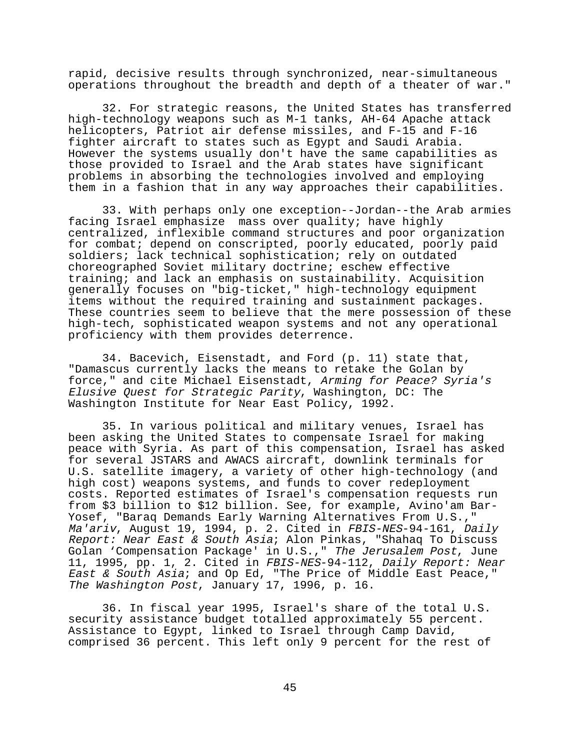rapid, decisive results through synchronized, near-simultaneous operations throughout the breadth and depth of a theater of war."

32. For strategic reasons, the United States has transferred high-technology weapons such as M-1 tanks, AH-64 Apache attack helicopters, Patriot air defense missiles, and F-15 and F-16 fighter aircraft to states such as Egypt and Saudi Arabia. However the systems usually don't have the same capabilities as those provided to Israel and the Arab states have significant problems in absorbing the technologies involved and employing them in a fashion that in any way approaches their capabilities.

33. With perhaps only one exception--Jordan--the Arab armies facing Israel emphasize mass over quality; have highly centralized, inflexible command structures and poor organization for combat; depend on conscripted, poorly educated, poorly paid soldiers; lack technical sophistication; rely on outdated choreographed Soviet military doctrine; eschew effective training; and lack an emphasis on sustainability. Acquisition generally focuses on "big-ticket," high-technology equipment items without the required training and sustainment packages. These countries seem to believe that the mere possession of these high-tech, sophisticated weapon systems and not any operational proficiency with them provides deterrence.

34. Bacevich, Eisenstadt, and Ford (p. 11) state that, "Damascus currently lacks the means to retake the Golan by force," and cite Michael Eisenstadt, Arming for Peace? Syria's Elusive Quest for Strategic Parity, Washington, DC: The Washington Institute for Near East Policy, 1992.

35. In various political and military venues, Israel has been asking the United States to compensate Israel for making peace with Syria. As part of this compensation, Israel has asked for several JSTARS and AWACS aircraft, downlink terminals for U.S. satellite imagery, a variety of other high-technology (and high cost) weapons systems, and funds to cover redeployment costs. Reported estimates of Israel's compensation requests run from \$3 billion to \$12 billion. See, for example, Avino'am Bar-Yosef, "Baraq Demands Early Warning Alternatives From U.S.," Ma'ariv, August 19, 1994, p. 2. Cited in FBIS-NES-94-161, Daily Report: Near East & South Asia; Alon Pinkas, "Shahaq To Discuss Golan 'Compensation Package' in U.S.," The Jerusalem Post, June 11, 1995, pp. 1, 2. Cited in FBIS-NES-94-112, Daily Report: Near East & South Asia; and Op Ed, "The Price of Middle East Peace," The Washington Post, January 17, 1996, p. 16.

36. In fiscal year 1995, Israel's share of the total U.S. security assistance budget totalled approximately 55 percent. Assistance to Egypt, linked to Israel through Camp David, comprised 36 percent. This left only 9 percent for the rest of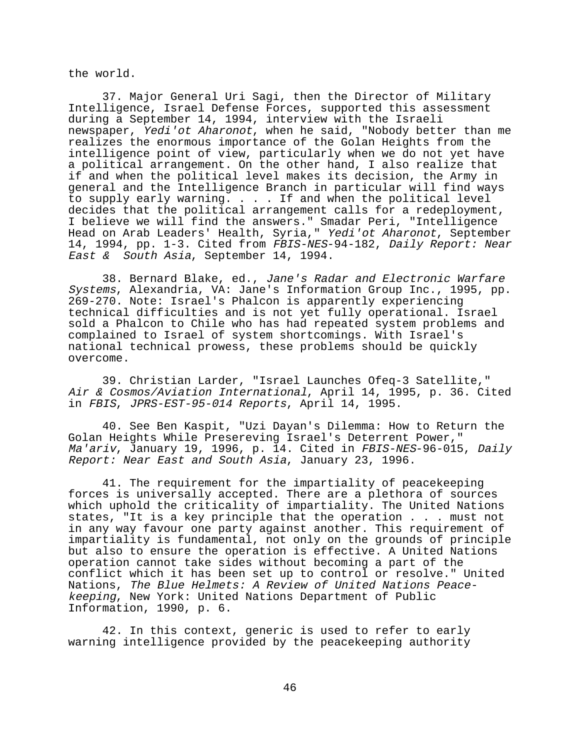the world.

37. Major General Uri Sagi, then the Director of Military Intelligence, Israel Defense Forces, supported this assessment during a September 14, 1994, interview with the Israeli newspaper, Yedi'ot Aharonot, when he said, "Nobody better than me realizes the enormous importance of the Golan Heights from the intelligence point of view, particularly when we do not yet have a political arrangement. On the other hand, I also realize that if and when the political level makes its decision, the Army in general and the Intelligence Branch in particular will find ways to supply early warning. . . . If and when the political level decides that the political arrangement calls for a redeployment, I believe we will find the answers." Smadar Peri, "Intelligence Head on Arab Leaders' Health, Syria," Yedi'ot Aharonot, September 14, 1994, pp. 1-3. Cited from FBIS-NES-94-182, Daily Report: Near East & South Asia, September 14, 1994.

38. Bernard Blake, ed., Jane's Radar and Electronic Warfare Systems, Alexandria, VA: Jane's Information Group Inc., 1995, pp. 269-270. Note: Israel's Phalcon is apparently experiencing technical difficulties and is not yet fully operational. Israel sold a Phalcon to Chile who has had repeated system problems and complained to Israel of system shortcomings. With Israel's national technical prowess, these problems should be quickly overcome.

39. Christian Larder, "Israel Launches Ofeq-3 Satellite," Air & Cosmos/Aviation International, April 14, 1995, p. 36. Cited in FBIS, JPRS-EST-95-014 Reports, April 14, 1995.

40. See Ben Kaspit, "Uzi Dayan's Dilemma: How to Return the Golan Heights While Presereving Israel's Deterrent Power," Ma'ariv, January 19, 1996, p. 14. Cited in FBIS-NES-96-015, Daily Report: Near East and South Asia, January 23, 1996.

41. The requirement for the impartiality of peacekeeping forces is universally accepted. There are a plethora of sources which uphold the criticality of impartiality. The United Nations states, "It is a key principle that the operation . . . must not in any way favour one party against another. This requirement of impartiality is fundamental, not only on the grounds of principle but also to ensure the operation is effective. A United Nations operation cannot take sides without becoming a part of the conflict which it has been set up to control or resolve." United Nations, The Blue Helmets: A Review of United Nations Peacekeeping, New York: United Nations Department of Public Information, 1990, p. 6.

42. In this context, generic is used to refer to early warning intelligence provided by the peacekeeping authority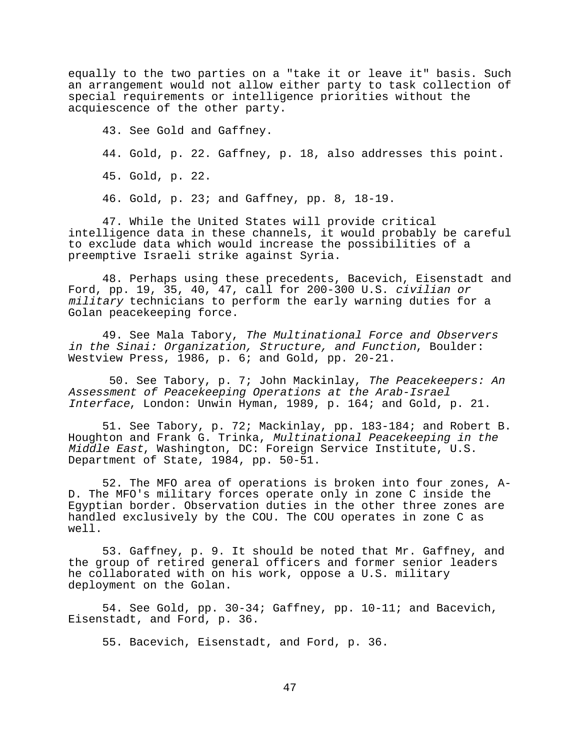equally to the two parties on a "take it or leave it" basis. Such an arrangement would not allow either party to task collection of special requirements or intelligence priorities without the acquiescence of the other party.

43. See Gold and Gaffney. 44. Gold, p. 22. Gaffney, p. 18, also addresses this point. 45. Gold, p. 22. 46. Gold, p. 23; and Gaffney, pp. 8, 18-19.

47. While the United States will provide critical intelligence data in these channels, it would probably be careful to exclude data which would increase the possibilities of a preemptive Israeli strike against Syria.

48. Perhaps using these precedents, Bacevich, Eisenstadt and Ford, pp. 19, 35, 40, 47, call for 200-300 U.S. civilian or military technicians to perform the early warning duties for a Golan peacekeeping force.

49. See Mala Tabory, The Multinational Force and Observers in the Sinai: Organization, Structure, and Function, Boulder: Westview Press, 1986, p. 6; and Gold, pp. 20-21.

 50. See Tabory, p. 7; John Mackinlay, The Peacekeepers: An Assessment of Peacekeeping Operations at the Arab-Israel Interface, London: Unwin Hyman, 1989, p. 164; and Gold, p. 21.

51. See Tabory, p. 72; Mackinlay, pp. 183-184; and Robert B. Houghton and Frank G. Trinka, Multinational Peacekeeping in the Middle East, Washington, DC: Foreign Service Institute, U.S. Department of State, 1984, pp. 50-51.

52. The MFO area of operations is broken into four zones, A-D. The MFO's military forces operate only in zone C inside the Egyptian border. Observation duties in the other three zones are handled exclusively by the COU. The COU operates in zone C as well.

53. Gaffney, p. 9. It should be noted that Mr. Gaffney, and the group of retired general officers and former senior leaders he collaborated with on his work, oppose a U.S. military deployment on the Golan.

54. See Gold, pp. 30-34; Gaffney, pp. 10-11; and Bacevich, Eisenstadt, and Ford, p. 36.

55. Bacevich, Eisenstadt, and Ford, p. 36.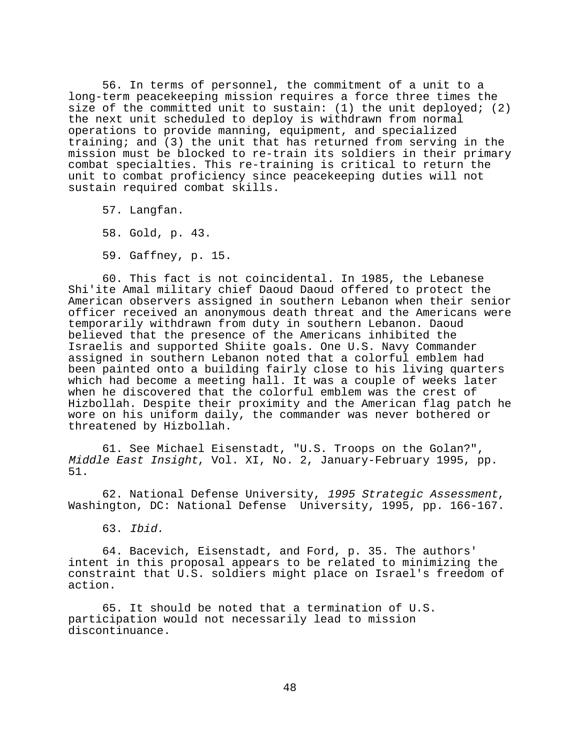56. In terms of personnel, the commitment of a unit to a long-term peacekeeping mission requires a force three times the size of the committed unit to sustain: (1) the unit deployed; (2) the next unit scheduled to deploy is withdrawn from normal operations to provide manning, equipment, and specialized training; and (3) the unit that has returned from serving in the mission must be blocked to re-train its soldiers in their primary combat specialties. This re-training is critical to return the unit to combat proficiency since peacekeeping duties will not sustain required combat skills.

57. Langfan.

58. Gold, p. 43.

59. Gaffney, p. 15.

60. This fact is not coincidental. In 1985, the Lebanese Shi'ite Amal military chief Daoud Daoud offered to protect the American observers assigned in southern Lebanon when their senior officer received an anonymous death threat and the Americans were temporarily withdrawn from duty in southern Lebanon. Daoud believed that the presence of the Americans inhibited the Israelis and supported Shiite goals. One U.S. Navy Commander assigned in southern Lebanon noted that a colorful emblem had been painted onto a building fairly close to his living quarters which had become a meeting hall. It was a couple of weeks later when he discovered that the colorful emblem was the crest of Hizbollah. Despite their proximity and the American flag patch he wore on his uniform daily, the commander was never bothered or threatened by Hizbollah.

61. See Michael Eisenstadt, "U.S. Troops on the Golan?", Middle East Insight, Vol. XI, No. 2, January-February 1995, pp. 51.

62. National Defense University, 1995 Strategic Assessment, Washington, DC: National Defense University, 1995, pp. 166-167.

63. Ibid.

64. Bacevich, Eisenstadt, and Ford, p. 35. The authors' intent in this proposal appears to be related to minimizing the constraint that U.S. soldiers might place on Israel's freedom of action.

65. It should be noted that a termination of U.S. participation would not necessarily lead to mission discontinuance.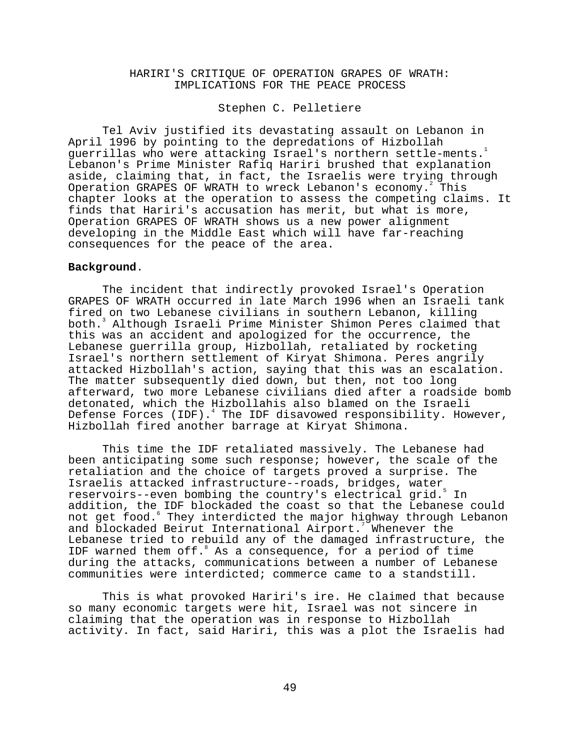# HARIRI'S CRITIQUE OF OPERATION GRAPES OF WRATH: IMPLICATIONS FOR THE PEACE PROCESS

## Stephen C. Pelletiere

Tel Aviv justified its devastating assault on Lebanon in April 1996 by pointing to the depredations of Hizbollah guerrillas who were attacking Israel's northern settle-ments.<sup>1</sup> Lebanon's Prime Minister Rafiq Hariri brushed that explanation aside, claiming that, in fact, the Israelis were trying through Operation GRAPES OF WRATH to wreck Lebanon's economy. This chapter looks at the operation to assess the competing claims. It finds that Hariri's accusation has merit, but what is more, Operation GRAPES OF WRATH shows us a new power alignment developing in the Middle East which will have far-reaching consequences for the peace of the area.

## **Background**.

The incident that indirectly provoked Israel's Operation GRAPES OF WRATH occurred in late March 1996 when an Israeli tank fired on two Lebanese civilians in southern Lebanon, killing both.3 Although Israeli Prime Minister Shimon Peres claimed that this was an accident and apologized for the occurrence, the Lebanese guerrilla group, Hizbollah, retaliated by rocketing Israel's northern settlement of Kiryat Shimona. Peres angrily attacked Hizbollah's action, saying that this was an escalation. The matter subsequently died down, but then, not too long afterward, two more Lebanese civilians died after a roadside bomb detonated, which the Hizbollahis also blamed on the Israeli Defense Forces (IDF). $^4$  The IDF disavowed responsibility. However, Hizbollah fired another barrage at Kiryat Shimona.

This time the IDF retaliated massively. The Lebanese had been anticipating some such response; however, the scale of the retaliation and the choice of targets proved a surprise. The Israelis attacked infrastructure--roads, bridges, water reservoirs--even bombing the country's electrical grid.5 In addition, the IDF blockaded the coast so that the Lebanese could not get food. $^{\rm 6}$  They interdicted the major highway through Lebanon and blockaded Beirut International Airport.<sup>7</sup> Whenever the Lebanese tried to rebuild any of the damaged infrastructure, the IDF warned them off. As a consequence, for a period of time during the attacks, communications between a number of Lebanese communities were interdicted; commerce came to a standstill.

This is what provoked Hariri's ire. He claimed that because so many economic targets were hit, Israel was not sincere in claiming that the operation was in response to Hizbollah activity. In fact, said Hariri, this was a plot the Israelis had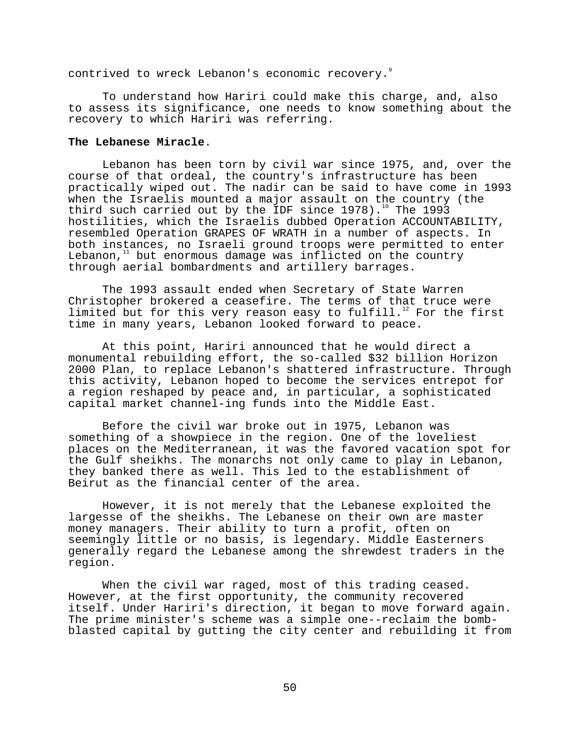contrived to wreck Lebanon's economic recovery.<sup>9</sup>

To understand how Hariri could make this charge, and, also to assess its significance, one needs to know something about the recovery to which Hariri was referring.

### **The Lebanese Miracle**.

Lebanon has been torn by civil war since 1975, and, over the course of that ordeal, the country's infrastructure has been practically wiped out. The nadir can be said to have come in 1993 when the Israelis mounted a major assault on the country (the third such carried out by the IDF since  $1978$ ).<sup>10</sup> The  $1993$ hostilities, which the Israelis dubbed Operation ACCOUNTABILITY, resembled Operation GRAPES OF WRATH in a number of aspects. In both instances, no Israeli ground troops were permitted to enter Lebanon, $11$  but enormous damage was inflicted on the country through aerial bombardments and artillery barrages.

The 1993 assault ended when Secretary of State Warren Christopher brokered a ceasefire. The terms of that truce were limited but for this very reason easy to fulfill.<sup>12</sup> For the first time in many years, Lebanon looked forward to peace.

At this point, Hariri announced that he would direct a monumental rebuilding effort, the so-called \$32 billion Horizon 2000 Plan, to replace Lebanon's shattered infrastructure. Through this activity, Lebanon hoped to become the services entrepot for a region reshaped by peace and, in particular, a sophisticated capital market channel-ing funds into the Middle East.

Before the civil war broke out in 1975, Lebanon was something of a showpiece in the region. One of the loveliest places on the Mediterranean, it was the favored vacation spot for the Gulf sheikhs. The monarchs not only came to play in Lebanon, they banked there as well. This led to the establishment of Beirut as the financial center of the area.

However, it is not merely that the Lebanese exploited the largesse of the sheikhs. The Lebanese on their own are master money managers. Their ability to turn a profit, often on seemingly little or no basis, is legendary. Middle Easterners generally regard the Lebanese among the shrewdest traders in the region.

When the civil war raged, most of this trading ceased. However, at the first opportunity, the community recovered itself. Under Hariri's direction, it began to move forward again. The prime minister's scheme was a simple one--reclaim the bombblasted capital by gutting the city center and rebuilding it from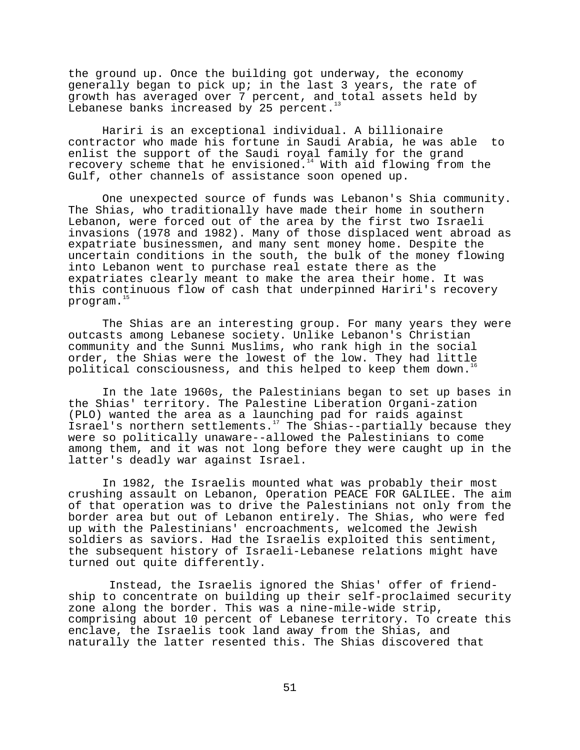the ground up. Once the building got underway, the economy generally began to pick up; in the last 3 years, the rate of growth has averaged over 7 percent, and total assets held by Lebanese banks increased by 25 percent.

Hariri is an exceptional individual. A billionaire contractor who made his fortune in Saudi Arabia, he was able to enlist the support of the Saudi royal family for the grand recovery scheme that he envisioned.<sup>14</sup> With aid flowing from the Gulf, other channels of assistance soon opened up.

One unexpected source of funds was Lebanon's Shia community. The Shias, who traditionally have made their home in southern Lebanon, were forced out of the area by the first two Israeli invasions (1978 and 1982). Many of those displaced went abroad as expatriate businessmen, and many sent money home. Despite the uncertain conditions in the south, the bulk of the money flowing into Lebanon went to purchase real estate there as the expatriates clearly meant to make the area their home. It was this continuous flow of cash that underpinned Hariri's recovery program.<sup>1</sup>

The Shias are an interesting group. For many years they were outcasts among Lebanese society. Unlike Lebanon's Christian community and the Sunni Muslims, who rank high in the social order, the Shias were the lowest of the low. They had little political consciousness, and this helped to keep them down.<sup>16</sup>

In the late 1960s, the Palestinians began to set up bases in the Shias' territory. The Palestine Liberation Organi-zation (PLO) wanted the area as a launching pad for raids against Israel's northern settlements.<sup>17</sup> The Shias--partially because they were so politically unaware--allowed the Palestinians to come among them, and it was not long before they were caught up in the latter's deadly war against Israel.

In 1982, the Israelis mounted what was probably their most crushing assault on Lebanon, Operation PEACE FOR GALILEE. The aim of that operation was to drive the Palestinians not only from the border area but out of Lebanon entirely. The Shias, who were fed up with the Palestinians' encroachments, welcomed the Jewish soldiers as saviors. Had the Israelis exploited this sentiment, the subsequent history of Israeli-Lebanese relations might have turned out quite differently.

 Instead, the Israelis ignored the Shias' offer of friendship to concentrate on building up their self-proclaimed security zone along the border. This was a nine-mile-wide strip, comprising about 10 percent of Lebanese territory. To create this enclave, the Israelis took land away from the Shias, and naturally the latter resented this. The Shias discovered that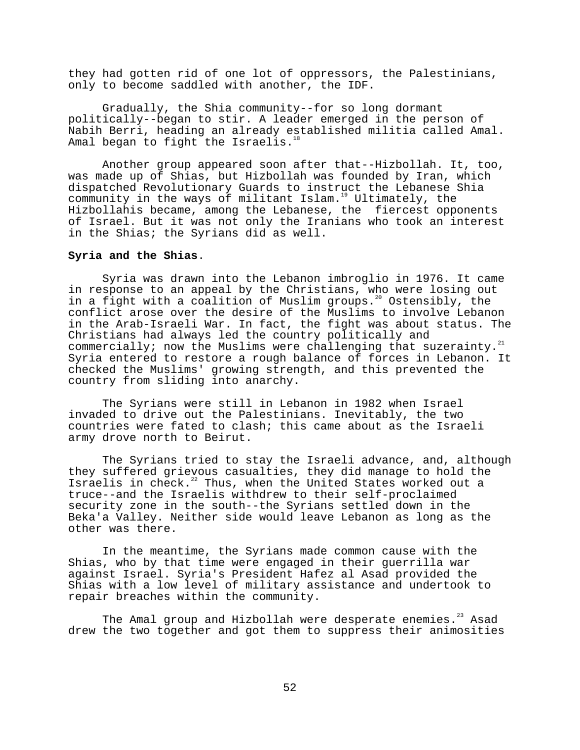they had gotten rid of one lot of oppressors, the Palestinians, only to become saddled with another, the IDF.

Gradually, the Shia community--for so long dormant politically--began to stir. A leader emerged in the person of Nabih Berri, heading an already established militia called Amal. Amal began to fight the Israelis. $18$ 

Another group appeared soon after that--Hizbollah. It, too, was made up of Shias, but Hizbollah was founded by Iran, which dispatched Revolutionary Guards to instruct the Lebanese Shia community in the ways of militant Islam.<sup>19</sup> Ultimately, the Hizbollahis became, among the Lebanese, the fiercest opponents of Israel. But it was not only the Iranians who took an interest in the Shias; the Syrians did as well.

## **Syria and the Shias**.

Syria was drawn into the Lebanon imbroglio in 1976. It came in response to an appeal by the Christians, who were losing out in a fight with a coalition of Muslim groups.20 Ostensibly, the conflict arose over the desire of the Muslims to involve Lebanon in the Arab-Israeli War. In fact, the fight was about status. The Christians had always led the country politically and commercially; now the Muslims were challenging that suzerainty. $^{21}$ Syria entered to restore a rough balance of forces in Lebanon. It checked the Muslims' growing strength, and this prevented the country from sliding into anarchy.

The Syrians were still in Lebanon in 1982 when Israel invaded to drive out the Palestinians. Inevitably, the two countries were fated to clash; this came about as the Israeli army drove north to Beirut.

The Syrians tried to stay the Israeli advance, and, although they suffered grievous casualties, they did manage to hold the Israelis in check.<sup>22</sup> Thus, when the United States worked out a truce--and the Israelis withdrew to their self-proclaimed security zone in the south--the Syrians settled down in the Beka'a Valley. Neither side would leave Lebanon as long as the other was there.

In the meantime, the Syrians made common cause with the Shias, who by that time were engaged in their guerrilla war against Israel. Syria's President Hafez al Asad provided the Shias with a low level of military assistance and undertook to repair breaches within the community.

The Amal group and Hizbollah were desperate enemies.<sup>23</sup> Asad drew the two together and got them to suppress their animosities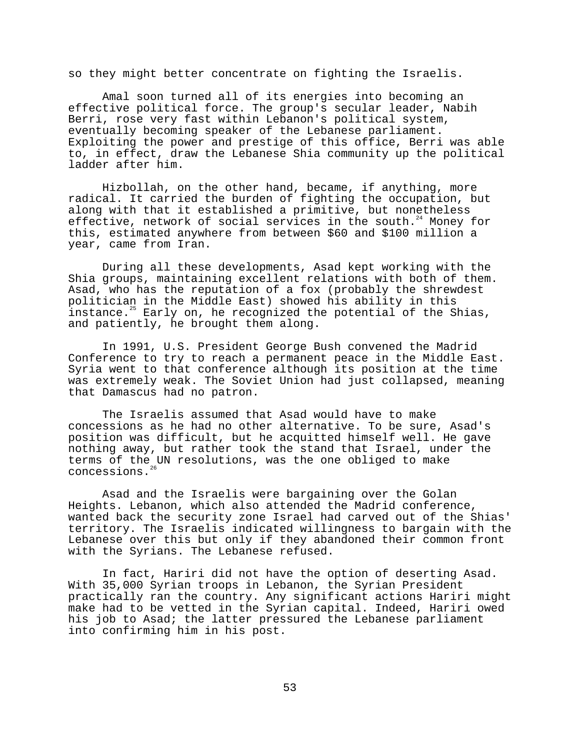so they might better concentrate on fighting the Israelis.

Amal soon turned all of its energies into becoming an effective political force. The group's secular leader, Nabih Berri, rose very fast within Lebanon's political system, eventually becoming speaker of the Lebanese parliament. Exploiting the power and prestige of this office, Berri was able to, in effect, draw the Lebanese Shia community up the political ladder after him.

Hizbollah, on the other hand, became, if anything, more radical. It carried the burden of fighting the occupation, but along with that it established a primitive, but nonetheless effective, network of social services in the south.<sup>24</sup> Money for this, estimated anywhere from between \$60 and \$100 million a year, came from Iran.

During all these developments, Asad kept working with the Shia groups, maintaining excellent relations with both of them. Asad, who has the reputation of a fox (probably the shrewdest politician in the Middle East) showed his ability in this instance.<sup>25</sup> Early on, he recognized the potential of the Shias, and patiently, he brought them along.

In 1991, U.S. President George Bush convened the Madrid Conference to try to reach a permanent peace in the Middle East. Syria went to that conference although its position at the time was extremely weak. The Soviet Union had just collapsed, meaning that Damascus had no patron.

The Israelis assumed that Asad would have to make concessions as he had no other alternative. To be sure, Asad's position was difficult, but he acquitted himself well. He gave nothing away, but rather took the stand that Israel, under the terms of the UN resolutions, was the one obliged to make concessions.

Asad and the Israelis were bargaining over the Golan Heights. Lebanon, which also attended the Madrid conference, wanted back the security zone Israel had carved out of the Shias' territory. The Israelis indicated willingness to bargain with the Lebanese over this but only if they abandoned their common front with the Syrians. The Lebanese refused.

In fact, Hariri did not have the option of deserting Asad. With 35,000 Syrian troops in Lebanon, the Syrian President practically ran the country. Any significant actions Hariri might make had to be vetted in the Syrian capital. Indeed, Hariri owed his job to Asad; the latter pressured the Lebanese parliament into confirming him in his post.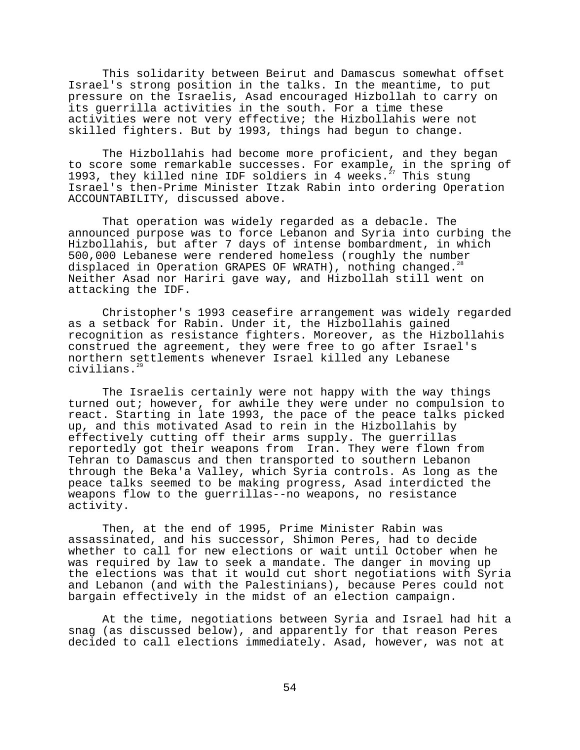This solidarity between Beirut and Damascus somewhat offset Israel's strong position in the talks. In the meantime, to put pressure on the Israelis, Asad encouraged Hizbollah to carry on its guerrilla activities in the south. For a time these activities were not very effective; the Hizbollahis were not skilled fighters. But by 1993, things had begun to change.

The Hizbollahis had become more proficient, and they began to score some remarkable successes. For example, in the spring of 1993, they killed nine IDF soldiers in 4 weeks. $^{27}$  This stung Israel's then-Prime Minister Itzak Rabin into ordering Operation ACCOUNTABILITY, discussed above.

That operation was widely regarded as a debacle. The announced purpose was to force Lebanon and Syria into curbing the Hizbollahis, but after 7 days of intense bombardment, in which 500,000 Lebanese were rendered homeless (roughly the number displaced in Operation GRAPES OF WRATH), nothing changed.<sup>28</sup> Neither Asad nor Hariri gave way, and Hizbollah still went on attacking the IDF.

Christopher's 1993 ceasefire arrangement was widely regarded as a setback for Rabin. Under it, the Hizbollahis gained recognition as resistance fighters. Moreover, as the Hizbollahis construed the agreement, they were free to go after Israel's northern settlements whenever Israel killed any Lebanese civilians.<sup>2</sup>

The Israelis certainly were not happy with the way things turned out; however, for awhile they were under no compulsion to react. Starting in late 1993, the pace of the peace talks picked up, and this motivated Asad to rein in the Hizbollahis by effectively cutting off their arms supply. The guerrillas reportedly got their weapons from Iran. They were flown from Tehran to Damascus and then transported to southern Lebanon through the Beka'a Valley, which Syria controls. As long as the peace talks seemed to be making progress, Asad interdicted the weapons flow to the guerrillas--no weapons, no resistance activity.

Then, at the end of 1995, Prime Minister Rabin was assassinated, and his successor, Shimon Peres, had to decide whether to call for new elections or wait until October when he was required by law to seek a mandate. The danger in moving up the elections was that it would cut short negotiations with Syria and Lebanon (and with the Palestinians), because Peres could not bargain effectively in the midst of an election campaign.

At the time, negotiations between Syria and Israel had hit a snag (as discussed below), and apparently for that reason Peres decided to call elections immediately. Asad, however, was not at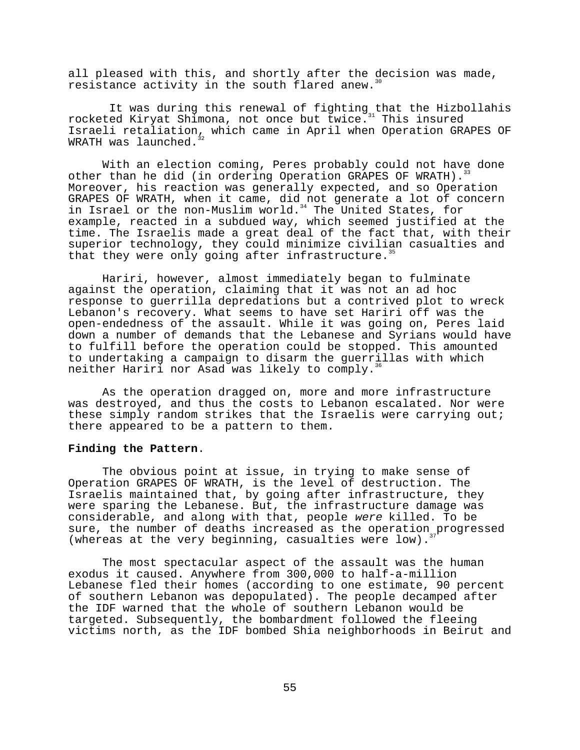all pleased with this, and shortly after the decision was made, resistance activity in the south flared anew.<sup>3</sup>

 It was during this renewal of fighting that the Hizbollahis rocketed Kiryat Shimona, not once but twice.<sup>31</sup> This insured Israeli retaliation, which came in April when Operation GRAPES OF WRATH was launched. $3$ 

With an election coming, Peres probably could not have done other than he did (in ordering Operation GRAPES OF WRATH). Moreover, his reaction was generally expected, and so Operation GRAPES OF WRATH, when it came, did not generate a lot of concern in Israel or the non-Muslim world.<sup>34</sup> The United States, for example, reacted in a subdued way, which seemed justified at the time. The Israelis made a great deal of the fact that, with their superior technology, they could minimize civilian casualties and that they were only going after infrastructure.<sup>35</sup>

Hariri, however, almost immediately began to fulminate against the operation, claiming that it was not an ad hoc response to guerrilla depredations but a contrived plot to wreck Lebanon's recovery. What seems to have set Hariri off was the open-endedness of the assault. While it was going on, Peres laid down a number of demands that the Lebanese and Syrians would have to fulfill before the operation could be stopped. This amounted to undertaking a campaign to disarm the guerrillas with which neither Hariri nor Asad was likely to comply.<sup>36</sup>

As the operation dragged on, more and more infrastructure was destroyed, and thus the costs to Lebanon escalated. Nor were these simply random strikes that the Israelis were carrying out; there appeared to be a pattern to them.

## **Finding the Pattern**.

The obvious point at issue, in trying to make sense of Operation GRAPES OF WRATH, is the level of destruction. The Israelis maintained that, by going after infrastructure, they were sparing the Lebanese. But, the infrastructure damage was considerable, and along with that, people were killed. To be sure, the number of deaths increased as the operation progressed (whereas at the very beginning, casualties were low).

The most spectacular aspect of the assault was the human exodus it caused. Anywhere from 300,000 to half-a-million Lebanese fled their homes (according to one estimate, 90 percent of southern Lebanon was depopulated). The people decamped after the IDF warned that the whole of southern Lebanon would be targeted. Subsequently, the bombardment followed the fleeing victims north, as the IDF bombed Shia neighborhoods in Beirut and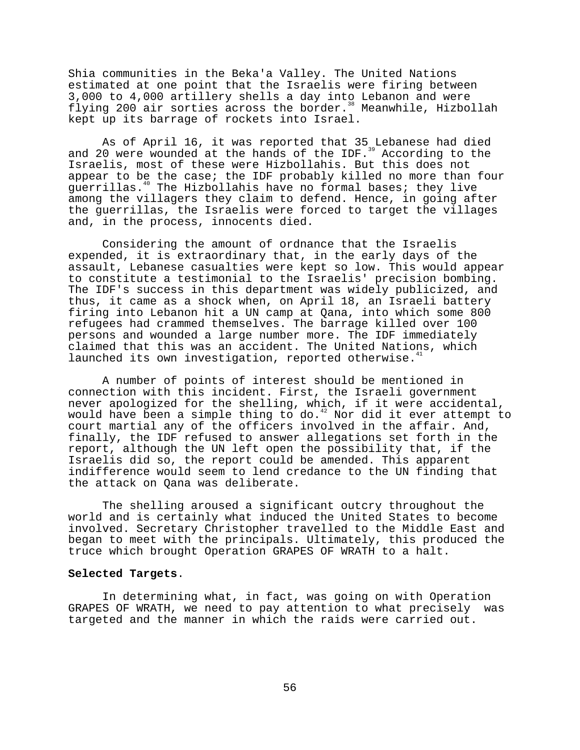Shia communities in the Beka'a Valley. The United Nations estimated at one point that the Israelis were firing between 3,000 to 4,000 artillery shells a day into Lebanon and were flying 200 air sorties across the border.<sup>38</sup> Meanwhile, Hizbollah kept up its barrage of rockets into Israel.

As of April 16, it was reported that 35 Lebanese had died and 20 were wounded at the hands of the IDF.<sup>39</sup> According to the Israelis, most of these were Hizbollahis. But this does not appear to be the case; the IDF probably killed no more than four guerrillas.<sup>40</sup> The Hizbollahis have no formal bases; they live among the villagers they claim to defend. Hence, in going after the guerrillas, the Israelis were forced to target the villages and, in the process, innocents died.

Considering the amount of ordnance that the Israelis expended, it is extraordinary that, in the early days of the assault, Lebanese casualties were kept so low. This would appear to constitute a testimonial to the Israelis' precision bombing. The IDF's success in this department was widely publicized, and thus, it came as a shock when, on April 18, an Israeli battery firing into Lebanon hit a UN camp at Qana, into which some 800 refugees had crammed themselves. The barrage killed over 100 persons and wounded a large number more. The IDF immediately claimed that this was an accident. The United Nations, which launched its own investigation, reported otherwise.<sup>4</sup>

A number of points of interest should be mentioned in connection with this incident. First, the Israeli government never apologized for the shelling, which, if it were accidental, would have been a simple thing to do.<sup>42</sup> Nor did it ever attempt to court martial any of the officers involved in the affair. And, finally, the IDF refused to answer allegations set forth in the report, although the UN left open the possibility that, if the Israelis did so, the report could be amended. This apparent indifference would seem to lend credance to the UN finding that the attack on Qana was deliberate.

The shelling aroused a significant outcry throughout the world and is certainly what induced the United States to become involved. Secretary Christopher travelled to the Middle East and began to meet with the principals. Ultimately, this produced the truce which brought Operation GRAPES OF WRATH to a halt.

#### **Selected Targets**.

In determining what, in fact, was going on with Operation GRAPES OF WRATH, we need to pay attention to what precisely was targeted and the manner in which the raids were carried out.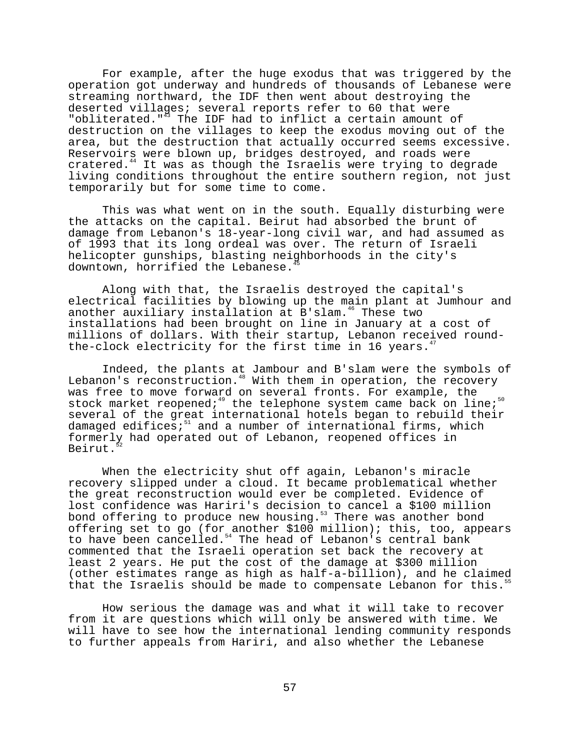For example, after the huge exodus that was triggered by the operation got underway and hundreds of thousands of Lebanese were streaming northward, the IDF then went about destroying the deserted villages; several reports refer to 60 that were "obliterated."<sup>43</sup> The IDF had to inflict a certain amount of destruction on the villages to keep the exodus moving out of the area, but the destruction that actually occurred seems excessive. Reservoirs were blown up, bridges destroyed, and roads were cratered.44 It was as though the Israelis were trying to degrade living conditions throughout the entire southern region, not just temporarily but for some time to come.

This was what went on in the south. Equally disturbing were the attacks on the capital. Beirut had absorbed the brunt of damage from Lebanon's 18-year-long civil war, and had assumed as of 1993 that its long ordeal was over. The return of Israeli helicopter gunships, blasting neighborhoods in the city's downtown, horrified the Lebanese.<sup>4</sup>

Along with that, the Israelis destroyed the capital's electrical facilities by blowing up the main plant at Jumhour and another auxiliary installation at  $B'$ slam.<sup>46</sup> These two installations had been brought on line in January at a cost of millions of dollars. With their startup, Lebanon received roundthe-clock electricity for the first time in 16 years. $^4$ 

Indeed, the plants at Jambour and B'slam were the symbols of Lebanon's reconstruction.<sup>48</sup> With them in operation, the recovery was free to move forward on several fronts. For example, the stock market reopened;<sup>49</sup> the telephone system came back on line;<sup>50</sup> several of the great international hotels began to rebuild their damaged edifices; $51$  and a number of international firms, which formerly had operated out of Lebanon, reopened offices in Beirut.

When the electricity shut off again, Lebanon's miracle recovery slipped under a cloud. It became problematical whether the great reconstruction would ever be completed. Evidence of lost confidence was Hariri's decision to cancel a \$100 million bond offering to produce new housing.<sup>53</sup> There was another bond offering set to go (for another \$100 million); this, too, appears to have been cancelled.<sup>54</sup> The head of Lebanon's central bank commented that the Israeli operation set back the recovery at least 2 years. He put the cost of the damage at \$300 million (other estimates range as high as half-a-billion), and he claimed that the Israelis should be made to compensate Lebanon for this.

How serious the damage was and what it will take to recover from it are questions which will only be answered with time. We will have to see how the international lending community responds to further appeals from Hariri, and also whether the Lebanese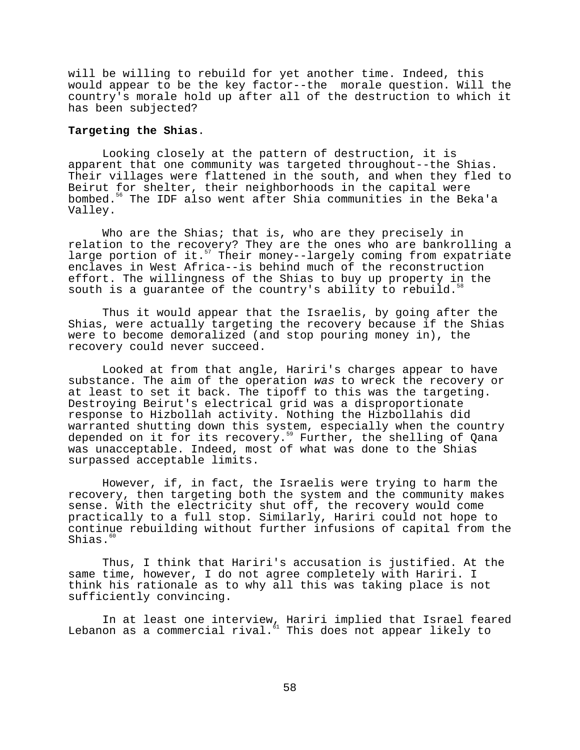will be willing to rebuild for yet another time. Indeed, this would appear to be the key factor--the morale question. Will the country's morale hold up after all of the destruction to which it has been subjected?

## **Targeting the Shias**.

Looking closely at the pattern of destruction, it is apparent that one community was targeted throughout--the Shias. Their villages were flattened in the south, and when they fled to Beirut for shelter, their neighborhoods in the capital were bombed.56 The IDF also went after Shia communities in the Beka'a Valley.

Who are the Shias; that is, who are they precisely in relation to the recovery? They are the ones who are bankrolling a large portion of it.<sup>57</sup> Their money--largely coming from expatriate enclaves in West Africa--is behind much of the reconstruction effort. The willingness of the Shias to buy up property in the south is a guarantee of the country's ability to rebuild.

Thus it would appear that the Israelis, by going after the Shias, were actually targeting the recovery because if the Shias were to become demoralized (and stop pouring money in), the recovery could never succeed.

Looked at from that angle, Hariri's charges appear to have substance. The aim of the operation was to wreck the recovery or at least to set it back. The tipoff to this was the targeting. Destroying Beirut's electrical grid was a disproportionate response to Hizbollah activity. Nothing the Hizbollahis did warranted shutting down this system, especially when the country depended on it for its recovery.<sup>59</sup> Further, the shelling of Qana was unacceptable. Indeed, most of what was done to the Shias surpassed acceptable limits.

However, if, in fact, the Israelis were trying to harm the recovery, then targeting both the system and the community makes sense. With the electricity shut off, the recovery would come practically to a full stop. Similarly, Hariri could not hope to continue rebuilding without further infusions of capital from the Shias.<sup>60</sup>

Thus, I think that Hariri's accusation is justified. At the same time, however, I do not agree completely with Hariri. I think his rationale as to why all this was taking place is not sufficiently convincing.

In at least one interview, Hariri implied that Israel feared Lebanon as a commercial rival. $^{61}$  This does not appear likely to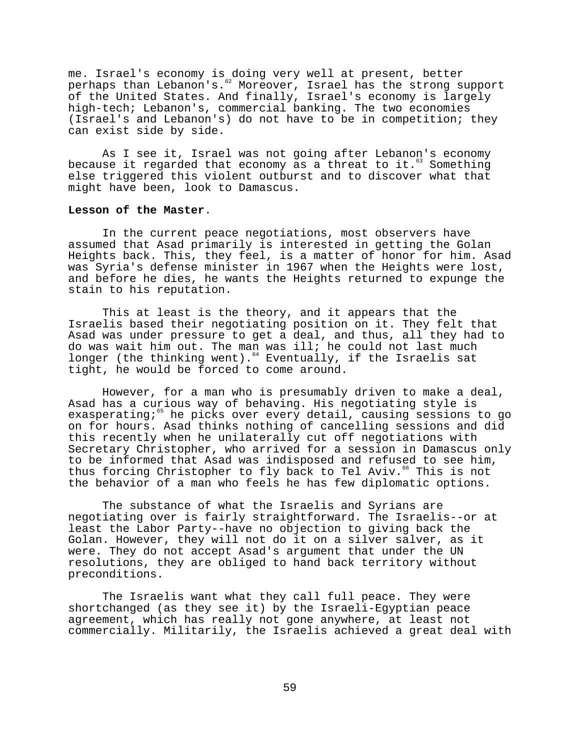me. Israel's economy is doing very well at present, better perhaps than Lebanon's.<sup>62</sup> Moreover, Israel has the strong support of the United States. And finally, Israel's economy is largely high-tech; Lebanon's, commercial banking. The two economies (Israel's and Lebanon's) do not have to be in competition; they can exist side by side.

As I see it, Israel was not going after Lebanon's economy because it regarded that economy as a threat to it.<sup>63</sup> Something else triggered this violent outburst and to discover what that might have been, look to Damascus.

## **Lesson of the Master**.

In the current peace negotiations, most observers have assumed that Asad primarily is interested in getting the Golan Heights back. This, they feel, is a matter of honor for him. Asad was Syria's defense minister in 1967 when the Heights were lost, and before he dies, he wants the Heights returned to expunge the stain to his reputation.

This at least is the theory, and it appears that the Israelis based their negotiating position on it. They felt that Asad was under pressure to get a deal, and thus, all they had to do was wait him out. The man was ill; he could not last much longer (the thinking went).<sup>64</sup> Eventually, if the Israelis sat tight, he would be forced to come around.

However, for a man who is presumably driven to make a deal, Asad has a curious way of behaving. His negotiating style is exasperating;<sup>65</sup> he picks over every detail, causing sessions to go on for hours. Asad thinks nothing of cancelling sessions and did this recently when he unilaterally cut off negotiations with Secretary Christopher, who arrived for a session in Damascus only to be informed that Asad was indisposed and refused to see him, thus forcing Christopher to fly back to Tel Aviv.<sup>66</sup> This is not the behavior of a man who feels he has few diplomatic options.

The substance of what the Israelis and Syrians are negotiating over is fairly straightforward. The Israelis--or at least the Labor Party--have no objection to giving back the Golan. However, they will not do it on a silver salver, as it were. They do not accept Asad's argument that under the UN resolutions, they are obliged to hand back territory without preconditions.

The Israelis want what they call full peace. They were shortchanged (as they see it) by the Israeli-Egyptian peace agreement, which has really not gone anywhere, at least not commercially. Militarily, the Israelis achieved a great deal with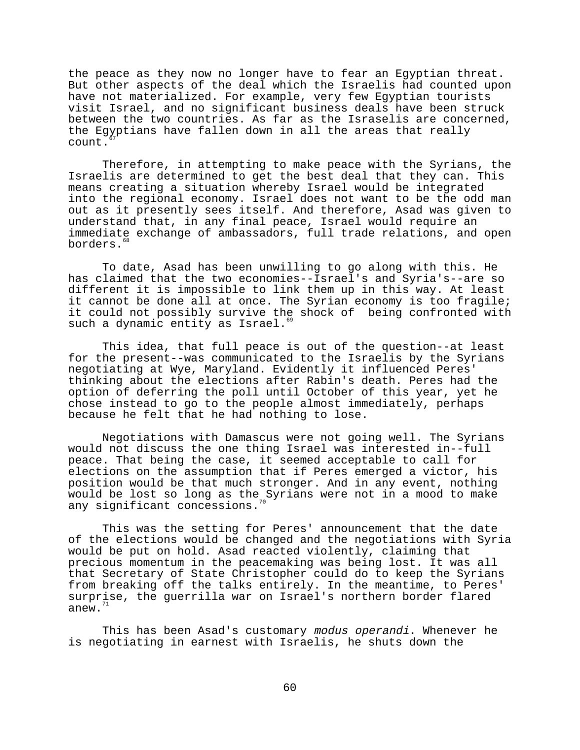the peace as they now no longer have to fear an Egyptian threat. But other aspects of the deal which the Israelis had counted upon have not materialized. For example, very few Egyptian tourists visit Israel, and no significant business deals have been struck between the two countries. As far as the Israselis are concerned, the Egyptians have fallen down in all the areas that really count.

Therefore, in attempting to make peace with the Syrians, the Israelis are determined to get the best deal that they can. This means creating a situation whereby Israel would be integrated into the regional economy. Israel does not want to be the odd man out as it presently sees itself. And therefore, Asad was given to understand that, in any final peace, Israel would require an immediate exchange of ambassadors, full trade relations, and open borders.<sup>68</sup>

To date, Asad has been unwilling to go along with this. He has claimed that the two economies--Israel's and Syria's--are so different it is impossible to link them up in this way. At least it cannot be done all at once. The Syrian economy is too fragile; it could not possibly survive the shock of being confronted with such a dynamic entity as Israel.

This idea, that full peace is out of the question--at least for the present--was communicated to the Israelis by the Syrians negotiating at Wye, Maryland. Evidently it influenced Peres' thinking about the elections after Rabin's death. Peres had the option of deferring the poll until October of this year, yet he chose instead to go to the people almost immediately, perhaps because he felt that he had nothing to lose.

Negotiations with Damascus were not going well. The Syrians would not discuss the one thing Israel was interested in--full peace. That being the case, it seemed acceptable to call for elections on the assumption that if Peres emerged a victor, his position would be that much stronger. And in any event, nothing would be lost so long as the Syrians were not in a mood to make any significant concessions.

This was the setting for Peres' announcement that the date of the elections would be changed and the negotiations with Syria would be put on hold. Asad reacted violently, claiming that precious momentum in the peacemaking was being lost. It was all that Secretary of State Christopher could do to keep the Syrians from breaking off the talks entirely. In the meantime, to Peres' surprise, the guerrilla war on Israel's northern border flared anew.

This has been Asad's customary modus operandi. Whenever he is negotiating in earnest with Israelis, he shuts down the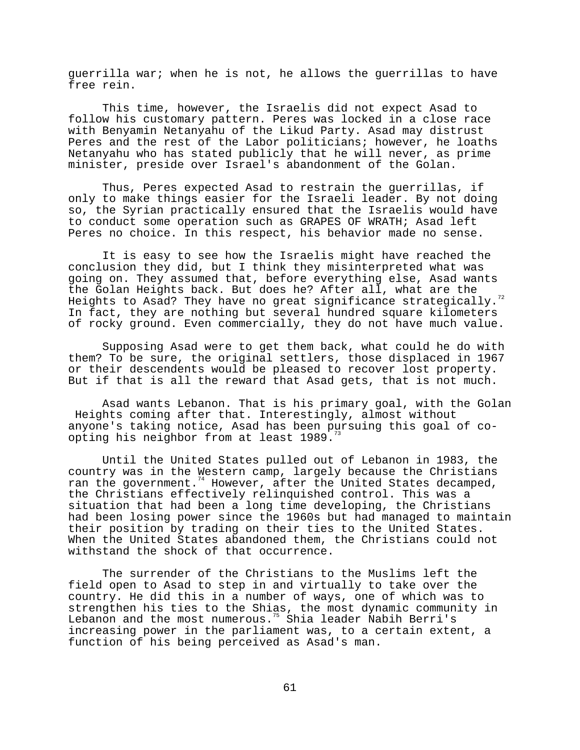guerrilla war; when he is not, he allows the guerrillas to have free rein.

This time, however, the Israelis did not expect Asad to follow his customary pattern. Peres was locked in a close race with Benyamin Netanyahu of the Likud Party. Asad may distrust Peres and the rest of the Labor politicians; however, he loaths Netanyahu who has stated publicly that he will never, as prime minister, preside over Israel's abandonment of the Golan.

Thus, Peres expected Asad to restrain the guerrillas, if only to make things easier for the Israeli leader. By not doing so, the Syrian practically ensured that the Israelis would have to conduct some operation such as GRAPES OF WRATH; Asad left Peres no choice. In this respect, his behavior made no sense.

It is easy to see how the Israelis might have reached the conclusion they did, but I think they misinterpreted what was going on. They assumed that, before everything else, Asad wants the Golan Heights back. But does he? After all, what are the Heights to Asad? They have no great significance strategically.<sup>72</sup> In fact, they are nothing but several hundred square kilometers of rocky ground. Even commercially, they do not have much value.

Supposing Asad were to get them back, what could he do with them? To be sure, the original settlers, those displaced in 1967 or their descendents would be pleased to recover lost property. But if that is all the reward that Asad gets, that is not much.

Asad wants Lebanon. That is his primary goal, with the Golan Heights coming after that. Interestingly, almost without anyone's taking notice, Asad has been pursuing this goal of coopting his neighbor from at least 1989.

Until the United States pulled out of Lebanon in 1983, the country was in the Western camp, largely because the Christians ran the government.<sup>74</sup> However, after the United States decamped, the Christians effectively relinquished control. This was a situation that had been a long time developing, the Christians had been losing power since the 1960s but had managed to maintain their position by trading on their ties to the United States. When the United States abandoned them, the Christians could not withstand the shock of that occurrence.

The surrender of the Christians to the Muslims left the field open to Asad to step in and virtually to take over the country. He did this in a number of ways, one of which was to strengthen his ties to the Shias, the most dynamic community in Lebanon and the most numerous.<sup>75</sup> Shia leader Nabih Berri's increasing power in the parliament was, to a certain extent, a function of his being perceived as Asad's man.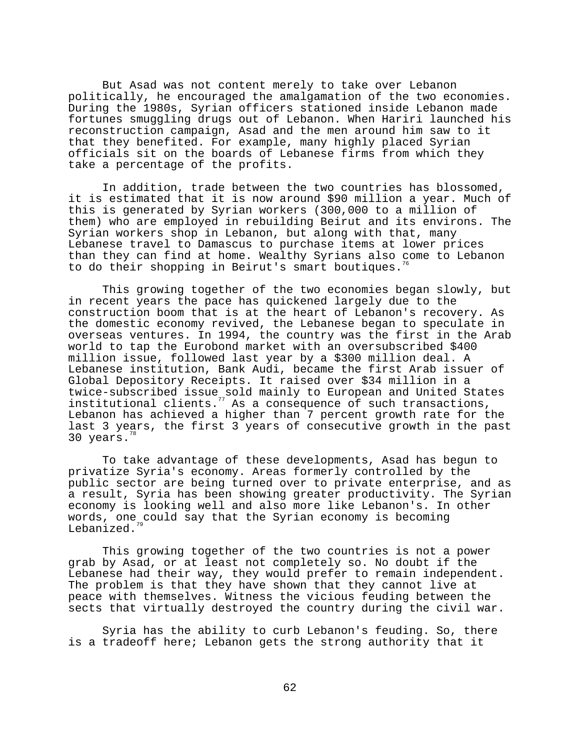But Asad was not content merely to take over Lebanon politically, he encouraged the amalgamation of the two economies. During the 1980s, Syrian officers stationed inside Lebanon made fortunes smuggling drugs out of Lebanon. When Hariri launched his reconstruction campaign, Asad and the men around him saw to it that they benefited. For example, many highly placed Syrian officials sit on the boards of Lebanese firms from which they take a percentage of the profits.

In addition, trade between the two countries has blossomed, it is estimated that it is now around \$90 million a year. Much of this is generated by Syrian workers (300,000 to a million of them) who are employed in rebuilding Beirut and its environs. The Syrian workers shop in Lebanon, but along with that, many Lebanese travel to Damascus to purchase items at lower prices than they can find at home. Wealthy Syrians also come to Lebanon to do their shopping in Beirut's smart boutiques.

This growing together of the two economies began slowly, but in recent years the pace has quickened largely due to the construction boom that is at the heart of Lebanon's recovery. As the domestic economy revived, the Lebanese began to speculate in overseas ventures. In 1994, the country was the first in the Arab world to tap the Eurobond market with an oversubscribed \$400 million issue, followed last year by a \$300 million deal. A Lebanese institution, Bank Audi, became the first Arab issuer of Global Depository Receipts. It raised over \$34 million in a twice-subscribed issue sold mainly to European and United States institutional clients.77 As a consequence of such transactions, Lebanon has achieved a higher than 7 percent growth rate for the last 3 years, the first 3 years of consecutive growth in the past 30 years.

To take advantage of these developments, Asad has begun to privatize Syria's economy. Areas formerly controlled by the public sector are being turned over to private enterprise, and as a result, Syria has been showing greater productivity. The Syrian economy is looking well and also more like Lebanon's. In other words, one could say that the Syrian economy is becoming Lebanized.

This growing together of the two countries is not a power grab by Asad, or at least not completely so. No doubt if the Lebanese had their way, they would prefer to remain independent. The problem is that they have shown that they cannot live at peace with themselves. Witness the vicious feuding between the sects that virtually destroyed the country during the civil war.

Syria has the ability to curb Lebanon's feuding. So, there is a tradeoff here; Lebanon gets the strong authority that it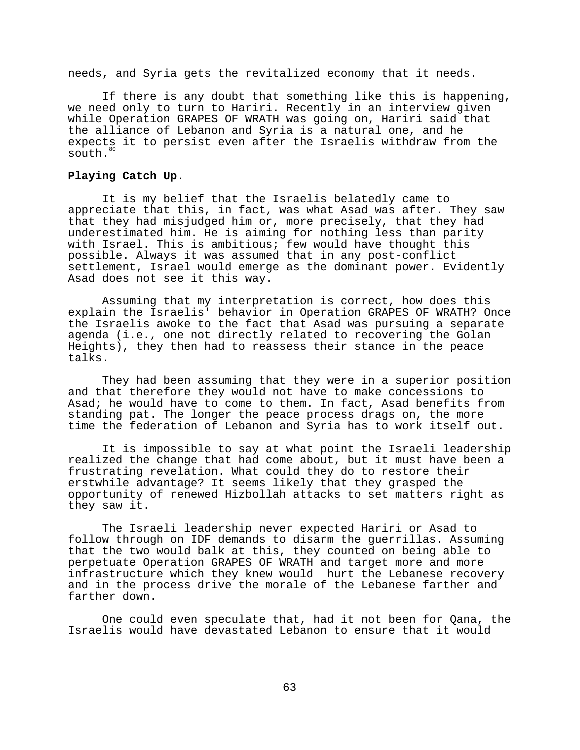needs, and Syria gets the revitalized economy that it needs.

If there is any doubt that something like this is happening, we need only to turn to Hariri. Recently in an interview given while Operation GRAPES OF WRATH was going on, Hariri said that the alliance of Lebanon and Syria is a natural one, and he expects it to persist even after the Israelis withdraw from the south.<sup>80</sup>

# **Playing Catch Up**.

It is my belief that the Israelis belatedly came to appreciate that this, in fact, was what Asad was after. They saw that they had misjudged him or, more precisely, that they had underestimated him. He is aiming for nothing less than parity with Israel. This is ambitious; few would have thought this possible. Always it was assumed that in any post-conflict settlement, Israel would emerge as the dominant power. Evidently Asad does not see it this way.

Assuming that my interpretation is correct, how does this explain the Israelis' behavior in Operation GRAPES OF WRATH? Once the Israelis awoke to the fact that Asad was pursuing a separate agenda (i.e., one not directly related to recovering the Golan Heights), they then had to reassess their stance in the peace talks.

They had been assuming that they were in a superior position and that therefore they would not have to make concessions to Asad; he would have to come to them. In fact, Asad benefits from standing pat. The longer the peace process drags on, the more time the federation of Lebanon and Syria has to work itself out.

It is impossible to say at what point the Israeli leadership realized the change that had come about, but it must have been a frustrating revelation. What could they do to restore their erstwhile advantage? It seems likely that they grasped the opportunity of renewed Hizbollah attacks to set matters right as they saw it.

The Israeli leadership never expected Hariri or Asad to follow through on IDF demands to disarm the guerrillas. Assuming that the two would balk at this, they counted on being able to perpetuate Operation GRAPES OF WRATH and target more and more infrastructure which they knew would hurt the Lebanese recovery and in the process drive the morale of the Lebanese farther and farther down.

One could even speculate that, had it not been for Qana, the Israelis would have devastated Lebanon to ensure that it would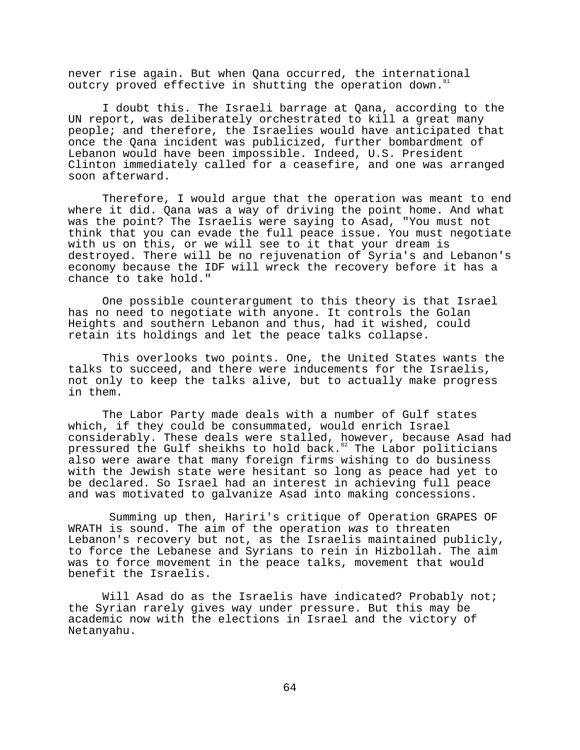never rise again. But when Qana occurred, the international outcry proved effective in shutting the operation down.<sup>8</sup>

I doubt this. The Israeli barrage at Qana, according to the UN report, was deliberately orchestrated to kill a great many people; and therefore, the Israelies would have anticipated that once the Qana incident was publicized, further bombardment of Lebanon would have been impossible. Indeed, U.S. President Clinton immediately called for a ceasefire, and one was arranged soon afterward.

Therefore, I would argue that the operation was meant to end where it did. Qana was a way of driving the point home. And what was the point? The Israelis were saying to Asad, "You must not think that you can evade the full peace issue. You must negotiate with us on this, or we will see to it that your dream is destroyed. There will be no rejuvenation of Syria's and Lebanon's economy because the IDF will wreck the recovery before it has a chance to take hold."

One possible counterargument to this theory is that Israel has no need to negotiate with anyone. It controls the Golan Heights and southern Lebanon and thus, had it wished, could retain its holdings and let the peace talks collapse.

This overlooks two points. One, the United States wants the talks to succeed, and there were inducements for the Israelis, not only to keep the talks alive, but to actually make progress in them.

The Labor Party made deals with a number of Gulf states which, if they could be consummated, would enrich Israel considerably. These deals were stalled, however, because Asad had pressured the Gulf sheikhs to hold back.<sup>82</sup> The Labor politicians also were aware that many foreign firms wishing to do business with the Jewish state were hesitant so long as peace had yet to be declared. So Israel had an interest in achieving full peace and was motivated to galvanize Asad into making concessions.

 Summing up then, Hariri's critique of Operation GRAPES OF WRATH is sound. The aim of the operation was to threaten Lebanon's recovery but not, as the Israelis maintained publicly, to force the Lebanese and Syrians to rein in Hizbollah. The aim was to force movement in the peace talks, movement that would benefit the Israelis.

Will Asad do as the Israelis have indicated? Probably not; the Syrian rarely gives way under pressure. But this may be academic now with the elections in Israel and the victory of Netanyahu.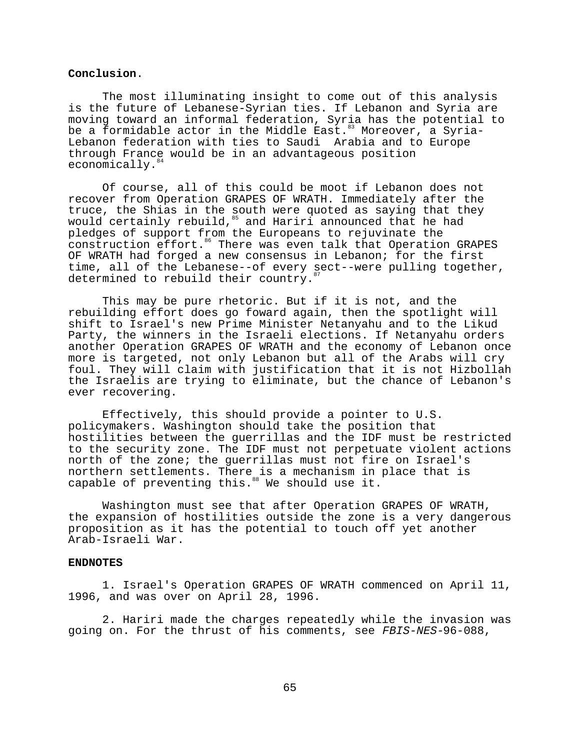### **Conclusion**.

The most illuminating insight to come out of this analysis is the future of Lebanese-Syrian ties. If Lebanon and Syria are moving toward an informal federation, Syria has the potential to be a formidable actor in the Middle East.<sup>83</sup> Moreover, a Syria-Lebanon federation with ties to Saudi Arabia and to Europe through France would be in an advantageous position economically.<sup>8</sup>

Of course, all of this could be moot if Lebanon does not recover from Operation GRAPES OF WRATH. Immediately after the truce, the Shias in the south were quoted as saying that they would certainly rebuild,  $^{85}$  and Hariri announced that he had pledges of support from the Europeans to rejuvinate the construction effort.<sup>86</sup> There was even talk that Operation GRAPES OF WRATH had forged a new consensus in Lebanon; for the first time, all of the Lebanese--of every sect--were pulling together, determined to rebuild their country.

This may be pure rhetoric. But if it is not, and the rebuilding effort does go foward again, then the spotlight will shift to Israel's new Prime Minister Netanyahu and to the Likud Party, the winners in the Israeli elections. If Netanyahu orders another Operation GRAPES OF WRATH and the economy of Lebanon once more is targeted, not only Lebanon but all of the Arabs will cry foul. They will claim with justification that it is not Hizbollah the Israelis are trying to eliminate, but the chance of Lebanon's ever recovering.

Effectively, this should provide a pointer to U.S. policymakers. Washington should take the position that hostilities between the guerrillas and the IDF must be restricted to the security zone. The IDF must not perpetuate violent actions north of the zone; the guerrillas must not fire on Israel's northern settlements. There is a mechanism in place that is capable of preventing this.<sup>88</sup> We should use it.

Washington must see that after Operation GRAPES OF WRATH, the expansion of hostilities outside the zone is a very dangerous proposition as it has the potential to touch off yet another Arab-Israeli War.

## **ENDNOTES**

1. Israel's Operation GRAPES OF WRATH commenced on April 11, 1996, and was over on April 28, 1996.

2. Hariri made the charges repeatedly while the invasion was going on. For the thrust of his comments, see FBIS-NES-96-088,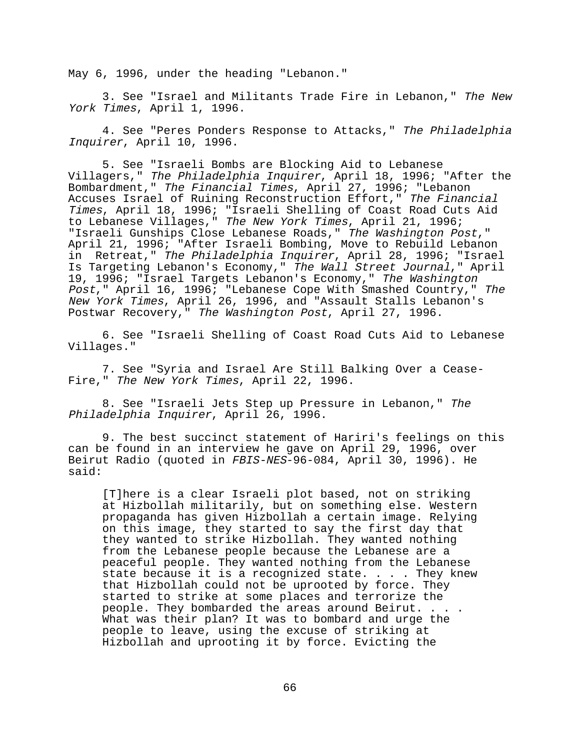May 6, 1996, under the heading "Lebanon."

3. See "Israel and Militants Trade Fire in Lebanon," The New York Times, April 1, 1996.

4. See "Peres Ponders Response to Attacks," The Philadelphia Inquirer, April 10, 1996.

5. See "Israeli Bombs are Blocking Aid to Lebanese Villagers," The Philadelphia Inquirer, April 18, 1996; "After the Bombardment," The Financial Times, April 27, 1996; "Lebanon Accuses Israel of Ruining Reconstruction Effort," The Financial Times, April 18, 1996; "Israeli Shelling of Coast Road Cuts Aid to Lebanese Villages," The New York Times, April 21, 1996; "Israeli Gunships Close Lebanese Roads," The Washington Post," April 21, 1996; "After Israeli Bombing, Move to Rebuild Lebanon in Retreat," The Philadelphia Inquirer, April 28, 1996; "Israel Is Targeting Lebanon's Economy," The Wall Street Journal," April 19, 1996; "Israel Targets Lebanon's Economy," The Washington Post," April 16, 1996; "Lebanese Cope With Smashed Country," The New York Times, April 26, 1996, and "Assault Stalls Lebanon's Postwar Recovery," The Washington Post, April 27, 1996.

6. See "Israeli Shelling of Coast Road Cuts Aid to Lebanese Villages."

7. See "Syria and Israel Are Still Balking Over a Cease-Fire," The New York Times, April 22, 1996.

8. See "Israeli Jets Step up Pressure in Lebanon," The Philadelphia Inquirer, April 26, 1996.

9. The best succinct statement of Hariri's feelings on this can be found in an interview he gave on April 29, 1996, over Beirut Radio (quoted in FBIS-NES-96-084, April 30, 1996). He said:

[T]here is a clear Israeli plot based, not on striking at Hizbollah militarily, but on something else. Western propaganda has given Hizbollah a certain image. Relying on this image, they started to say the first day that they wanted to strike Hizbollah. They wanted nothing from the Lebanese people because the Lebanese are a peaceful people. They wanted nothing from the Lebanese state because it is a recognized state. . . . They knew that Hizbollah could not be uprooted by force. They started to strike at some places and terrorize the people. They bombarded the areas around Beirut. . . . What was their plan? It was to bombard and urge the people to leave, using the excuse of striking at Hizbollah and uprooting it by force. Evicting the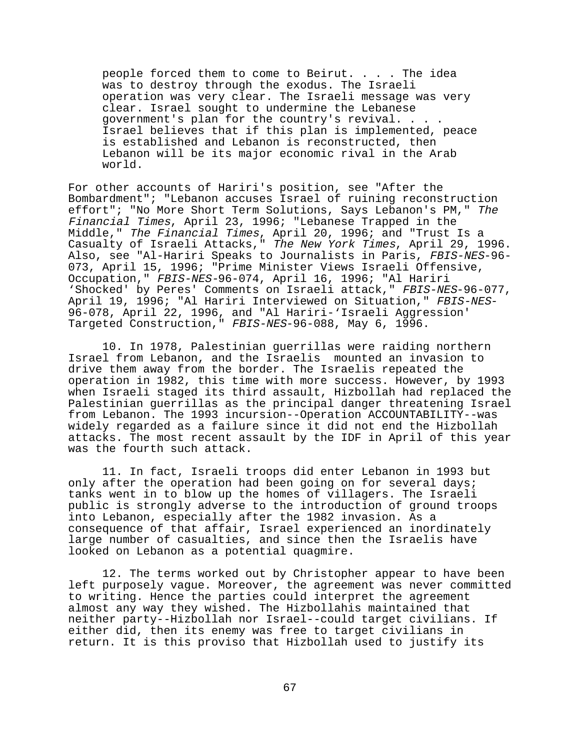people forced them to come to Beirut. . . . The idea was to destroy through the exodus. The Israeli operation was very clear. The Israeli message was very clear. Israel sought to undermine the Lebanese government's plan for the country's revival. . . . Israel believes that if this plan is implemented, peace is established and Lebanon is reconstructed, then Lebanon will be its major economic rival in the Arab world.

For other accounts of Hariri's position, see "After the Bombardment"; "Lebanon accuses Israel of ruining reconstruction effort"; "No More Short Term Solutions, Says Lebanon's PM," The Financial Times, April 23, 1996; "Lebanese Trapped in the Middle," The Financial Times, April 20, 1996; and "Trust Is a Casualty of Israeli Attacks," The New York Times, April 29, 1996. Also, see "Al-Hariri Speaks to Journalists in Paris, FBIS-NES-96- 073, April 15, 1996; "Prime Minister Views Israeli Offensive, Occupation," FBIS-NES-96-074, April 16, 1996; "Al Hariri 'Shocked' by Peres' Comments on Israeli attack," FBIS-NES-96-077, April 19, 1996; "Al Hariri Interviewed on Situation," FBIS-NES-96-078, April 22, 1996, and "Al Hariri-'Israeli Aggression' Targeted Construction," FBIS-NES-96-088, May 6, 1996.

10. In 1978, Palestinian guerrillas were raiding northern Israel from Lebanon, and the Israelis mounted an invasion to drive them away from the border. The Israelis repeated the operation in 1982, this time with more success. However, by 1993 when Israeli staged its third assault, Hizbollah had replaced the Palestinian guerrillas as the principal danger threatening Israel from Lebanon. The 1993 incursion--Operation ACCOUNTABILITY--was widely regarded as a failure since it did not end the Hizbollah attacks. The most recent assault by the IDF in April of this year was the fourth such attack.

11. In fact, Israeli troops did enter Lebanon in 1993 but only after the operation had been going on for several days; tanks went in to blow up the homes of villagers. The Israeli public is strongly adverse to the introduction of ground troops into Lebanon, especially after the 1982 invasion. As a consequence of that affair, Israel experienced an inordinately large number of casualties, and since then the Israelis have looked on Lebanon as a potential quagmire.

12. The terms worked out by Christopher appear to have been left purposely vague. Moreover, the agreement was never committed to writing. Hence the parties could interpret the agreement almost any way they wished. The Hizbollahis maintained that neither party--Hizbollah nor Israel--could target civilians. If either did, then its enemy was free to target civilians in return. It is this proviso that Hizbollah used to justify its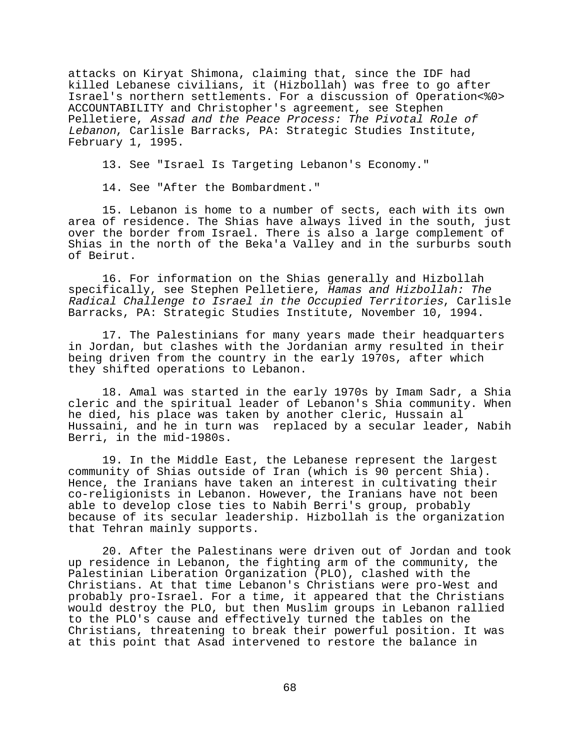attacks on Kiryat Shimona, claiming that, since the IDF had killed Lebanese civilians, it (Hizbollah) was free to go after Israel's northern settlements. For a discussion of Operation<%0> ACCOUNTABILITY and Christopher's agreement, see Stephen Pelletiere, Assad and the Peace Process: The Pivotal Role of Lebanon, Carlisle Barracks, PA: Strategic Studies Institute, February 1, 1995.

13. See "Israel Is Targeting Lebanon's Economy."

14. See "After the Bombardment."

15. Lebanon is home to a number of sects, each with its own area of residence. The Shias have always lived in the south, just over the border from Israel. There is also a large complement of Shias in the north of the Beka'a Valley and in the surburbs south of Beirut.

16. For information on the Shias generally and Hizbollah specifically, see Stephen Pelletiere, Hamas and Hizbollah: The Radical Challenge to Israel in the Occupied Territories, Carlisle Barracks, PA: Strategic Studies Institute, November 10, 1994.

17. The Palestinians for many years made their headquarters in Jordan, but clashes with the Jordanian army resulted in their being driven from the country in the early 1970s, after which they shifted operations to Lebanon.

18. Amal was started in the early 1970s by Imam Sadr, a Shia cleric and the spiritual leader of Lebanon's Shia community. When he died, his place was taken by another cleric, Hussain al Hussaini, and he in turn was replaced by a secular leader, Nabih Berri, in the mid-1980s.

19. In the Middle East, the Lebanese represent the largest community of Shias outside of Iran (which is 90 percent Shia). Hence, the Iranians have taken an interest in cultivating their co-religionists in Lebanon. However, the Iranians have not been able to develop close ties to Nabih Berri's group, probably because of its secular leadership. Hizbollah is the organization that Tehran mainly supports.

20. After the Palestinans were driven out of Jordan and took up residence in Lebanon, the fighting arm of the community, the Palestinian Liberation Organization (PLO), clashed with the Christians. At that time Lebanon's Christians were pro-West and probably pro-Israel. For a time, it appeared that the Christians would destroy the PLO, but then Muslim groups in Lebanon rallied to the PLO's cause and effectively turned the tables on the Christians, threatening to break their powerful position. It was at this point that Asad intervened to restore the balance in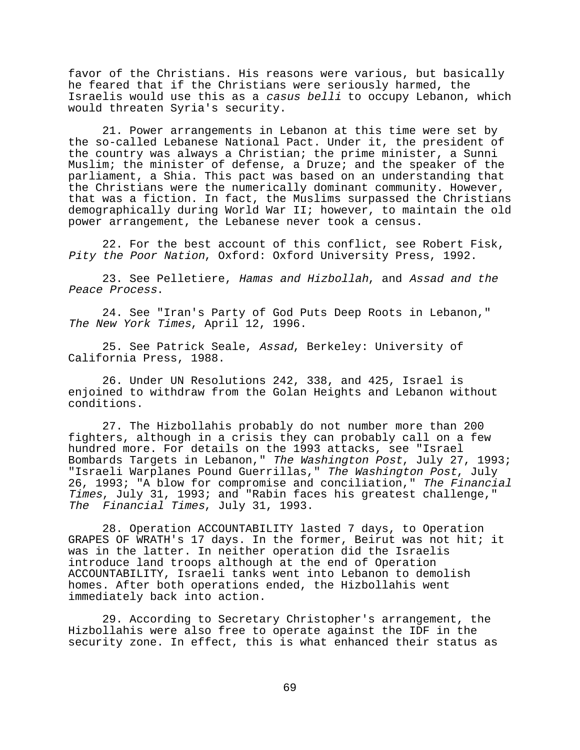favor of the Christians. His reasons were various, but basically he feared that if the Christians were seriously harmed, the Israelis would use this as a casus belli to occupy Lebanon, which would threaten Syria's security.

21. Power arrangements in Lebanon at this time were set by the so-called Lebanese National Pact. Under it, the president of the country was always a Christian; the prime minister, a Sunni Muslim; the minister of defense, a Druze; and the speaker of the parliament, a Shia. This pact was based on an understanding that the Christians were the numerically dominant community. However, that was a fiction. In fact, the Muslims surpassed the Christians demographically during World War II; however, to maintain the old power arrangement, the Lebanese never took a census.

22. For the best account of this conflict, see Robert Fisk, Pity the Poor Nation, Oxford: Oxford University Press, 1992.

23. See Pelletiere, Hamas and Hizbollah, and Assad and the Peace Process.

24. See "Iran's Party of God Puts Deep Roots in Lebanon," The New York Times, April 12, 1996.

25. See Patrick Seale, Assad, Berkeley: University of California Press, 1988.

26. Under UN Resolutions 242, 338, and 425, Israel is enjoined to withdraw from the Golan Heights and Lebanon without conditions.

27. The Hizbollahis probably do not number more than 200 fighters, although in a crisis they can probably call on a few hundred more. For details on the 1993 attacks, see "Israel Bombards Targets in Lebanon," The Washington Post, July 27, 1993; "Israeli Warplanes Pound Guerrillas," The Washington Post, July 26, 1993; "A blow for compromise and conciliation," The Financial Times, July 31, 1993; and "Rabin faces his greatest challenge," The Financial Times, July 31, 1993.

28. Operation ACCOUNTABILITY lasted 7 days, to Operation GRAPES OF WRATH's 17 days. In the former, Beirut was not hit; it was in the latter. In neither operation did the Israelis introduce land troops although at the end of Operation ACCOUNTABILITY, Israeli tanks went into Lebanon to demolish homes. After both operations ended, the Hizbollahis went immediately back into action.

29. According to Secretary Christopher's arrangement, the Hizbollahis were also free to operate against the IDF in the security zone. In effect, this is what enhanced their status as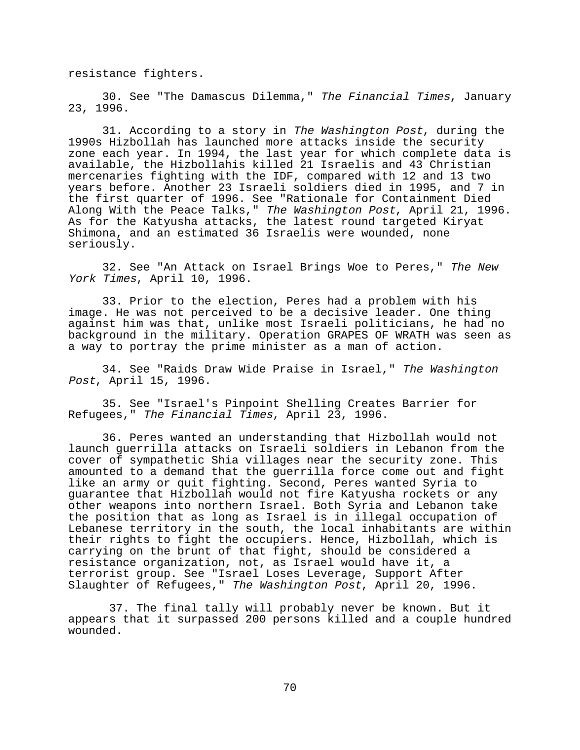resistance fighters.

30. See "The Damascus Dilemma," The Financial Times, January 23, 1996.

31. According to a story in The Washington Post, during the 1990s Hizbollah has launched more attacks inside the security zone each year. In 1994, the last year for which complete data is available, the Hizbollahis killed 21 Israelis and 43 Christian mercenaries fighting with the IDF, compared with 12 and 13 two years before. Another 23 Israeli soldiers died in 1995, and 7 in the first quarter of 1996. See "Rationale for Containment Died Along With the Peace Talks," The Washington Post, April 21, 1996. As for the Katyusha attacks, the latest round targeted Kiryat Shimona, and an estimated 36 Israelis were wounded, none seriously.

32. See "An Attack on Israel Brings Woe to Peres," The New York Times, April 10, 1996.

33. Prior to the election, Peres had a problem with his image. He was not perceived to be a decisive leader. One thing against him was that, unlike most Israeli politicians, he had no background in the military. Operation GRAPES OF WRATH was seen as a way to portray the prime minister as a man of action.

34. See "Raids Draw Wide Praise in Israel," The Washington Post, April 15, 1996.

35. See "Israel's Pinpoint Shelling Creates Barrier for Refugees," The Financial Times, April 23, 1996.

36. Peres wanted an understanding that Hizbollah would not launch guerrilla attacks on Israeli soldiers in Lebanon from the cover of sympathetic Shia villages near the security zone. This amounted to a demand that the guerrilla force come out and fight like an army or quit fighting. Second, Peres wanted Syria to guarantee that Hizbollah would not fire Katyusha rockets or any other weapons into northern Israel. Both Syria and Lebanon take the position that as long as Israel is in illegal occupation of Lebanese territory in the south, the local inhabitants are within their rights to fight the occupiers. Hence, Hizbollah, which is carrying on the brunt of that fight, should be considered a resistance organization, not, as Israel would have it, a terrorist group. See "Israel Loses Leverage, Support After Slaughter of Refugees," The Washington Post, April 20, 1996.

 37. The final tally will probably never be known. But it appears that it surpassed 200 persons killed and a couple hundred wounded.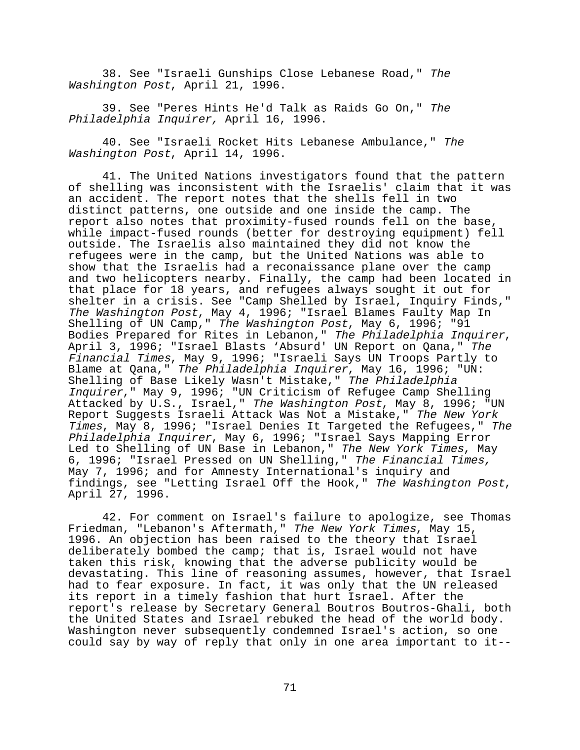38. See "Israeli Gunships Close Lebanese Road," The Washington Post, April 21, 1996.

39. See "Peres Hints He'd Talk as Raids Go On," The Philadelphia Inquirer, April 16, 1996.

40. See "Israeli Rocket Hits Lebanese Ambulance," The Washington Post, April 14, 1996.

41. The United Nations investigators found that the pattern of shelling was inconsistent with the Israelis' claim that it was an accident. The report notes that the shells fell in two distinct patterns, one outside and one inside the camp. The report also notes that proximity-fused rounds fell on the base, while impact-fused rounds (better for destroying equipment) fell outside. The Israelis also maintained they did not know the refugees were in the camp, but the United Nations was able to show that the Israelis had a reconaissance plane over the camp and two helicopters nearby. Finally, the camp had been located in that place for 18 years, and refugees always sought it out for shelter in a crisis. See "Camp Shelled by Israel, Inquiry Finds," The Washington Post, May 4, 1996; "Israel Blames Faulty Map In Shelling of UN Camp," The Washington Post, May 6, 1996; "91 Bodies Prepared for Rites in Lebanon," The Philadelphia Inquirer, April 3, 1996; "Israel Blasts 'Absurd' UN Report on Qana," The Financial Times, May 9, 1996; "Israeli Says UN Troops Partly to Blame at Qana," The Philadelphia Inquirer, May 16, 1996; "UN: Shelling of Base Likely Wasn't Mistake," The Philadelphia Inquirer," May 9, 1996; "UN Criticism of Refugee Camp Shelling Attacked by U.S., Israel," The Washington Post, May 8, 1996; "UN Report Suggests Israeli Attack Was Not a Mistake," The New York Times, May 8, 1996; "Israel Denies It Targeted the Refugees," The Philadelphia Inquirer, May 6, 1996; "Israel Says Mapping Error Led to Shelling of UN Base in Lebanon," *The New York Times*, May 6, 1996; "Israel Pressed on UN Shelling," The Financial Times, May 7, 1996; and for Amnesty International's inquiry and findings, see "Letting Israel Off the Hook," The Washington Post, April 27, 1996.

42. For comment on Israel's failure to apologize, see Thomas Friedman, "Lebanon's Aftermath," The New York Times, May 15, 1996. An objection has been raised to the theory that Israel deliberately bombed the camp; that is, Israel would not have taken this risk, knowing that the adverse publicity would be devastating. This line of reasoning assumes, however, that Israel had to fear exposure. In fact, it was only that the UN released its report in a timely fashion that hurt Israel. After the report's release by Secretary General Boutros Boutros-Ghali, both the United States and Israel rebuked the head of the world body. Washington never subsequently condemned Israel's action, so one could say by way of reply that only in one area important to it--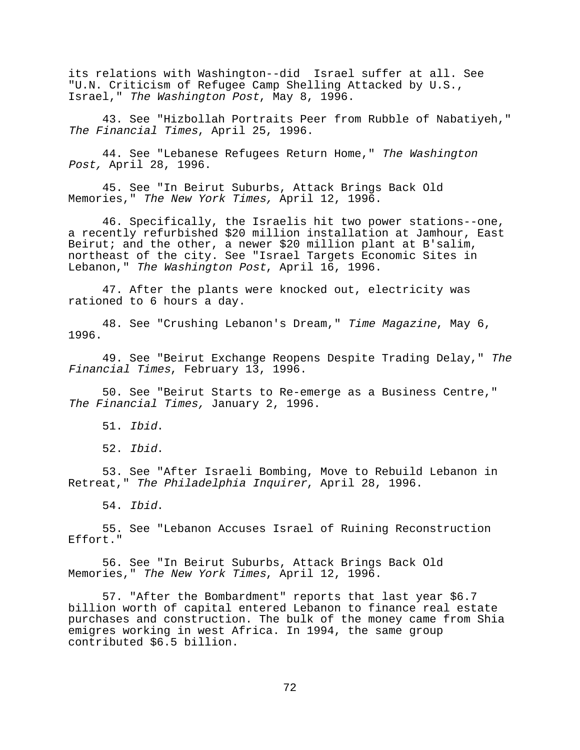its relations with Washington--did Israel suffer at all. See "U.N. Criticism of Refugee Camp Shelling Attacked by U.S., Israel," The Washington Post, May 8, 1996.

43. See "Hizbollah Portraits Peer from Rubble of Nabatiyeh," The Financial Times, April 25, 1996.

44. See "Lebanese Refugees Return Home," The Washington Post, April 28, 1996.

45. See "In Beirut Suburbs, Attack Brings Back Old Memories," The New York Times, April 12, 1996.

46. Specifically, the Israelis hit two power stations--one, a recently refurbished \$20 million installation at Jamhour, East Beirut; and the other, a newer \$20 million plant at B'salim, northeast of the city. See "Israel Targets Economic Sites in Lebanon," The Washington Post, April 16, 1996.

47. After the plants were knocked out, electricity was rationed to 6 hours a day.

48. See "Crushing Lebanon's Dream," Time Magazine, May 6, 1996.

49. See "Beirut Exchange Reopens Despite Trading Delay," The Financial Times, February 13, 1996.

50. See "Beirut Starts to Re-emerge as a Business Centre," The Financial Times, January 2, 1996.

51. Ibid.

52. Ibid.

53. See "After Israeli Bombing, Move to Rebuild Lebanon in Retreat," The Philadelphia Inquirer, April 28, 1996.

54. Ibid.

55. See "Lebanon Accuses Israel of Ruining Reconstruction Effort."

56. See "In Beirut Suburbs, Attack Brings Back Old Memories," The New York Times, April 12, 1996.

57. "After the Bombardment" reports that last year \$6.7 billion worth of capital entered Lebanon to finance real estate purchases and construction. The bulk of the money came from Shia emigres working in west Africa. In 1994, the same group contributed \$6.5 billion.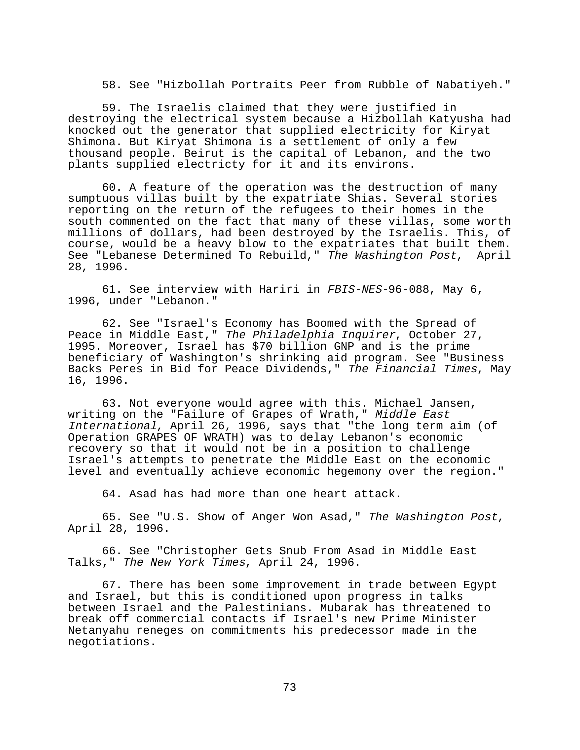58. See "Hizbollah Portraits Peer from Rubble of Nabatiyeh."

59. The Israelis claimed that they were justified in destroying the electrical system because a Hizbollah Katyusha had knocked out the generator that supplied electricity for Kiryat Shimona. But Kiryat Shimona is a settlement of only a few thousand people. Beirut is the capital of Lebanon, and the two plants supplied electricty for it and its environs.

60. A feature of the operation was the destruction of many sumptuous villas built by the expatriate Shias. Several stories reporting on the return of the refugees to their homes in the south commented on the fact that many of these villas, some worth millions of dollars, had been destroyed by the Israelis. This, of course, would be a heavy blow to the expatriates that built them. See "Lebanese Determined To Rebuild," The Washington Post, April 28, 1996.

61. See interview with Hariri in FBIS-NES-96-088, May 6, 1996, under "Lebanon."

62. See "Israel's Economy has Boomed with the Spread of Peace in Middle East," The Philadelphia Inquirer, October 27, 1995. Moreover, Israel has \$70 billion GNP and is the prime beneficiary of Washington's shrinking aid program. See "Business Backs Peres in Bid for Peace Dividends," The Financial Times, May 16, 1996.

63. Not everyone would agree with this. Michael Jansen, writing on the "Failure of Grapes of Wrath," Middle East International, April 26, 1996, says that "the long term aim (of Operation GRAPES OF WRATH) was to delay Lebanon's economic recovery so that it would not be in a position to challenge Israel's attempts to penetrate the Middle East on the economic level and eventually achieve economic hegemony over the region."

64. Asad has had more than one heart attack.

65. See "U.S. Show of Anger Won Asad," The Washington Post, April 28, 1996.

66. See "Christopher Gets Snub From Asad in Middle East Talks," The New York Times, April 24, 1996.

67. There has been some improvement in trade between Egypt and Israel, but this is conditioned upon progress in talks between Israel and the Palestinians. Mubarak has threatened to break off commercial contacts if Israel's new Prime Minister Netanyahu reneges on commitments his predecessor made in the negotiations.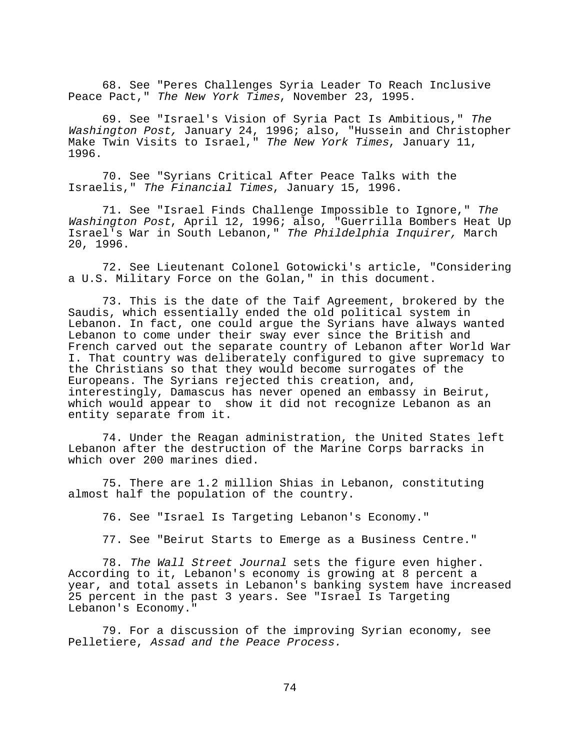68. See "Peres Challenges Syria Leader To Reach Inclusive Peace Pact," The New York Times, November 23, 1995.

69. See "Israel's Vision of Syria Pact Is Ambitious," The Washington Post, January 24, 1996; also, "Hussein and Christopher Make Twin Visits to Israel," The New York Times, January 11, 1996.

70. See "Syrians Critical After Peace Talks with the Israelis," The Financial Times, January 15, 1996.

71. See "Israel Finds Challenge Impossible to Ignore," The Washington Post, April 12, 1996; also, "Guerrilla Bombers Heat Up Israel's War in South Lebanon," The Phildelphia Inquirer, March 20, 1996.

72. See Lieutenant Colonel Gotowicki's article, "Considering a U.S. Military Force on the Golan," in this document.

73. This is the date of the Taif Agreement, brokered by the Saudis, which essentially ended the old political system in Lebanon. In fact, one could argue the Syrians have always wanted Lebanon to come under their sway ever since the British and French carved out the separate country of Lebanon after World War I. That country was deliberately configured to give supremacy to the Christians so that they would become surrogates of the Europeans. The Syrians rejected this creation, and, interestingly, Damascus has never opened an embassy in Beirut, which would appear to show it did not recognize Lebanon as an entity separate from it.

74. Under the Reagan administration, the United States left Lebanon after the destruction of the Marine Corps barracks in which over 200 marines died.

75. There are 1.2 million Shias in Lebanon, constituting almost half the population of the country.

76. See "Israel Is Targeting Lebanon's Economy."

77. See "Beirut Starts to Emerge as a Business Centre."

78. The Wall Street Journal sets the figure even higher. According to it, Lebanon's economy is growing at 8 percent a year, and total assets in Lebanon's banking system have increased 25 percent in the past 3 years. See "Israel Is Targeting Lebanon's Economy."

79. For a discussion of the improving Syrian economy, see Pelletiere, Assad and the Peace Process.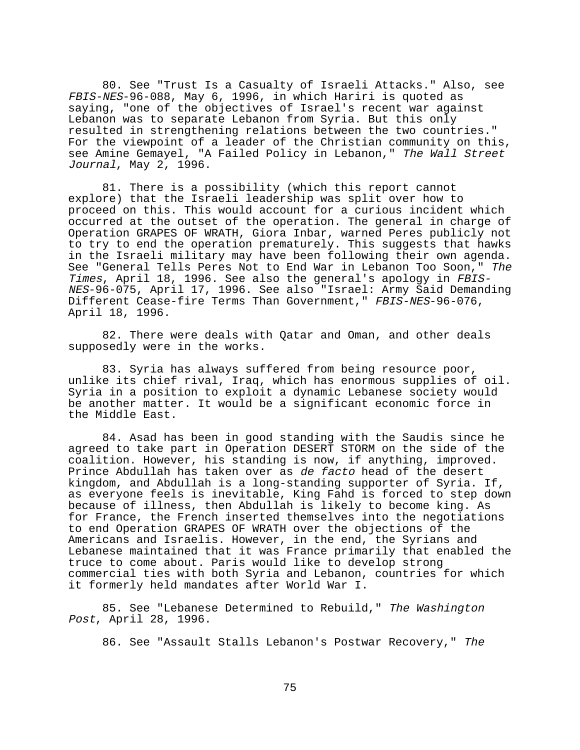80. See "Trust Is a Casualty of Israeli Attacks." Also, see FBIS-NES-96-088, May 6, 1996, in which Hariri is quoted as saying, "one of the objectives of Israel's recent war against Lebanon was to separate Lebanon from Syria. But this only resulted in strengthening relations between the two countries." For the viewpoint of a leader of the Christian community on this, see Amine Gemayel, "A Failed Policy in Lebanon," The Wall Street Journal, May 2, 1996.

81. There is a possibility (which this report cannot explore) that the Israeli leadership was split over how to proceed on this. This would account for a curious incident which occurred at the outset of the operation. The general in charge of Operation GRAPES OF WRATH, Giora Inbar, warned Peres publicly not to try to end the operation prematurely. This suggests that hawks in the Israeli military may have been following their own agenda. See "General Tells Peres Not to End War in Lebanon Too Soon," The Times, April 18, 1996. See also the general's apology in FBIS-NES-96-075, April 17, 1996. See also "Israel: Army Said Demanding Different Cease-fire Terms Than Government, " FBIS-NES-96-076, April 18, 1996.

82. There were deals with Qatar and Oman, and other deals supposedly were in the works.

83. Syria has always suffered from being resource poor, unlike its chief rival, Iraq, which has enormous supplies of oil. Syria in a position to exploit a dynamic Lebanese society would be another matter. It would be a significant economic force in the Middle East.

84. Asad has been in good standing with the Saudis since he agreed to take part in Operation DESERT STORM on the side of the coalition. However, his standing is now, if anything, improved. Prince Abdullah has taken over as de facto head of the desert kingdom, and Abdullah is a long-standing supporter of Syria. If, as everyone feels is inevitable, King Fahd is forced to step down because of illness, then Abdullah is likely to become king. As for France, the French inserted themselves into the negotiations to end Operation GRAPES OF WRATH over the objections of the Americans and Israelis. However, in the end, the Syrians and Lebanese maintained that it was France primarily that enabled the truce to come about. Paris would like to develop strong commercial ties with both Syria and Lebanon, countries for which it formerly held mandates after World War I.

85. See "Lebanese Determined to Rebuild," The Washington Post, April 28, 1996.

86. See "Assault Stalls Lebanon's Postwar Recovery," The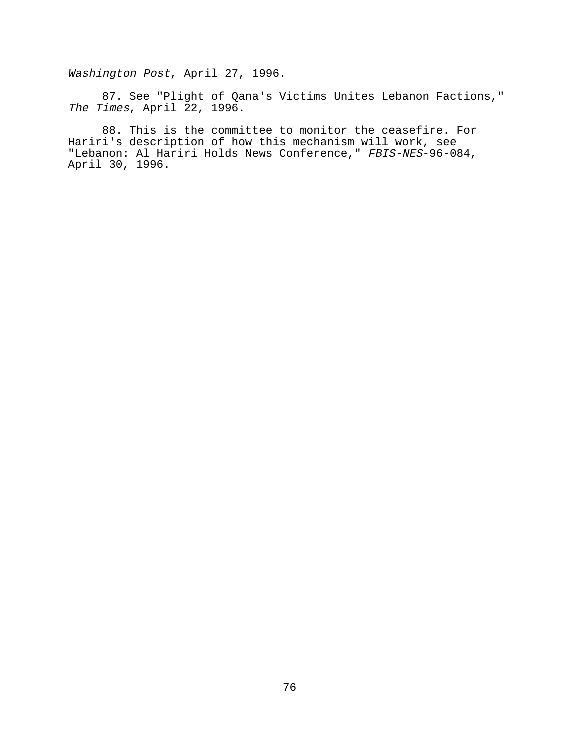Washington Post, April 27, 1996.

87. See "Plight of Qana's Victims Unites Lebanon Factions," The Times, April 22, 1996.

88. This is the committee to monitor the ceasefire. For Hariri's description of how this mechanism will work, see "Lebanon: Al Hariri Holds News Conference," FBIS-NES-96-084, April 30, 1996.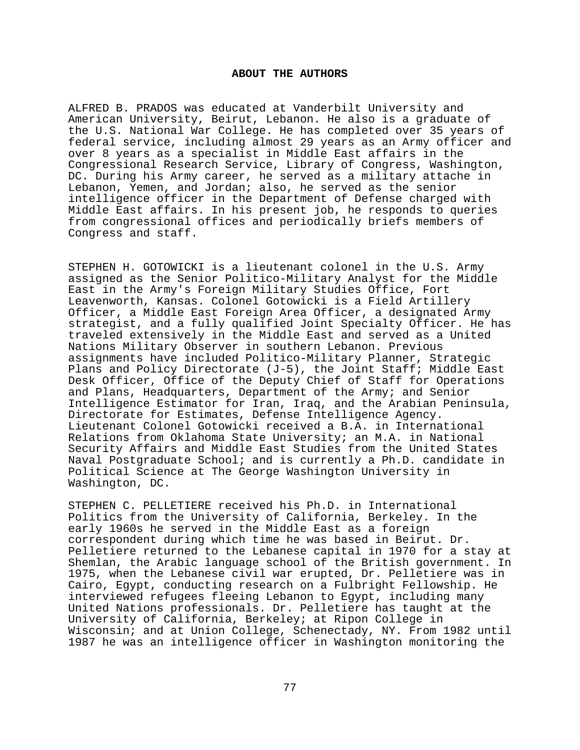## **ABOUT THE AUTHORS**

ALFRED B. PRADOS was educated at Vanderbilt University and American University, Beirut, Lebanon. He also is a graduate of the U.S. National War College. He has completed over 35 years of federal service, including almost 29 years as an Army officer and over 8 years as a specialist in Middle East affairs in the Congressional Research Service, Library of Congress, Washington, DC. During his Army career, he served as a military attache in Lebanon, Yemen, and Jordan; also, he served as the senior intelligence officer in the Department of Defense charged with Middle East affairs. In his present job, he responds to queries from congressional offices and periodically briefs members of Congress and staff.

STEPHEN H. GOTOWICKI is a lieutenant colonel in the U.S. Army assigned as the Senior Politico-Military Analyst for the Middle East in the Army's Foreign Military Studies Office, Fort Leavenworth, Kansas. Colonel Gotowicki is a Field Artillery Officer, a Middle East Foreign Area Officer, a designated Army strategist, and a fully qualified Joint Specialty Officer. He has traveled extensively in the Middle East and served as a United Nations Military Observer in southern Lebanon. Previous assignments have included Politico-Military Planner, Strategic Plans and Policy Directorate (J-5), the Joint Staff; Middle East Desk Officer, Office of the Deputy Chief of Staff for Operations and Plans, Headquarters, Department of the Army; and Senior Intelligence Estimator for Iran, Iraq, and the Arabian Peninsula, Directorate for Estimates, Defense Intelligence Agency. Lieutenant Colonel Gotowicki received a B.A. in International Relations from Oklahoma State University; an M.A. in National Security Affairs and Middle East Studies from the United States Naval Postgraduate School; and is currently a Ph.D. candidate in Political Science at The George Washington University in Washington, DC.

STEPHEN C. PELLETIERE received his Ph.D. in International Politics from the University of California, Berkeley. In the early 1960s he served in the Middle East as a foreign correspondent during which time he was based in Beirut. Dr. Pelletiere returned to the Lebanese capital in 1970 for a stay at Shemlan, the Arabic language school of the British government. In 1975, when the Lebanese civil war erupted, Dr. Pelletiere was in Cairo, Egypt, conducting research on a Fulbright Fellowship. He interviewed refugees fleeing Lebanon to Egypt, including many United Nations professionals. Dr. Pelletiere has taught at the University of California, Berkeley; at Ripon College in Wisconsin; and at Union College, Schenectady, NY. From 1982 until 1987 he was an intelligence officer in Washington monitoring the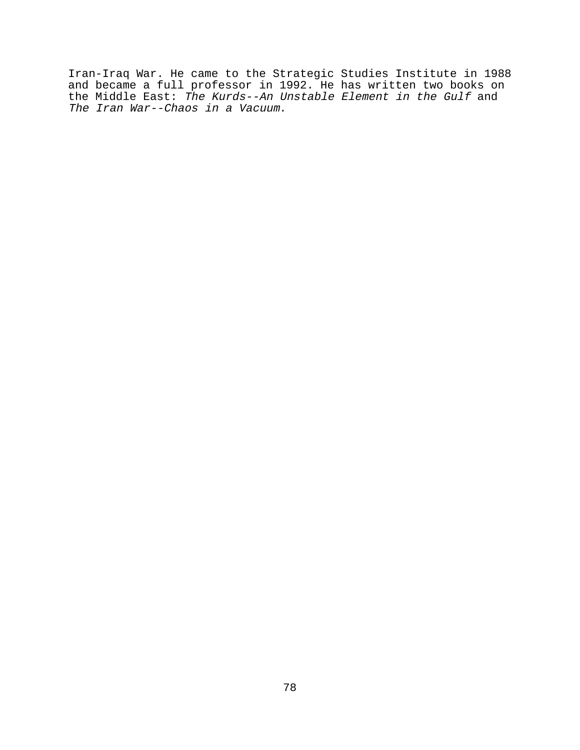Iran-Iraq War. He came to the Strategic Studies Institute in 1988 and became a full professor in 1992. He has written two books on the Middle East: The Kurds--An Unstable Element in the Gulf and The Iran War--Chaos in a Vacuum.